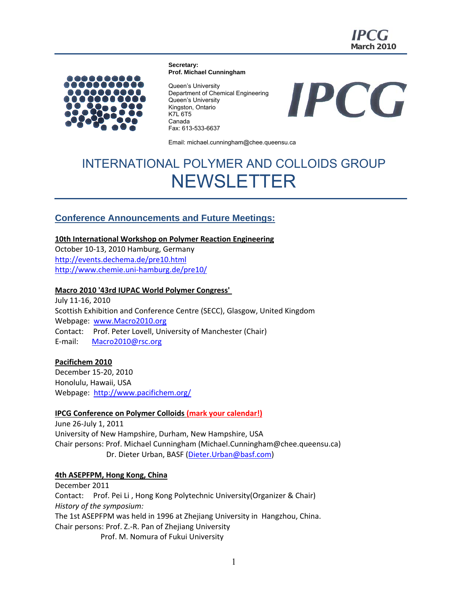

**Secretary: Prof. Michael Cunningham** 



Queen's University Department of Chemical Engineering Queen's University Kingston, Ontario K7L 6T5 Canada Fax: 613-533-6637

**IPCG** 

Email: michael.cunningham@chee.queensu.ca

## INTERNATIONAL POLYMER AND COLLOIDS GROUP **NEWSLETTER**

## **Conference Announcements and Future Meetings:**

**10th International Workshop on Polymer Reaction Engineering**

October 10‐13, 2010 Hamburg, Germany http://events.dechema.de/pre10.html http://www.chemie.uni‐hamburg.de/pre10/

#### **Macro 2010 '43rd IUPAC World Polymer Congress'**

July 11‐16, 2010 Scottish Exhibition and Conference Centre (SECC), Glasgow, United Kingdom Webpage: www.Macro2010.org Contact: Prof. Peter Lovell, University of Manchester (Chair) E‐mail: Macro2010@rsc.org

#### **Pacifichem 2010**

December 15‐20, 2010 Honolulu, Hawaii, USA Webpage: http://www.pacifichem.org/

#### **IPCG Conference on Polymer Colloids (mark your calendar!)**

June 26‐July 1, 2011 University of New Hampshire, Durham, New Hampshire, USA Chair persons: Prof. Michael Cunningham (Michael.Cunningham@chee.queensu.ca) Dr. Dieter Urban, BASF (Dieter.Urban@basf.com)

#### **4th ASEPFPM, Hong Kong, China**

December 2011 Contact: Prof. Pei Li , Hong Kong Polytechnic University(Organizer & Chair) *History of the symposium:* The 1st ASEPFPM was held in 1996 at Zhejiang University in Hangzhou, China. Chair persons: Prof. Z.‐R. Pan of Zhejiang University Prof. M. Nomura of Fukui University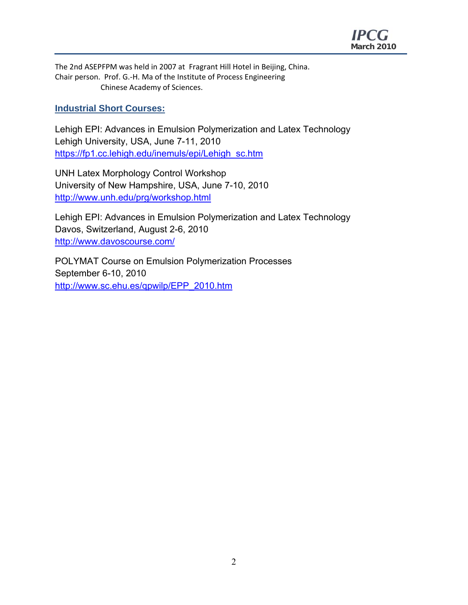

The 2nd ASEPFPM was held in 2007 at Fragrant Hill Hotel in Beijing, China. Chair person. Prof. G.‐H. Ma of the Institute of Process Engineering Chinese Academy of Sciences.

### **Industrial Short Courses:**

Lehigh EPI: Advances in Emulsion Polymerization and Latex Technology Lehigh University, USA, June 7-11, 2010 https://fp1.cc.lehigh.edu/inemuls/epi/Lehigh\_sc.htm

UNH Latex Morphology Control Workshop University of New Hampshire, USA, June 7-10, 2010 http://www.unh.edu/prg/workshop.html

Lehigh EPI: Advances in Emulsion Polymerization and Latex Technology Davos, Switzerland, August 2-6, 2010 http://www.davoscourse.com/

POLYMAT Course on Emulsion Polymerization Processes September 6-10, 2010 http://www.sc.ehu.es/qpwilp/EPP\_2010.htm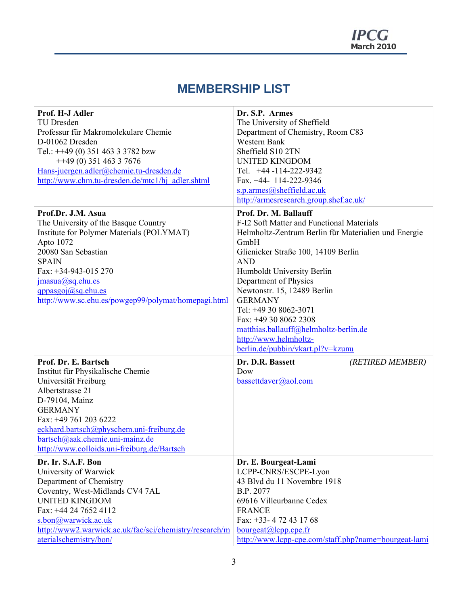## **MEMBERSHIP LIST**

| Prof. H-J Adler                                                                | Dr. S.P. Armes                                       |  |
|--------------------------------------------------------------------------------|------------------------------------------------------|--|
| TU Dresden                                                                     | The University of Sheffield                          |  |
| Professur für Makromolekulare Chemie                                           | Department of Chemistry, Room C83                    |  |
| D-01062 Dresden                                                                | Western Bank                                         |  |
| Tel.: $++49$ (0) 351 463 3 3782 bzw                                            | Sheffield S10 2TN                                    |  |
| $+49(0)$ 351 463 3 7676                                                        | <b>UNITED KINGDOM</b>                                |  |
| Hans-juergen.adler@chemie.tu-dresden.de                                        | Tel. +44 -114-222-9342                               |  |
| http://www.chm.tu-dresden.de/mtc1/hj adler.shtml                               | Fax. +44- 114-222-9346                               |  |
|                                                                                | s.p.armes@sheffield.ac.uk                            |  |
|                                                                                | http://armesresearch.group.shef.ac.uk/               |  |
| Prof.Dr. J.M. Asua                                                             | Prof. Dr. M. Ballauff                                |  |
| The University of the Basque Country                                           | F-I2 Soft Matter and Functional Materials            |  |
| Institute for Polymer Materials (POLYMAT)                                      | Helmholtz-Zentrum Berlin für Materialien und Energie |  |
| Apto 1072                                                                      | GmbH                                                 |  |
| 20080 San Sebastian                                                            | Glienicker Straße 100, 14109 Berlin                  |  |
| <b>SPAIN</b>                                                                   | <b>AND</b>                                           |  |
| Fax: +34-943-015 270                                                           | Humboldt University Berlin                           |  |
| jmasua@sq.ehu.es                                                               | Department of Physics                                |  |
| qppasgoj(a)sq.ehu.es                                                           | Newtonstr. 15, 12489 Berlin                          |  |
| http://www.sc.ehu.es/powgep99/polymat/homepagi.html                            | <b>GERMANY</b>                                       |  |
|                                                                                | Tel: +49 30 8062-3071                                |  |
|                                                                                | Fax: +49 30 8062 2308                                |  |
|                                                                                | matthias.ballauff@helmholtz-berlin.de                |  |
|                                                                                | http://www.helmholtz-                                |  |
|                                                                                | berlin.de/pubbin/vkart.pl?v=kzunu                    |  |
| Prof. Dr. E. Bartsch                                                           | Dr. D.R. Bassett<br>(RETIRED MEMBER)                 |  |
| Institut für Physikalische Chemie                                              | Dow                                                  |  |
| Universität Freiburg                                                           | bassettdaver@aol.com                                 |  |
| Albertstrasse 21                                                               |                                                      |  |
| D-79104, Mainz                                                                 |                                                      |  |
| <b>GERMANY</b>                                                                 |                                                      |  |
| Fax: +49 761 203 6222                                                          |                                                      |  |
| eckhard.bartsch@physchem.uni-freiburg.de                                       |                                                      |  |
| bartsch@aak.chemie.uni-mainz.de<br>http://www.colloids.uni-freiburg.de/Bartsch |                                                      |  |
|                                                                                |                                                      |  |
| Dr. Ir. S.A.F. Bon                                                             | Dr. E. Bourgeat-Lami                                 |  |
| University of Warwick                                                          | LCPP-CNRS/ESCPE-Lyon                                 |  |
| Department of Chemistry                                                        | 43 Blvd du 11 Novembre 1918                          |  |
| Coventry, West-Midlands CV4 7AL                                                | B.P. 2077                                            |  |
| <b>UNITED KINGDOM</b>                                                          | 69616 Villeurbanne Cedex                             |  |
| Fax: +44 24 7652 4112                                                          | <b>FRANCE</b>                                        |  |
| s.bon@warwick.ac.uk                                                            | Fax: +33- 4 72 43 17 68                              |  |
| http://www2.warwick.ac.uk/fac/sci/chemistry/research/m                         | $bourgeat(a)$ cpp.cpe.fr                             |  |
| aterialschemistry/bon/                                                         | http://www.lcpp-cpe.com/staff.php?name=bourgeat-lami |  |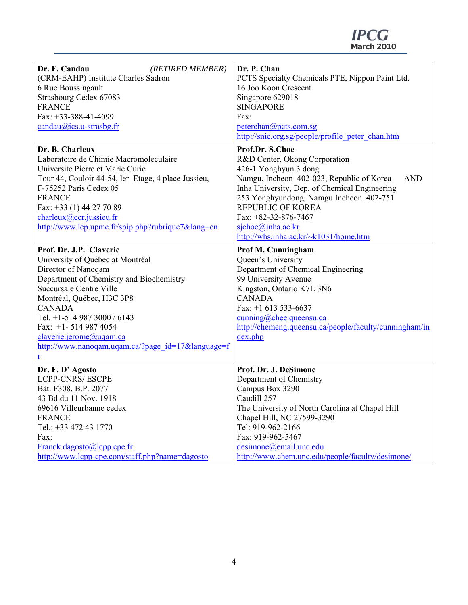| Dr. F. Candau<br>(RETIRED MEMBER)                                            | Dr. P. Chan                                                                |  |
|------------------------------------------------------------------------------|----------------------------------------------------------------------------|--|
| (CRM-EAHP) Institute Charles Sadron                                          | PCTS Specialty Chemicals PTE, Nippon Paint Ltd.                            |  |
| 6 Rue Boussingault                                                           | 16 Joo Koon Crescent                                                       |  |
| Strasbourg Cedex 67083                                                       | Singapore 629018                                                           |  |
| <b>FRANCE</b>                                                                | <b>SINGAPORE</b>                                                           |  |
| Fax: $+33-388-41-4099$                                                       | Fax:                                                                       |  |
| $candau@ics.u-strasbg.fr$                                                    | peterchan@pcts.com.sg                                                      |  |
|                                                                              | http://snic.org.sg/people/profile peter chan.htm                           |  |
| Dr. B. Charleux                                                              | Prof.Dr. S.Choe                                                            |  |
| Laboratoire de Chimie Macromoleculaire                                       | R&D Center, Okong Corporation                                              |  |
| Universite Pierre et Marie Curie                                             | 426-1 Yonghyun 3 dong                                                      |  |
| Tour 44, Couloir 44-54, ler Etage, 4 place Jussieu,                          | Namgu, Incheon 402-023, Republic of Korea<br><b>AND</b>                    |  |
| F-75252 Paris Cedex 05                                                       | Inha University, Dep. of Chemical Engineering                              |  |
| <b>FRANCE</b>                                                                | 253 Yonghyundong, Namgu Incheon 402-751                                    |  |
| Fax: +33 (1) 44 27 70 89                                                     | <b>REPUBLIC OF KOREA</b>                                                   |  |
| charleux@ccr.jussieu.fr                                                      | Fax: $+82-32-876-7467$                                                     |  |
| http://www.lcp.upmc.fr/spip.php?rubrique7⟨=en                                | sjchoe@inha.ac.kr                                                          |  |
|                                                                              | http://whs.inha.ac.kr/~k1031/home.htm                                      |  |
| Prof. Dr. J.P. Claverie                                                      | Prof M. Cunningham                                                         |  |
| University of Québec at Montréal                                             | Queen's University                                                         |  |
| Director of Nanoqam                                                          | Department of Chemical Engineering                                         |  |
| Department of Chemistry and Biochemistry                                     | 99 University Avenue                                                       |  |
| Succursale Centre Ville                                                      | Kingston, Ontario K7L 3N6                                                  |  |
| Montréal, Québec, H3C 3P8                                                    | <b>CANADA</b>                                                              |  |
| <b>CANADA</b>                                                                | Fax: $+1$ 613 533-6637                                                     |  |
| Tel. +1-514 987 3000 / 6143                                                  | cunning@chee.queensu.ca                                                    |  |
| Fax: $+1 - 5149874054$                                                       | http://chemeng.queensu.ca/people/faculty/cunningham/in                     |  |
|                                                                              |                                                                            |  |
| claverie.jerome@uqam.ca                                                      | dex.php                                                                    |  |
| $\frac{http://www.nanoqam.uqam.ca/?page id=17&language=f}{$                  |                                                                            |  |
| r                                                                            |                                                                            |  |
| Dr. F. D' Agosto                                                             | Prof. Dr. J. DeSimone                                                      |  |
| <b>LCPP-CNRS/ ESCPE</b>                                                      | Department of Chemistry                                                    |  |
| Bât. F308, B.P. 2077                                                         | Campus Box 3290                                                            |  |
| 43 Bd du 11 Nov. 1918                                                        | Caudill 257                                                                |  |
| 69616 Villeurbanne cedex                                                     | The University of North Carolina at Chapel Hill                            |  |
| <b>FRANCE</b>                                                                | Chapel Hill, NC 27599-3290                                                 |  |
| Tel.: +33 472 43 1770                                                        | Tel: 919-962-2166                                                          |  |
| Fax:                                                                         | Fax: 919-962-5467                                                          |  |
| Franck.dagosto@lcpp.cpe.fr<br>http://www.lcpp-cpe.com/staff.php?name=dagosto | desimone@email.unc.edu<br>http://www.chem.unc.edu/people/faculty/desimone/ |  |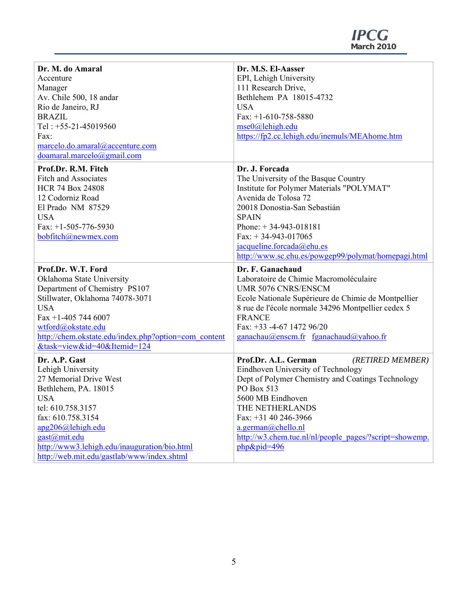**March 2010** 

| Dr. M. do Amaral                                                                           | Dr. M.S. El-Aasser                                     |
|--------------------------------------------------------------------------------------------|--------------------------------------------------------|
| Accenture                                                                                  | EPI, Lehigh University                                 |
| Manager                                                                                    | 111 Research Drive,                                    |
| Av. Chile 500, 18 andar                                                                    | Bethlehem PA 18015-4732                                |
| Rio de Janeiro, RJ                                                                         | <b>USA</b>                                             |
| <b>BRAZIL</b>                                                                              | Fax: $+1-610-758-5880$                                 |
| Tel: +55-21-45019560                                                                       | mse0@lehigh.edu                                        |
| Fax:                                                                                       |                                                        |
|                                                                                            | https://fp2.cc.lehigh.edu/inemuls/MEAhome.htm          |
| marcelo.do.amaral@accenture.com                                                            |                                                        |
| doamaral.marcelo@gmail.com                                                                 |                                                        |
| Prof.Dr. R.M. Fitch                                                                        | Dr. J. Forcada                                         |
| <b>Fitch and Associates</b>                                                                | The University of the Basque Country                   |
| <b>HCR 74 Box 24808</b>                                                                    | Institute for Polymer Materials "POLYMAT"              |
| 12 Codorniz Road                                                                           | Avenida de Tolosa 72                                   |
| El Prado NM 87529                                                                          | 20018 Donostia-San Sebastián                           |
| <b>USA</b>                                                                                 | <b>SPAIN</b>                                           |
| Fax: $+1-505-776-5930$                                                                     | Phone: $+34-943-018181$                                |
| bobfitch@newmex.com                                                                        | Fax: $+34-943-017065$                                  |
|                                                                                            | jacqueline.forcada@ehu.es                              |
|                                                                                            | http://www.sc.ehu.es/powgep99/polymat/homepagi.html    |
|                                                                                            |                                                        |
| Prof.Dr. W.T. Ford                                                                         |                                                        |
|                                                                                            | Dr. F. Ganachaud                                       |
| Oklahoma State University                                                                  | Laboratoire de Chimie Macromoléculaire                 |
| Department of Chemistry PS107                                                              | UMR 5076 CNRS/ENSCM                                    |
| Stillwater, Oklahoma 74078-3071                                                            | Ecole Nationale Supérieure de Chimie de Montpellier    |
| <b>USA</b>                                                                                 | 8 rue de l'école normale 34296 Montpellier cedex 5     |
| Fax +1-405 744 6007                                                                        | <b>FRANCE</b>                                          |
| wtford@okstate.edu                                                                         | Fax: +33 -4-67 1472 96/20                              |
| http://chem.okstate.edu/index.php?option=com_content<br>&task=view&id=40&Itemid=124        | $ganachau@enscm.fr$ fganachaud@yahoo.fr                |
|                                                                                            |                                                        |
| Dr. A.P. Gast                                                                              | Prof.Dr. A.L. German<br>(RETIRED MEMBER)               |
| Lehigh University                                                                          | Eindhoven University of Technology                     |
| 27 Memorial Drive West                                                                     | Dept of Polymer Chemistry and Coatings Technology      |
| Bethlehem, PA. 18015                                                                       | PO Box 513                                             |
| <b>USA</b>                                                                                 | 5600 MB Eindhoven                                      |
| tel: 610.758.3157                                                                          | THE NETHERLANDS                                        |
| fax: 610.758.3154                                                                          | Fax: $+31$ 40 246-3966                                 |
| apg206@lehigh.edu                                                                          | $a.$ german $(a)$ chello.nl                            |
| gast@mit.edu                                                                               | http://w3.chem.tue.nl/nl/people_pages/?script=showemp. |
| http://www3.lehigh.edu/inauguration/bio.html<br>http://web.mit.edu/gastlab/www/index.shtml | $php\&pid=496$                                         |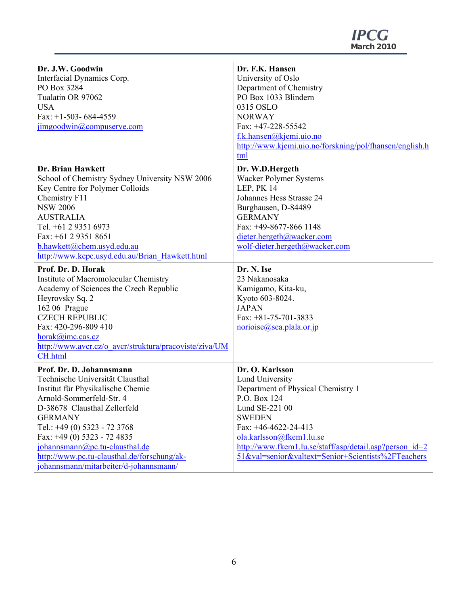| Dr. J.W. Goodwin                                       | Dr. F.K. Hansen                                         |  |
|--------------------------------------------------------|---------------------------------------------------------|--|
| Interfacial Dynamics Corp.                             | University of Oslo                                      |  |
| PO Box 3284                                            | Department of Chemistry                                 |  |
| Tualatin OR 97062                                      | PO Box 1033 Blindern                                    |  |
| <b>USA</b>                                             | 0315 OSLO                                               |  |
| Fax: $+1-503-684-4559$                                 | <b>NORWAY</b>                                           |  |
| jimgoodwin@compuserve.com                              | Fax: +47-228-55542                                      |  |
|                                                        | f.k.hansen@kjemi.uio.no                                 |  |
|                                                        | http://www.kjemi.uio.no/forskning/pol/fhansen/english.h |  |
|                                                        | tml                                                     |  |
| Dr. Brian Hawkett                                      |                                                         |  |
|                                                        | Dr. W.D.Hergeth                                         |  |
| School of Chemistry Sydney University NSW 2006         | Wacker Polymer Systems                                  |  |
| Key Centre for Polymer Colloids                        | LEP, PK 14                                              |  |
| Chemistry F11                                          | Johannes Hess Strasse 24                                |  |
| <b>NSW 2006</b>                                        | Burghausen, D-84489                                     |  |
| <b>AUSTRALIA</b>                                       | <b>GERMANY</b>                                          |  |
| Tel. +61 2 9351 6973                                   | Fax: +49-8677-866 1148                                  |  |
| Fax: $+61$ 2 9351 8651                                 | dieter.hergeth@wacker.com                               |  |
| b.hawkett@chem.usyd.edu.au                             | wolf-dieter.hergeth@wacker.com                          |  |
| http://www.kcpc.usyd.edu.au/Brian Hawkett.html         |                                                         |  |
| Prof. Dr. D. Horak                                     | Dr. N. Ise                                              |  |
| Institute of Macromolecular Chemistry                  | 23 Nakanosaka                                           |  |
| Academy of Sciences the Czech Republic                 | Kamigamo, Kita-ku,                                      |  |
| Heyrovsky Sq. 2                                        | Kyoto 603-8024.                                         |  |
| 162 06 Prague                                          | <b>JAPAN</b>                                            |  |
| <b>CZECH REPUBLIC</b>                                  | Fax: $+81-75-701-3833$                                  |  |
| Fax: 420-296-809 410                                   | $\overline{\text{norioise}(a)}$ sea.plala.or.jp         |  |
| horak@imc.cas.cz                                       |                                                         |  |
| http://www.avcr.cz/o avcr/struktura/pracoviste/ziva/UM |                                                         |  |
| CH.html                                                |                                                         |  |
| Prof. Dr. D. Johannsmann                               | Dr. O. Karlsson                                         |  |
| Technische Universität Clausthal                       |                                                         |  |
|                                                        | Lund University                                         |  |
| Institut für Physikalische Chemie                      | Department of Physical Chemistry 1                      |  |
| Arnold-Sommerfeld-Str. 4                               | P.O. Box 124                                            |  |
| D-38678 Clausthal Zellerfeld                           | Lund SE-221 00                                          |  |
| <b>GERMANY</b>                                         | <b>SWEDEN</b>                                           |  |
| Tel.: +49 (0) 5323 - 72 3768                           | Fax: $+46-4622-24-413$                                  |  |
| Fax: $+49(0)$ 5323 - 72 4835                           | ola.karlsson@fkem1.lu.se                                |  |
| johannsmann@pc.tu-clausthal.de                         | http://www.fkem1.lu.se/staff/asp/detail.asp?person_id=2 |  |
| http://www.pc.tu-clausthal.de/forschung/ak-            | 51&val=senior&valtext=Senior+Scientists%2FTeachers      |  |
| johannsmann/mitarbeiter/d-johannsmann/                 |                                                         |  |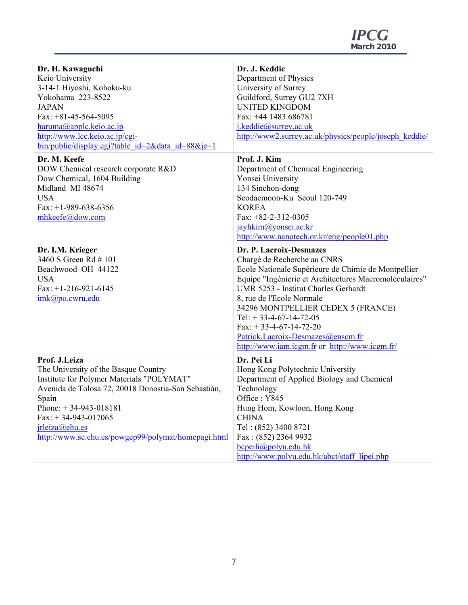| Dr. H. Kawaguchi                                    | Dr. J. Keddie                                                                                  |  |
|-----------------------------------------------------|------------------------------------------------------------------------------------------------|--|
| Keio University                                     | Department of Physics                                                                          |  |
| 3-14-1 Hiyoshi, Kohoku-ku                           | University of Surrey                                                                           |  |
| Yokohama 223-8522                                   | Guildford, Surrey GU2 7XH                                                                      |  |
| <b>JAPAN</b>                                        | <b>UNITED KINGDOM</b>                                                                          |  |
| Fax: $+81-45-564-5095$                              | Fax: +44 1483 686781                                                                           |  |
| haruma@applc.keio.ac.jp                             | j.keddie@surrey.ac.uk                                                                          |  |
| http://www.lcc.keio.ac.jp/cgi-                      | http://www2.surrey.ac.uk/physics/people/joseph keddie/                                         |  |
| $bin/public/display.cgi?table$ id=2&data id=88&je=1 |                                                                                                |  |
| Dr. M. Keefe                                        | Prof. J. Kim                                                                                   |  |
| DOW Chemical research corporate R&D                 | Department of Chemical Engineering                                                             |  |
| Dow Chemical, 1604 Building                         | Yonsei University                                                                              |  |
| Midland MI 48674                                    | 134 Sinchon-dong                                                                               |  |
| <b>USA</b>                                          | Seodaemoon-Ku Seoul 120-749                                                                    |  |
|                                                     |                                                                                                |  |
| Fax: $+1-989-638-6356$<br>mhkeefe@dow.com           | <b>KOREA</b><br>Fax: $+82-2-312-0305$                                                          |  |
|                                                     |                                                                                                |  |
|                                                     | jayhkim@yonsei.ac.kr                                                                           |  |
|                                                     | http://www.nanotech.or.kr/eng/people01.php                                                     |  |
| Dr. I.M. Krieger                                    | Dr. P. Lacroix-Desmazes                                                                        |  |
| 3460 S Green Rd # 101                               | Chargé de Recherche au CNRS                                                                    |  |
|                                                     |                                                                                                |  |
| Beachwood OH 44122                                  |                                                                                                |  |
|                                                     | Ecole Nationale Supérieure de Chimie de Montpellier                                            |  |
| <b>USA</b>                                          | Equipe "Ingénierie et Architectures Macromoléculaires"<br>UMR 5253 - Institut Charles Gerhardt |  |
| Fax: $+1-216-921-6145$                              |                                                                                                |  |
| imk@po.cwru.edu                                     | 8, rue de l'Ecole Normale                                                                      |  |
|                                                     | 34296 MONTPELLIER CEDEX 5 (FRANCE)                                                             |  |
|                                                     | Tél: $+ 33-4-67-14-72-05$                                                                      |  |
|                                                     | Fax: $+ 33-4-67-14-72-20$                                                                      |  |
|                                                     | Patrick.Lacroix-Desmazes@enscm.fr                                                              |  |
|                                                     | http://www.iam.icgm.fr or http://www.icgm.fr/                                                  |  |
| Prof. J.Leiza                                       | Dr. Pei Li                                                                                     |  |
| The University of the Basque Country                | Hong Kong Polytechnic University                                                               |  |
| Institute for Polymer Materials "POLYMAT"           | Department of Applied Biology and Chemical                                                     |  |
| Avenida de Tolosa 72, 20018 Donostia-San Sebastián, | Technology                                                                                     |  |
| Spain                                               | Office: Y845                                                                                   |  |
| Phone: $+34-943-018181$                             | Hung Hom, Kowloon, Hong Kong                                                                   |  |
| Fax: $+34-943-017065$                               | <b>CHINA</b>                                                                                   |  |
| jrleiza@ehu.es                                      | Tel: (852) 3400 8721                                                                           |  |
| http://www.sc.ehu.es/powgep99/polymat/homepagi.html | Fax: (852) 2364 9932                                                                           |  |
|                                                     | $b$ cpeili@polyu.edu.hk<br>http://www.polyu.edu.hk/abct/staff lipei.php                        |  |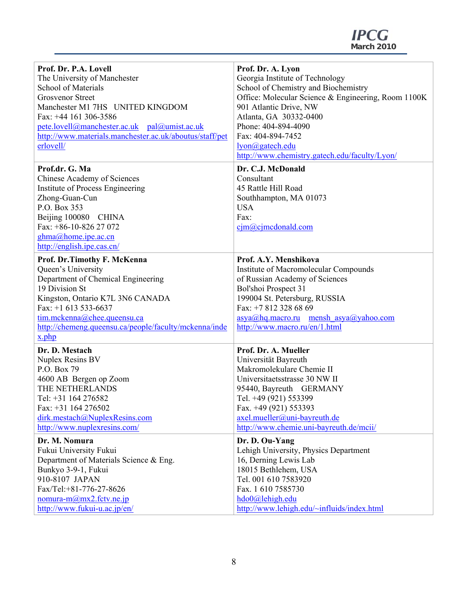**March 2010** 

| Prof. Dr. P.A. Lovell                                   | Prof. Dr. A. Lyon                                   |
|---------------------------------------------------------|-----------------------------------------------------|
| The University of Manchester                            | Georgia Institute of Technology                     |
| <b>School of Materials</b>                              | School of Chemistry and Biochemistry                |
| <b>Grosvenor Street</b>                                 | Office: Molecular Science & Engineering, Room 1100K |
| Manchester M1 7HS UNITED KINGDOM                        | 901 Atlantic Drive, NW                              |
| Fax: +44 161 306-3586                                   | Atlanta, GA 30332-0400                              |
| pete.lovell@manchester.ac.uk pal@umist.ac.uk            | Phone: 404-894-4090                                 |
| http://www.materials.manchester.ac.uk/aboutus/staff/pet | Fax: 404-894-7452                                   |
| erlovell/                                               | lyon@gatech.edu                                     |
|                                                         | http://www.chemistry.gatech.edu/faculty/Lyon/       |
| Prof.dr. G. Ma                                          | Dr. C.J. McDonald                                   |
| Chinese Academy of Sciences                             | Consultant                                          |
| Institute of Process Engineering                        | 45 Rattle Hill Road                                 |
| Zhong-Guan-Cun                                          | Southhampton, MA 01073                              |
| P.O. Box 353                                            | <b>USA</b>                                          |
| Beijing 100080 CHINA                                    | Fax:                                                |
| Fax: +86-10-826 27 072                                  | $\text{c}$ jm $\textcircled{a}$ cjmcdonald.com      |
| ghma@home.ipe.ac.cn                                     |                                                     |
| http://english.ipe.cas.cn/                              |                                                     |
| Prof. Dr.Timothy F. McKenna                             | Prof. A.Y. Menshikova                               |
| Queen's University                                      | Institute of Macromolecular Compounds               |
| Department of Chemical Engineering                      | of Russian Academy of Sciences                      |
| 19 Division St                                          | Bol'shoi Prospect 31                                |
| Kingston, Ontario K7L 3N6 CANADA                        | 199004 St. Petersburg, RUSSIA                       |
| Fax: $+1$ 613 533-6637                                  | Fax: +7 812 328 68 69                               |
| tim.mckenna@chee.queensu.ca                             | asya@hq.macro.ru mensh asya@yahoo.com               |
| http://chemeng.queensu.ca/people/faculty/mckenna/inde   | http://www.macro.ru/en/1.html                       |
| x.php                                                   |                                                     |
| Dr. D. Mestach                                          | Prof. Dr. A. Mueller                                |
| Nuplex Resins BV                                        | Universität Bayreuth                                |
| P.O. Box 79                                             | Makromolekulare Chemie II                           |
| 4600 AB Bergen op Zoom                                  | Universitaetsstrasse 30 NW II                       |
| THE NETHERLANDS                                         | 95440, Bayreuth GERMANY                             |
| Tel: +31 164 276582                                     | Tel. +49 (921) 553399                               |
| Fax: +31 164 276502                                     | Fax. +49 (921) 553393                               |
| dirk.mestach@NuplexResins.com                           | axel.mueller@uni-bayreuth.de                        |
| http://www.nuplexresins.com/                            | http://www.chemie.uni-bayreuth.de/mcii/             |
| Dr. M. Nomura                                           | Dr. D. Ou-Yang                                      |
| Fukui University Fukui                                  | Lehigh University, Physics Department               |
| Department of Materials Science & Eng.                  | 16, Derning Lewis Lab                               |
| Bunkyo 3-9-1, Fukui                                     | 18015 Bethlehem, USA                                |
| 910-8107 JAPAN                                          | Tel. 001 610 7583920                                |
| Fax/Tel:+81-776-27-8626                                 | Fax. 1 610 7585730                                  |
| nomura-m $\omega$ mx2.fctv.ne.jp                        | hdo0@lehigh.edu                                     |
| http://www.fukui-u.ac.jp/en/                            | http://www.lehigh.edu/~influids/index.html          |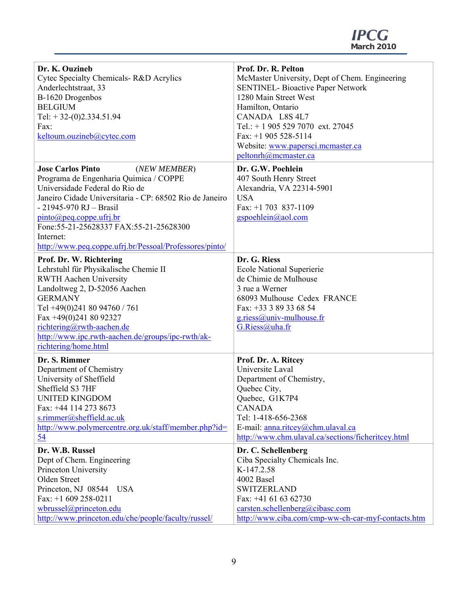| Dr. K. Ouzineb                                          | Prof. Dr. R. Pelton                                |
|---------------------------------------------------------|----------------------------------------------------|
| Cytec Specialty Chemicals-R&D Acrylics                  | McMaster University, Dept of Chem. Engineering     |
| Anderlechtstraat, 33                                    | <b>SENTINEL- Bioactive Paper Network</b>           |
|                                                         |                                                    |
| B-1620 Drogenbos                                        | 1280 Main Street West                              |
| <b>BELGIUM</b>                                          | Hamilton, Ontario                                  |
| Tel: $+32-(0)2.334.51.94$                               | CANADA L8S 4L7                                     |
| Fax:                                                    | Tel.: $+ 19055297070$ ext. 27045                   |
| keltoum.ouzineb@cytec.com                               | Fax: $+1$ 905 528-5114                             |
|                                                         | Website: www.papersci.mcmaster.ca                  |
|                                                         |                                                    |
|                                                         | peltonrh@mcmaster.ca                               |
| <b>Jose Carlos Pinto</b><br>(NEW MEMBER)                | Dr. G.W. Poehlein                                  |
| Programa de Engenharia Quimica / COPPE                  | 407 South Henry Street                             |
| Universidade Federal do Rio de                          | Alexandria, VA 22314-5901                          |
| Janeiro Cidade Universitaria - CP: 68502 Rio de Janeiro | <b>USA</b>                                         |
|                                                         |                                                    |
| - 21945-970 RJ - Brasil                                 | Fax: $+1$ 703 837-1109                             |
| $pinto(\partial_t)$ peq.coppe.ufrj.br                   | gspoehlein@aol.com                                 |
| Fone: 55-21-25628337 FAX: 55-21-25628300                |                                                    |
| Internet:                                               |                                                    |
| http://www.peq.coppe.ufrj.br/Pessoal/Professores/pinto/ |                                                    |
|                                                         |                                                    |
| Prof. Dr. W. Richtering                                 | Dr. G. Riess                                       |
| Lehrstuhl für Physikalische Chemie II                   | <b>Ecole National Superierie</b>                   |
| <b>RWTH Aachen University</b>                           | de Chimie de Mulhouse                              |
| Landoltweg 2, D-52056 Aachen                            | 3 rue a Werner                                     |
| <b>GERMANY</b>                                          | 68093 Mulhouse Cedex FRANCE                        |
| Tel +49(0)241 80 94760 / 761                            | Fax: +33 3 89 33 68 54                             |
| Fax +49(0)241 80 92327                                  |                                                    |
|                                                         | $g.ries(a)$ univ-mulhouse.fr                       |
| richtering@rwth-aachen.de                               | G.Riess@uha.fr                                     |
| http://www.ipc.rwth-aachen.de/groups/ipc-rwth/ak-       |                                                    |
| richtering/home.html                                    |                                                    |
| Dr. S. Rimmer                                           | Prof. Dr. A. Ritcey                                |
| Department of Chemistry                                 | Universite Laval                                   |
|                                                         |                                                    |
| University of Sheffield                                 | Department of Chemistry,                           |
| Sheffield S3 7HF                                        | Quebec City,                                       |
| <b>UNITED KINGDOM</b>                                   | Quebec, G1K7P4                                     |
| Fax: +44 114 273 8673                                   | <b>CANADA</b>                                      |
| s.rimmer@sheffield.ac.uk                                | Tel: 1-418-656-2368                                |
| http://www.polymercentre.org.uk/staff/member.php?id=    | E-mail: anna.ritcey@chm.ulaval.ca                  |
| 54                                                      | http://www.chm.ulaval.ca/sections/ficheritcey.html |
|                                                         |                                                    |
| Dr. W.B. Russel                                         | Dr. C. Schellenberg                                |
| Dept of Chem. Engineering                               | Ciba Specialty Chemicals Inc.                      |
| Princeton University                                    | K-147.2.58                                         |
| Olden Street                                            | 4002 Basel                                         |
| Princeton, NJ 08544 USA                                 | <b>SWITZERLAND</b>                                 |
| Fax: $+1$ 609 258-0211                                  | Fax: $+41$ 61 63 62730                             |
| wbrussel@princeton.edu                                  | carsten.schellenberg@cibasc.com                    |
|                                                         |                                                    |
| http://www.princeton.edu/che/people/faculty/russel/     | http://www.ciba.com/cmp-ww-ch-car-myf-contacts.htm |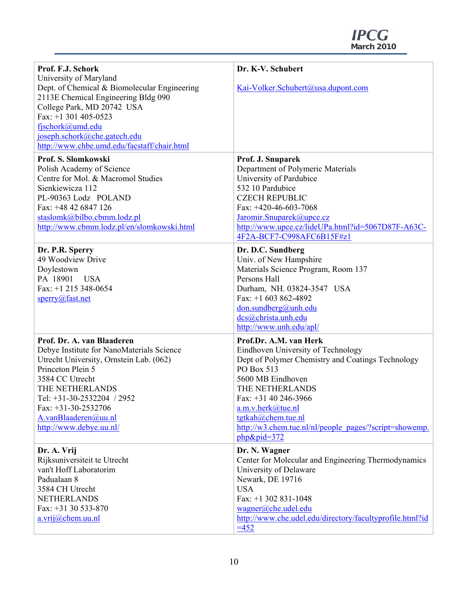**March 2010** 

| Prof. F.J. Schork<br>University of Maryland                                                                                                                                                                                                                                             | Dr. K-V. Schubert                                                                                                                                                                                                                                                                                                              |
|-----------------------------------------------------------------------------------------------------------------------------------------------------------------------------------------------------------------------------------------------------------------------------------------|--------------------------------------------------------------------------------------------------------------------------------------------------------------------------------------------------------------------------------------------------------------------------------------------------------------------------------|
| Dept. of Chemical & Biomolecular Engineering<br>2113E Chemical Engineering Bldg 090<br>College Park, MD 20742 USA<br>Fax: $+1$ 301 405-0523<br>fjschork@umd.edu<br>joseph.schork@che.gatech.edu<br>http://www.chbe.umd.edu/facstaff/chair.html                                          | Kai-Volker.Schubert@usa.dupont.com                                                                                                                                                                                                                                                                                             |
| Prof. S. Slomkowski<br>Polish Academy of Science<br>Centre for Mol. & Macromol Studies<br>Sienkiewicza 112<br>PL-90363 Lodz POLAND<br>Fax: +48 42 6847 126<br>staslomk@bilbo.cbmm.lodz.pl<br>http://www.cbmm.lodz.pl/en/slomkowski.html                                                 | Prof. J. Snuparek<br>Department of Polymeric Materials<br>University of Pardubice<br>532 10 Pardubice<br><b>CZECH REPUBLIC</b><br>Fax: +420-46-603-7068<br>Jaromir.Snuparek@upce.cz<br>http://www.upce.cz/lideUPa.html?id=5067D87F-A63C-<br>4F2A-BCF7-C998AFC6B15F#z1                                                          |
| Dr. P.R. Sperry<br>49 Woodview Drive<br>Doylestown<br>PA 18901 USA<br>Fax: $+1$ 215 348-0654<br>sperry@fast.net                                                                                                                                                                         | Dr. D.C. Sundberg<br>Univ. of New Hampshire<br>Materials Science Program, Room 137<br>Persons Hall<br>Durham, NH. 03824-3547 USA<br>Fax: $+1$ 603 862-4892<br>don. sundberg@unh.edu<br>dcs@christa.unh.edu<br>http://www.unh.edu/apl/                                                                                          |
| Prof. Dr. A. van Blaaderen<br>Debye Institute for NanoMaterials Science<br>Utrecht University, Ornstein Lab. (062)<br>Princeton Plein 5<br>3584 CC Utrecht<br>THE NETHERLANDS<br>Tel: +31-30-2532204 / 2952<br>Fax: $+31-30-2532706$<br>A.vanBlaaderen@uu.nl<br>http://www.debye.uu.nl/ | Prof.Dr. A.M. van Herk<br>Eindhoven University of Technology<br>Dept of Polymer Chemistry and Coatings Technology<br>PO Box 513<br>5600 MB Eindhoven<br>THE NETHERLANDS<br>Fax: $+31$ 40 246-3966<br>$a.m.v.$ herk $@$ tue.nl<br>tgtkah@chem.tue.nl<br>http://w3.chem.tue.nl/nl/people_pages/?script=showemp.<br>$php&pid=372$ |
| Dr. A. Vrij<br>Rijksuniversiteit te Utrecht<br>van't Hoff Laboratorim<br>Padualaan 8<br>3584 CH Utrecht<br><b>NETHERLANDS</b><br>Fax: +31 30 533-870<br>a.vrij@chem.uu.nl                                                                                                               | Dr. N. Wagner<br>Center for Molecular and Engineering Thermodynamics<br>University of Delaware<br>Newark, DE 19716<br><b>USA</b><br>Fax: $+1$ 302 831-1048<br>wagner@che.udel.edu<br>http://www.che.udel.edu/directory/facultyprofile.html?id<br>$=452$                                                                        |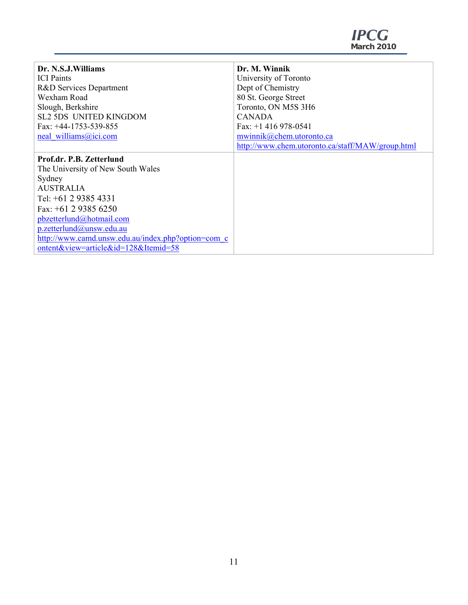| Dr. N.S.J.Williams                                 | Dr. M. Winnik                                    |
|----------------------------------------------------|--------------------------------------------------|
| <b>ICI</b> Paints                                  | University of Toronto                            |
| R&D Services Department                            | Dept of Chemistry                                |
| Wexham Road                                        | 80 St. George Street                             |
| Slough, Berkshire                                  | Toronto, ON M5S 3H6                              |
| <b>SL2 5DS UNITED KINGDOM</b>                      | <b>CANADA</b>                                    |
| Fax: $+44-1753-539-855$                            | Fax: $+1$ 416 978-0541                           |
| neal williams@ici.com                              | mwinnik@chem.utoronto.ca                         |
|                                                    | http://www.chem.utoronto.ca/staff/MAW/group.html |
| Prof.dr. P.B. Zetterlund                           |                                                  |
| The University of New South Wales                  |                                                  |
| Sydney                                             |                                                  |
| <b>AUSTRALIA</b>                                   |                                                  |
| Tel: $+61$ 2 9385 4331                             |                                                  |
| Fax: $+61$ 2 9385 6250                             |                                                  |
| pbzetterlund@hotmail.com                           |                                                  |
| p.zetterlund@unsw.edu.au                           |                                                  |
| http://www.camd.unsw.edu.au/index.php?option=com_c |                                                  |
| ontent&view=article&id=128&Itemid=58               |                                                  |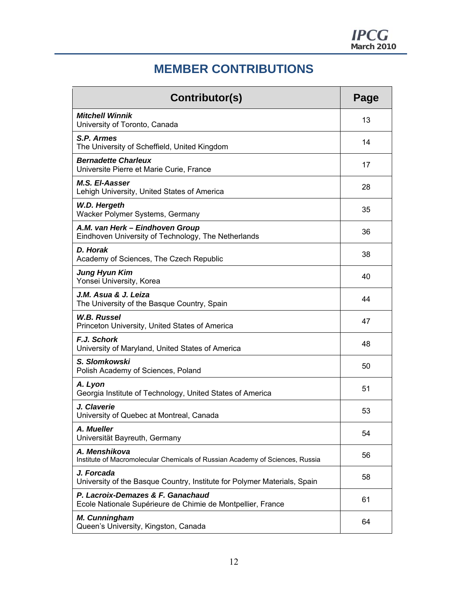## **MEMBER CONTRIBUTIONS**

| Contributor(s)                                                                                   | Page |
|--------------------------------------------------------------------------------------------------|------|
| <b>Mitchell Winnik</b><br>University of Toronto, Canada                                          | 13   |
| S.P. Armes<br>The University of Scheffield, United Kingdom                                       | 14   |
| <b>Bernadette Charleux</b><br>Universite Pierre et Marie Curie, France                           | 17   |
| <b>M.S. El-Aasser</b><br>Lehigh University, United States of America                             | 28   |
| W.D. Hergeth<br>Wacker Polymer Systems, Germany                                                  | 35   |
| A.M. van Herk - Eindhoven Group<br>Eindhoven University of Technology, The Netherlands           | 36   |
| D. Horak<br>Academy of Sciences, The Czech Republic                                              | 38   |
| <b>Jung Hyun Kim</b><br>Yonsei University, Korea                                                 | 40   |
| J.M. Asua & J. Leiza<br>The University of the Basque Country, Spain                              | 44   |
| <b>W.B. Russel</b><br>Princeton University, United States of America                             | 47   |
| F.J. Schork<br>University of Maryland, United States of America                                  | 48   |
| S. Slomkowski<br>Polish Academy of Sciences, Poland                                              | 50   |
| A. Lyon<br>Georgia Institute of Technology, United States of America                             | 51   |
| J. Claverie<br>University of Quebec at Montreal, Canada                                          | 53   |
| A. Mueller<br>Universität Bayreuth, Germany                                                      | 54   |
| A. Menshikova<br>Institute of Macromolecular Chemicals of Russian Academy of Sciences, Russia    | 56   |
| J. Forcada<br>University of the Basque Country, Institute for Polymer Materials, Spain           | 58   |
| P. Lacroix-Demazes & F. Ganachaud<br>Ecole Nationale Supérieure de Chimie de Montpellier, France | 61   |
| M. Cunningham<br>Queen's University, Kingston, Canada                                            | 64   |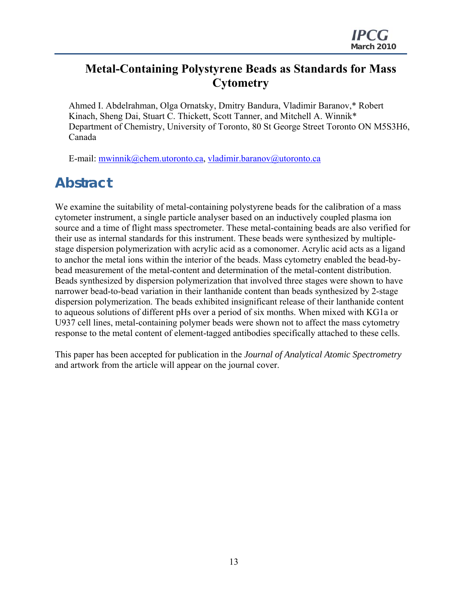## **Metal-Containing Polystyrene Beads as Standards for Mass Cytometry**

Ahmed I. Abdelrahman, Olga Ornatsky, Dmitry Bandura, Vladimir Baranov,\* Robert Kinach, Sheng Dai, Stuart C. Thickett, Scott Tanner, and Mitchell A. Winnik\* Department of Chemistry, University of Toronto, 80 St George Street Toronto ON M5S3H6, Canada

E-mail: mwinnik@chem.utoronto.ca, vladimir.baranov@utoronto.ca

## **Abstract**

We examine the suitability of metal-containing polystyrene beads for the calibration of a mass cytometer instrument, a single particle analyser based on an inductively coupled plasma ion source and a time of flight mass spectrometer. These metal-containing beads are also verified for their use as internal standards for this instrument. These beads were synthesized by multiplestage dispersion polymerization with acrylic acid as a comonomer. Acrylic acid acts as a ligand to anchor the metal ions within the interior of the beads. Mass cytometry enabled the bead-bybead measurement of the metal-content and determination of the metal-content distribution. Beads synthesized by dispersion polymerization that involved three stages were shown to have narrower bead-to-bead variation in their lanthanide content than beads synthesized by 2-stage dispersion polymerization. The beads exhibited insignificant release of their lanthanide content to aqueous solutions of different pHs over a period of six months. When mixed with KG1a or U937 cell lines, metal-containing polymer beads were shown not to affect the mass cytometry response to the metal content of element-tagged antibodies specifically attached to these cells.

This paper has been accepted for publication in the *Journal of Analytical Atomic Spectrometry* and artwork from the article will appear on the journal cover.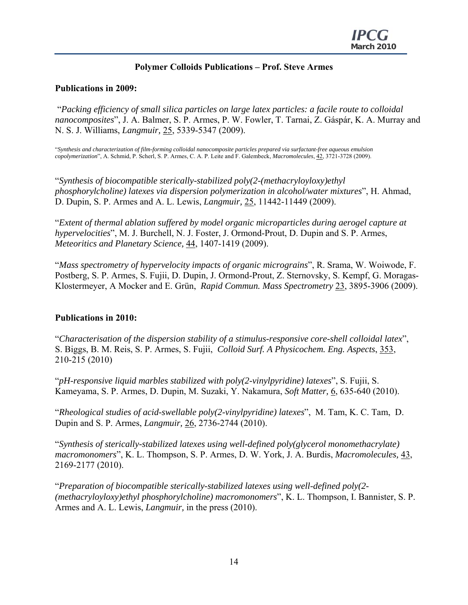## **Polymer Colloids Publications – Prof. Steve Armes**

## **Publications in 2009:**

 "*Packing efficiency of small silica particles on large latex particles: a facile route to colloidal nanocomposites*", J. A. Balmer, S. P. Armes, P. W. Fowler, T. Tarnai, Z. Gáspár, K. A. Murray and N. S. J. Williams, *Langmuir,* 25, 5339-5347 (2009).

"*Synthesis and characterization of film-forming colloidal nanocomposite particles prepared via surfactant-free aqueous emulsion copolymerization*", A. Schmid, P. Scherl, S. P. Armes, C. A. P. Leite and F. Galembeck, *Macromolecules*, 42, 3721-3728 (2009).

"*Synthesis of biocompatible sterically-stabilized poly(2-(methacryloyloxy)ethyl phosphorylcholine) latexes via dispersion polymerization in alcohol/water mixtures*", H. Ahmad, D. Dupin, S. P. Armes and A. L. Lewis, *Langmuir,* 25, 11442-11449 (2009).

"*Extent of thermal ablation suffered by model organic microparticles during aerogel capture at hypervelocities*", M. J. Burchell, N. J. Foster, J. Ormond-Prout, D. Dupin and S. P. Armes, *Meteoritics and Planetary Science,* 44, 1407-1419 (2009).

"*Mass spectrometry of hypervelocity impacts of organic micrograins*", R. Srama, W. Woiwode, F. Postberg, S. P. Armes, S. Fujii, D. Dupin, J. Ormond-Prout, Z. Sternovsky, S. Kempf, G. Moragas-Klostermeyer, A Mocker and E. Grün, *Rapid Commun. Mass Spectrometry* 23, 3895-3906 (2009).

#### **Publications in 2010:**

"*Characterisation of the dispersion stability of a stimulus-responsive core-shell colloidal latex*", S. Biggs, B. M. Reis, S. P. Armes, S. Fujii, *Colloid Surf. A Physicochem. Eng. Aspects*, 353, 210-215 (2010)

"*pH-responsive liquid marbles stabilized with poly(2-vinylpyridine) latexes*", S. Fujii, S. Kameyama, S. P. Armes, D. Dupin, M. Suzaki, Y. Nakamura, *Soft Matter,* 6, 635-640 (2010).

"*Rheological studies of acid-swellable poly(2-vinylpyridine) latexes*", M. Tam, K. C. Tam, D. Dupin and S. P. Armes, *Langmuir,* 26, 2736-2744 (2010).

"*Synthesis of sterically-stabilized latexes using well-defined poly(glycerol monomethacrylate) macromonomers*", K. L. Thompson, S. P. Armes, D. W. York, J. A. Burdis, *Macromolecules,* 43, 2169-2177 (2010).

"*Preparation of biocompatible sterically-stabilized latexes using well-defined poly(2- (methacryloyloxy)ethyl phosphorylcholine) macromonomers*", K. L. Thompson, I. Bannister, S. P. Armes and A. L. Lewis, *Langmuir,* in the press (2010).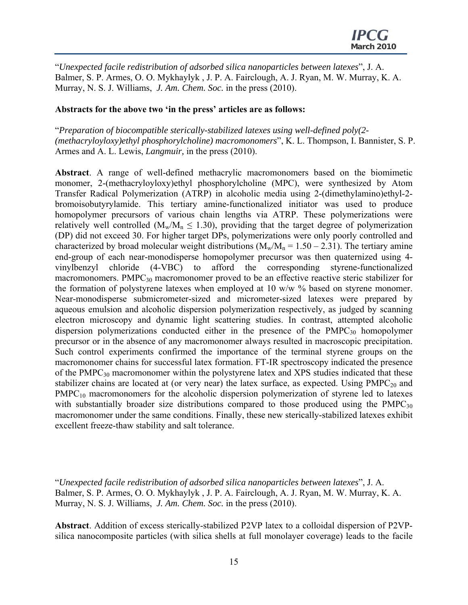"*Unexpected facile redistribution of adsorbed silica nanoparticles between latexes*", J. A. Balmer, S. P. Armes, O. O. Mykhaylyk , J. P. A. Fairclough, A. J. Ryan, M. W. Murray, K. A. Murray, N. S. J. Williams, *J. Am. Chem. Soc.* in the press (2010).

#### **Abstracts for the above two 'in the press' articles are as follows:**

"*Preparation of biocompatible sterically-stabilized latexes using well-defined poly(2- (methacryloyloxy)ethyl phosphorylcholine) macromonomers*", K. L. Thompson, I. Bannister, S. P. Armes and A. L. Lewis, *Langmuir,* in the press (2010).

**Abstract**. A range of well-defined methacrylic macromonomers based on the biomimetic monomer, 2-(methacryloyloxy)ethyl phosphorylcholine (MPC), were synthesized by Atom Transfer Radical Polymerization (ATRP) in alcoholic media using 2-(dimethylamino)ethyl-2 bromoisobutyrylamide. This tertiary amine-functionalized initiator was used to produce homopolymer precursors of various chain lengths via ATRP. These polymerizations were relatively well controlled ( $M_w/M_n \le 1.30$ ), providing that the target degree of polymerization (DP) did not exceed 30. For higher target DPs, polymerizations were only poorly controlled and characterized by broad molecular weight distributions  $(M_w/M_n = 1.50 - 2.31)$ . The tertiary amine end-group of each near-monodisperse homopolymer precursor was then quaternized using 4 vinylbenzyl chloride (4-VBC) to afford the corresponding styrene-functionalized macromonomers. PMPC<sub>30</sub> macromonomer proved to be an effective reactive steric stabilizer for the formation of polystyrene latexes when employed at 10 w/w % based on styrene monomer. Near-monodisperse submicrometer-sized and micrometer-sized latexes were prepared by aqueous emulsion and alcoholic dispersion polymerization respectively, as judged by scanning electron microscopy and dynamic light scattering studies. In contrast, attempted alcoholic dispersion polymerizations conducted either in the presence of the  $PMPC_{30}$  homopolymer precursor or in the absence of any macromonomer always resulted in macroscopic precipitation. Such control experiments confirmed the importance of the terminal styrene groups on the macromonomer chains for successful latex formation. FT-IR spectroscopy indicated the presence of the  $PMPC_{30}$  macromonomer within the polystyrene latex and XPS studies indicated that these stabilizer chains are located at (or very near) the latex surface, as expected. Using  $PMPC_{20}$  and  $PMPC_{10}$  macromonomers for the alcoholic dispersion polymerization of styrene led to latexes with substantially broader size distributions compared to those produced using the  $PMPC_{30}$ macromonomer under the same conditions. Finally, these new sterically-stabilized latexes exhibit excellent freeze-thaw stability and salt tolerance.

"*Unexpected facile redistribution of adsorbed silica nanoparticles between latexes*", J. A. Balmer, S. P. Armes, O. O. Mykhaylyk , J. P. A. Fairclough, A. J. Ryan, M. W. Murray, K. A. Murray, N. S. J. Williams, *J. Am. Chem. Soc.* in the press (2010).

**Abstract**. Addition of excess sterically-stabilized P2VP latex to a colloidal dispersion of P2VPsilica nanocomposite particles (with silica shells at full monolayer coverage) leads to the facile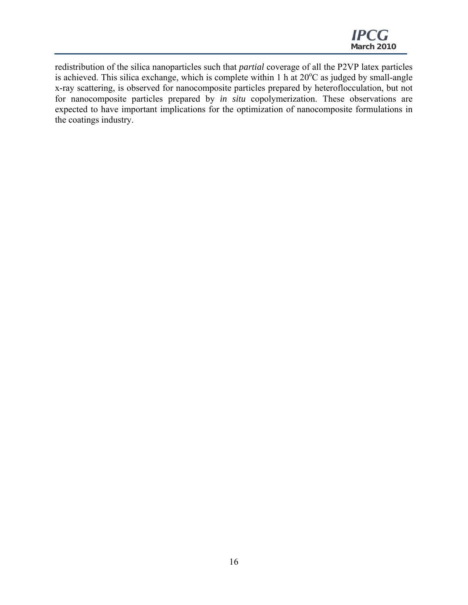redistribution of the silica nanoparticles such that *partial* coverage of all the P2VP latex particles is achieved. This silica exchange, which is complete within 1 h at  $20^{\circ}$ C as judged by small-angle x-ray scattering, is observed for nanocomposite particles prepared by heteroflocculation, but not for nanocomposite particles prepared by *in situ* copolymerization. These observations are expected to have important implications for the optimization of nanocomposite formulations in the coatings industry.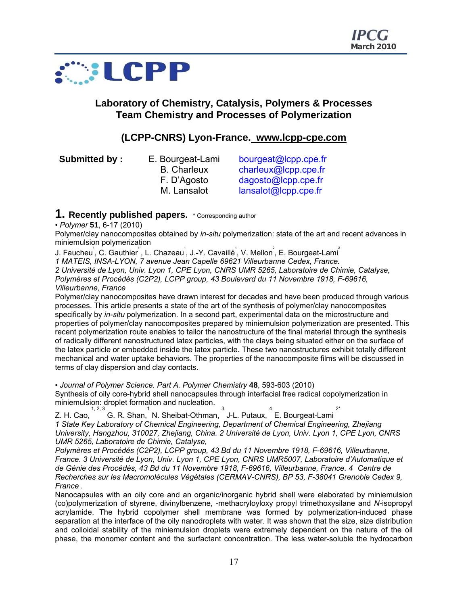

## **Laboratory of Chemistry, Catalysis, Polymers & Processes Team Chemistry and Processes of Polymerization**

## **(LCPP-CNRS) Lyon-France. www.lcpp-cpe.com**

**Submitted by :** E. Bourgeat-Lami

B. Charleux

bourgeat@lcpp.cpe.fr charleux@lcpp.cpe.fr F. D'Agosto dagosto@lcpp.cpe.fr M. Lansalot lansalot@lcpp.cpe.fr

## **1. Recently published papers.** \* Corresponding author

• *Polymer* **51**, 6-17 (2010)

Polymer/clay nanocomposites obtained by *in-situ* polymerization: state of the art and recent advances in miniemulsion polymerization

J. Faucheu<sup>'</sup>, C. Gauthier<sup>''</sup>, L. Chazeau<sup>'</sup>, J.-Y. Cavaillé<sup>'</sup>, V. Mellon<sup>°</sup>, E. Bourgeat-Lami<sup>°</sup> *1 MATEIS, INSA-LYON, 7 avenue Jean Capelle 69621 Villeurbanne Cedex, France. 2 Université de Lyon, Univ. Lyon 1, CPE Lyon, CNRS UMR 5265, Laboratoire de Chimie, Catalyse, Polymères et Procédés (C2P2), LCPP group, 43 Boulevard du 11 Novembre 1918, F-69616, Villeurbanne, France* 

Polymer/clay nanocomposites have drawn interest for decades and have been produced through various processes. This article presents a state of the art of the synthesis of polymer/clay nanocomposites specifically by *in-situ* polymerization. In a second part, experimental data on the microstructure and properties of polymer/clay nanocomposites prepared by miniemulsion polymerization are presented. This recent polymerization route enables to tailor the nanostructure of the final material through the synthesis of radically different nanostructured latex particles, with the clays being situated either on the surface of the latex particle or embedded inside the latex particle. These two nanostructures exhibit totally different mechanical and water uptake behaviors. The properties of the nanocomposite films will be discussed in terms of clay dispersion and clay contacts.

• *Journal of Polymer Science. Part A. Polymer Chemistry* **48**, 593-603 (2010)

Synthesis of oily core-hybrid shell nanocapsules through interfacial free radical copolymerization in Synthesis of ony core riperre creation.<br>miniemulsion: droplet formation and nucleation.

z. H. Cao, G. R. Shan, N. Sheibat-Othman, J-L. Putaux, E. Bourgeat-Lami 2\*

*1 State Key Laboratory of Chemical Engineering, Department of Chemical Engineering, Zhejiang University, Hangzhou, 310027, Zhejiang, China. 2 Université de Lyon, Univ. Lyon 1, CPE Lyon, CNRS UMR 5265, Laboratoire de Chimie, Catalyse,* 

*Polymères et Procédés (C2P2), LCPP group, 43 Bd du 11 Novembre 1918, F-69616, Villeurbanne, France. 3 Université de Lyon, Univ. Lyon 1, CPE Lyon, CNRS UMR5007, Laboratoire d'Automatique et de Génie des Procédés, 43 Bd du 11 Novembre 1918, F-69616, Villeurbanne, France. 4 Centre de Recherches sur les Macromolécules Végétales (CERMAV-CNRS), BP 53, F-38041 Grenoble Cedex 9, France .* 

Nanocapsules with an oily core and an organic/inorganic hybrid shell were elaborated by miniemulsion (co)polymerization of styrene, divinylbenzene, -methacryloyloxy propyl trimethoxysilane and *N*-isopropyl acrylamide. The hybrid copolymer shell membrane was formed by polymerization-induced phase separation at the interface of the oily nanodroplets with water. It was shown that the size, size distribution and colloidal stability of the miniemulsion droplets were extremely dependent on the nature of the oil phase, the monomer content and the surfactant concentration. The less water-soluble the hydrocarbon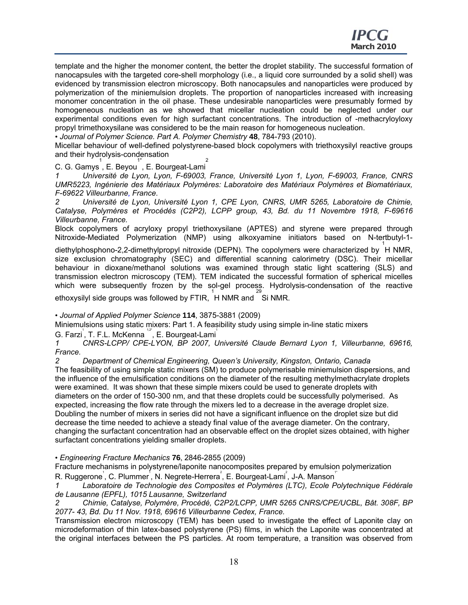template and the higher the monomer content, the better the droplet stability. The successful formation of nanocapsules with the targeted core-shell morphology (i.e., a liquid core surrounded by a solid shell) was evidenced by transmission electron microscopy. Both nanocapsules and nanoparticles were produced by polymerization of the miniemulsion droplets. The proportion of nanoparticles increased with increasing monomer concentration in the oil phase. These undesirable nanoparticles were presumably formed by homogeneous nucleation as we showed that micellar nucleation could be neglected under our experimental conditions even for high surfactant concentrations. The introduction of -methacryloyloxy propyl trimethoxysilane was considered to be the main reason for homogeneous nucleation.

• *Journal of Polymer Science. Part A. Polymer Chemistry* **48**, 784-793 (2010).

Micellar behaviour of well-defined polystyrene-based block copolymers with triethoxysilyl reactive groups and their hydrolysis-condensation

C. G. Gamys,E. Beyou,E. Bourgeat-Lami 2

*1 Université de Lyon, Lyon, F-69003, France, Université Lyon 1, Lyon, F-69003, France, CNRS UMR5223, Ingénierie des Matériaux Polymères: Laboratoire des Matériaux Polymères et Biomatériaux, F-69622 Villeurbanne, France.* 

*2 Université de Lyon, Université Lyon 1, CPE Lyon, CNRS, UMR 5265, Laboratoire de Chimie, Catalyse, Polymères et Procédés (C2P2), LCPP group, 43, Bd. du 11 Novembre 1918, F-69616 Villeurbanne, France.* 

Block copolymers of acryloxy propyl triethoxysilane (APTES) and styrene were prepared through Nitroxide-Mediated Polymerization (NMP) using alkoxyamine initiators based on N-tertbutyl-1-

diethylphosphono-2,2-dimethylpropyl nitroxide (DEPN). The copolymers were characterized by <sup>1</sup>H NMR, size exclusion chromatography (SEC) and differential scanning calorimetry (DSC). Their micellar behaviour in dioxane/methanol solutions was examined through static light scattering (SLS) and transmission electron microscopy (TEM). TEM indicated the successful formation of spherical micelles which were subsequently frozen by the sol-gel process. Hydrolysis-condensation of the reactive

ethoxysilyl side groups was followed by FTIR, H NMR and Si NMR.

• *Journal of Applied Polymer Science* **114**, 3875-3881 (2009)

Miniemulsions using static mixers: Part 1. A feasibility study using simple in-line static mixers

G. Farzi<sup>'</sup>, T. F.L. McKenna<sup>12</sup><sup>"</sup>, E. Bourgeat-Lami<sup>'</sup>

*1 CNRS-LCPP/ CPE-LYON, BP 2007, Université Claude Bernard Lyon 1, Villeurbanne, 69616, France.* 

*2 Department of Chemical Engineering, Queen's University, Kingston, Ontario, Canada*  The feasibility of using simple static mixers (SM) to produce polymerisable miniemulsion dispersions, and the influence of the emulsification conditions on the diameter of the resulting methylmethacrylate droplets were examined. It was shown that these simple mixers could be used to generate droplets with diameters on the order of 150-300 nm, and that these droplets could be successfully polymerised. As expected, increasing the flow rate through the mixers led to a decrease in the average droplet size. Doubling the number of mixers in series did not have a significant influence on the droplet size but did decrease the time needed to achieve a steady final value of the average diameter. On the contrary, changing the surfactant concentration had an observable effect on the droplet sizes obtained, with higher surfactant concentrations yielding smaller droplets.

• *Engineering Fracture Mechanics* **76**, 2846-2855 (2009)

Fracture mechanisms in polystyrene/laponite nanocomposites prepared by emulsion polymerization R. Ruggerone<sup>'</sup>, C. Plummer<sup>1</sup>, N. Negrete-Herrera<sup>°</sup>, E. Bourgeat-Lami<sup>°</sup>, J-A. Manson<sup>"</sup>

*1 Laboratoire de Technologie des Composites et Polymères (LTC), Ecole Polytechnique Fédérale de Lausanne (EPFL), 1015 Lausanne, Switzerland* 

*2 Chimie, Catalyse, Polymère, Procédé, C2P2/LCPP, UMR 5265 CNRS/CPE/UCBL, Bât. 308F, BP 2077- 43, Bd. Du 11 Nov. 1918, 69616 Villeurbanne Cedex, France.* 

Transmission electron microscopy (TEM) has been used to investigate the effect of Laponite clay on microdeformation of thin latex-based polystyrene (PS) films, in which the Laponite was concentrated at the original interfaces between the PS particles. At room temperature, a transition was observed from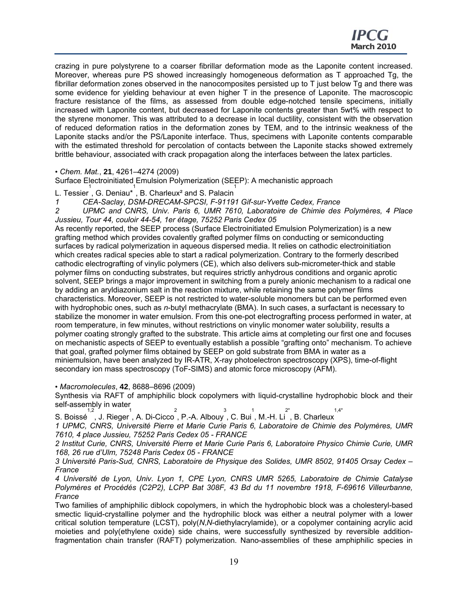crazing in pure polystyrene to a coarser fibrillar deformation mode as the Laponite content increased. Moreover, whereas pure PS showed increasingly homogeneous deformation as T approached Tg, the fibrillar deformation zones observed in the nanocomposites persisted up to T just below Tg and there was some evidence for yielding behaviour at even higher T in the presence of Laponite. The macroscopic fracture resistance of the films, as assessed from double edge-notched tensile specimens, initially increased with Laponite content, but decreased for Laponite contents greater than 5wt% with respect to the styrene monomer. This was attributed to a decrease in local ductility, consistent with the observation of reduced deformation ratios in the deformation zones by TEM, and to the intrinsic weakness of the Laponite stacks and/or the PS/Laponite interface. Thus, specimens with Laponite contents comparable with the estimated threshold for percolation of contacts between the Laponite stacks showed extremely brittle behaviour, associated with crack propagation along the interfaces between the latex particles.

• *Chem. Mat.*, **21**, 4261–4274 (2009)

Surface Electroinitiated Emulsion Polymerization (SEEP): A mechanistic approach

L. Tessier, G. Deniau<sup>\*</sup>, B. Charleux<sup>2</sup> and S. Palacin<sup>1</sup>

*1 CEA-Saclay, DSM-DRECAM-SPCSI, F-91191 Gif-sur-Yvette Cedex, France* 

*2 UPMC and CNRS, Univ. Paris 6, UMR 7610, Laboratoire de Chimie des Polymères, 4 Place Jussieu, Tour 44, couloir 44-54, 1er étage, 75252 Paris Cedex 05* 

As recently reported, the SEEP process (Surface Electroinitiated Emulsion Polymerization) is a new grafting method which provides covalently grafted polymer films on conducting or semiconducting surfaces by radical polymerization in aqueous dispersed media. It relies on cathodic electroinitiation which creates radical species able to start a radical polymerization. Contrary to the formerly described cathodic electrografting of vinylic polymers (CE), which also delivers sub-micrometer-thick and stable polymer films on conducting substrates, but requires strictly anhydrous conditions and organic aprotic solvent, SEEP brings a major improvement in switching from a purely anionic mechanism to a radical one by adding an aryldiazonium salt in the reaction mixture, while retaining the same polymer films characteristics. Moreover, SEEP is not restricted to water-soluble monomers but can be performed even with hydrophobic ones, such as *n*-butyl methacrylate (BMA). In such cases, a surfactant is necessary to stabilize the monomer in water emulsion. From this one-pot electrografting process performed in water, at room temperature, in few minutes, without restrictions on vinylic monomer water solubility, results a polymer coating strongly grafted to the substrate. This article aims at completing our first one and focuses on mechanistic aspects of SEEP to eventually establish a possible "grafting onto" mechanism. To achieve that goal, grafted polymer films obtained by SEEP on gold substrate from BMA in water as a miniemulsion, have been analyzed by IR-ATR, X-ray photoelectron spectroscopy (XPS), time-of-flight secondary ion mass spectroscopy (ToF-SIMS) and atomic force microscopy (AFM).

• *Macromolecules*, **42**, 8688–8696 (2009)

Synthesis via RAFT of amphiphilic block copolymers with liquid-crystalline hydrophobic block and their self-assembly in water  $1,4*$ 

S. Boissé ,J. Rieger,A. Di-Cicco,P.-A. Albouy,C. Bui,M.-H. Li ,B. Charleux

*1 UPMC, CNRS, Université Pierre et Marie Curie Paris 6, Laboratoire de Chimie des Polymères, UMR 7610, 4 place Jussieu, 75252 Paris Cedex 05 - FRANCE* 

*2 Institut Curie, CNRS, Université Pierre et Marie Curie Paris 6, Laboratoire Physico Chimie Curie, UMR 168, 26 rue d'Ulm, 75248 Paris Cedex 05 - FRANCE* 

*3 Université Paris-Sud, CNRS, Laboratoire de Physique des Solides, UMR 8502, 91405 Orsay Cedex – France* 

*4 Université de Lyon, Univ. Lyon 1, CPE Lyon, CNRS UMR 5265, Laboratoire de Chimie Catalyse Polymères et Procédés (C2P2), LCPP Bat 308F, 43 Bd du 11 novembre 1918, F-69616 Villeurbanne, France* 

Two families of amphiphilic diblock copolymers, in which the hydrophobic block was a cholesteryl-based smectic liquid-crystalline polymer and the hydrophilic block was either a neutral polymer with a lower critical solution temperature (LCST), poly(*N*,*N*-diethylacrylamide), or a copolymer containing acrylic acid moieties and poly(ethylene oxide) side chains, were successfully synthesized by reversible additionfragmentation chain transfer (RAFT) polymerization. Nano-assemblies of these amphiphilic species in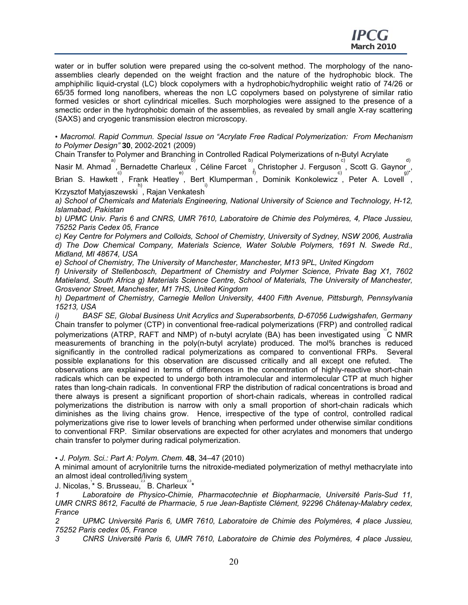water or in buffer solution were prepared using the co-solvent method. The morphology of the nanoassemblies clearly depended on the weight fraction and the nature of the hydrophobic block. The amphiphilic liquid-crystal (LC) block copolymers with a hydrophobic/hydrophilic weight ratio of 74/26 or 65/35 formed long nanofibers, whereas the non LC copolymers based on polystyrene of similar ratio formed vesicles or short cylindrical micelles. Such morphologies were assigned to the presence of a smectic order in the hydrophobic domain of the assemblies, as revealed by small angle X-ray scattering (SAXS) and cryogenic transmission electron microscopy.

• *Macromol. Rapid Commun. Special Issue on "Acrylate Free Radical Polymerization: From Mechanism to Polymer Design"* **30**, 2002-2021 (2009)

Chain Transfer to Polymer and Branching in Controlled Radical Polymerizations of n-Butyl Acrylate

Nasir M. Ahmad<sup>a</sup>, Bernadette Charleux<sup>b</sup>, Céline Farcet b, Christopher J. Ferguson<sup>o</sup>, Scott G. Gaynor<sub>g)</sub>, Brian S. Hawkett, Frank Heatley, Bert Klumperman, Dominik Konkolewicz, Peter A. Lovell, Krzysztof Matyjaszewski h) , Rajan Venkatesh i)

*a) School of Chemicals and Materials Engineering, National University of Science and Technology, H-12, Islamabad, Pakistan* 

*b) UPMC Univ. Paris 6 and CNRS, UMR 7610, Laboratoire de Chimie des Polymères, 4, Place Jussieu, 75252 Paris Cedex 05, France* 

*c) Key Centre for Polymers and Colloids, School of Chemistry, University of Sydney, NSW 2006, Australia d) The Dow Chemical Company, Materials Science, Water Soluble Polymers, 1691 N. Swede Rd., Midland, MI 48674, USA* 

*e) School of Chemistry, The University of Manchester, Manchester, M13 9PL, United Kingdom* 

*f) University of Stellenbosch, Department of Chemistry and Polymer Science, Private Bag X1, 7602 Matieland, South Africa g) Materials Science Centre, School of Materials, The University of Manchester, Grosvenor Street, Manchester, M1 7HS, United Kingdom* 

*h) Department of Chemistry, Carnegie Mellon University, 4400 Fifth Avenue, Pittsburgh, Pennsylvania 15213, USA* 

*i) BASF SE, Global Business Unit Acrylics and Superabsorbents, D-67056 Ludwigshafen, Germany*  Chain transfer to polymer (CTP) in conventional free-radical polymerizations (FRP) and controlled radical polymerizations (ATRP, RAFT and NMP) of n-butyl acrylate (BA) has been investigated using <sup>"</sup>C NMR measurements of branching in the poly(n-butyl acrylate) produced. The mol% branches is reduced significantly in the controlled radical polymerizations as compared to conventional FRPs. Several possible explanations for this observation are discussed critically and all except one refuted. The observations are explained in terms of differences in the concentration of highly-reactive short-chain radicals which can be expected to undergo both intramolecular and intermolecular CTP at much higher rates than long-chain radicals. In conventional FRP the distribution of radical concentrations is broad and there always is present a significant proportion of short-chain radicals, whereas in controlled radical polymerizations the distribution is narrow with only a small proportion of short-chain radicals which diminishes as the living chains grow. Hence, irrespective of the type of control, controlled radical polymerizations give rise to lower levels of branching when performed under otherwise similar conditions to conventional FRP. Similar observations are expected for other acrylates and monomers that undergo chain transfer to polymer during radical polymerization.

• *J. Polym. Sci.: Part A: Polym. Chem.* **48**, 34–47 (2010)

A minimal amount of acrylonitrile turns the nitroxide-mediated polymerization of methyl methacrylate into an almost ideal controlled/living system

J. Nicolas,<sup>1</sup>\* S. Brusseau,<sup>23</sup> B. Charleux<sup>23</sup>\*

*1 Laboratoire de Physico-Chimie, Pharmacotechnie et Biopharmacie, Université Paris-Sud 11, UMR CNRS 8612, Faculté de Pharmacie, 5 rue Jean-Baptiste Clément, 92296 Châtenay-Malabry cedex, France* 

*2 UPMC Université Paris 6, UMR 7610, Laboratoire de Chimie des Polymères, 4 place Jussieu, 75252 Paris cedex 05, France* 

*3 CNRS Université Paris 6, UMR 7610, Laboratoire de Chimie des Polymères, 4 place Jussieu,*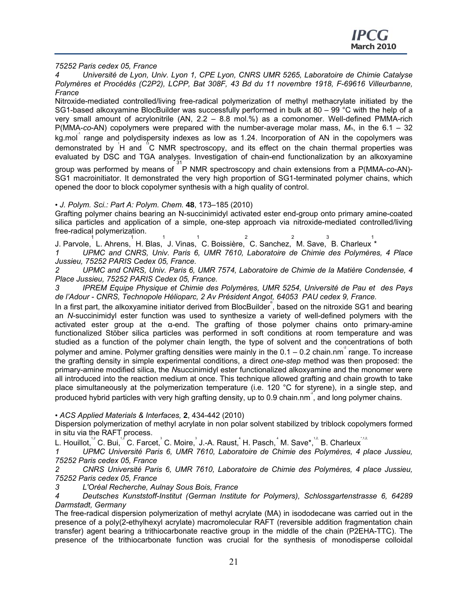*75252 Paris cedex 05, France* 

*4 Université de Lyon, Univ. Lyon 1, CPE Lyon, CNRS UMR 5265, Laboratoire de Chimie Catalyse Polymères et Procédés (C2P2), LCPP, Bat 308F, 43 Bd du 11 novembre 1918, F-69616 Villeurbanne, France* 

Nitroxide-mediated controlled/living free-radical polymerization of methyl methacrylate initiated by the SG1-based alkoxyamine BlocBuilder was successfully performed in bulk at 80 – 99 °C with the help of a very small amount of acrylonitrile (AN, 2.2 – 8.8 mol.%) as a comonomer. Well-defined PMMA-rich P(MMA-*co*-AN) copolymers were prepared with the number-average molar mass, *M*n, in the 6.1 – 32 kg.mol range and polydispersity indexes as low as 1.24. Incorporation of AN in the copolymers was demonstrated by H and <sup>®</sup>C NMR spectroscopy, and its effect on the chain thermal properties was evaluated by DSC and TGA analyses. Investigation of chain-end functionalization by an alkoxyamine

group was performed by means of 31 P NMR spectroscopy and chain extensions from a P(MMA-*co*-AN)- SG1 macroinitiator. It demonstrated the very high proportion of SG1-terminated polymer chains, which opened the door to block copolymer synthesis with a high quality of control.

• *J. Polym. Sci.: Part A: Polym. Chem.* **48**, 173–185 (2010)

Grafting polymer chains bearing an N-succinimidyl activated ester end-group onto primary amine-coated silica particles and application of a simple, one-step approach via nitroxide-mediated controlled/living free-radical polymerization.

J. Parvole, L. Ahrens, H. Blas, J. Vinas, C. Boissière, C. Sanchez, M. Save, B. Charleux \*

*1 UPMC and CNRS, Univ. Paris 6, UMR 7610, Laboratoire de Chimie des Polymères, 4 Place Jussieu, 75252 PARIS Cedex 05, France.* 

*2 UPMC and CNRS, Univ. Paris 6, UMR 7574, Laboratoire de Chimie de la Matière Condensée, 4 Place Jussieu, 75252 PARIS Cedex 05, France.* 

*3 IPREM Equipe Physique et Chimie des Polymères, UMR 5254, Université de Pau et des Pays de l'Adour - CNRS, Technopole Hélioparc, 2 Av Président Angot, 64053 PAU cedex 9, France.* 

In a first part, the alkoxyamine initiator derived from BlocBuilder<sup>®</sup>, based on the nitroxide SG1 and bearing an *N*-succinimidyl ester function was used to synthesize a variety of well-defined polymers with the activated ester group at the  $\alpha$ -end. The grafting of those polymer chains onto primary-amine functionalized Stöber silica particles was performed in soft conditions at room temperature and was studied as a function of the polymer chain length, the type of solvent and the concentrations of both polymer and amine. Polymer grafting densities were mainly in the  $0.1 - 0.2$  chain.nm  $\hat{i}$  range. To increase the grafting density in simple experimental conditions, a direct *one-step* method was then proposed: the primary-amine modified silica, the *N*succinimidyl ester functionalized alkoxyamine and the monomer were all introduced into the reaction medium at once. This technique allowed grafting and chain growth to take place simultaneously at the polymerization temperature (i.e. 120 °C for styrene), in a single step, and produced hybrid particles with very high grafting density, up to 0.9 chain.nm<sup>2</sup>, and long polymer chains.

• *ACS Applied Materials & Interfaces,* **2**, 434-442 (2010)

Dispersion polymerization of methyl acrylate in non polar solvent stabilized by triblock copolymers formed in situ via the RAFT process.

L. Houillot, $^{^{12}}$  C. Bui, $^{^{12}}$  C. Farcet,  $^{^{3}}$  C. Moire,  $^{^{3}}$  J.-A. Raust,  $^{^{4}}$  H. Pasch,  $^{^{4}}$  M. Save\*,  $^{^{12}}$  B. Charleux  $^{^{112}}$ 

*1 UPMC Université Paris 6, UMR 7610, Laboratoire de Chimie des Polymères, 4 place Jussieu, 75252 Paris cedex 05, France* 

*2 CNRS Université Paris 6, UMR 7610, Laboratoire de Chimie des Polymères, 4 place Jussieu, 75252 Paris cedex 05, France* 

*3 L'Oréal Recherche, Aulnay Sous Bois, France* 

*4 Deutsches Kunststoff-Institut (German Institute for Polymers), Schlossgartenstrasse 6, 64289 Darmstadt, Germany* 

The free-radical dispersion polymerization of methyl acrylate (MA) in isododecane was carried out in the presence of a poly(2-ethylhexyl acrylate) macromolecular RAFT (reversible addition fragmentation chain transfer) agent bearing a trithiocarbonate reactive group in the middle of the chain (P2EHA-TTC). The presence of the trithiocarbonate function was crucial for the synthesis of monodisperse colloidal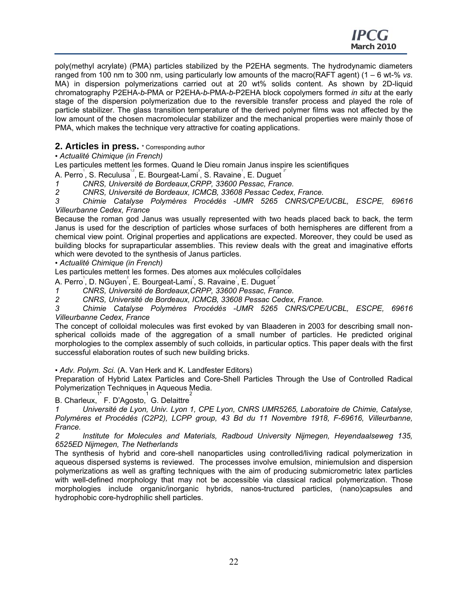poly(methyl acrylate) (PMA) particles stabilized by the P2EHA segments. The hydrodynamic diameters ranged from 100 nm to 300 nm, using particularly low amounts of the macro(RAFT agent) (1 – 6 wt-% *vs*. MA) in dispersion polymerizations carried out at 20 wt% solids content. As shown by 2D-liquid chromatography P2EHA-*b*-PMA or P2EHA-*b*-PMA-*b*-P2EHA block copolymers formed *in situ* at the early stage of the dispersion polymerization due to the reversible transfer process and played the role of particle stabilizer. The glass transition temperature of the derived polymer films was not affected by the low amount of the chosen macromolecular stabilizer and the mechanical properties were mainly those of PMA, which makes the technique very attractive for coating applications.

## **2. Articles in press.** \* Corresponding author

• *Actualité Chimique (in French)* 

Les particules mettent les formes. Quand le Dieu romain Janus inspire les scientifiques

A. Perro<sup>'</sup>, S. Reculusa<sup>12</sup>, E. Bourgeat-Lami<sup>3</sup>, S. Ravaine<sup>1</sup>, E. Duguet<sup>2</sup>

*1 CNRS, Université de Bordeaux,CRPP, 33600 Pessac, France.* 

*2 CNRS, Université de Bordeaux, ICMCB, 33608 Pessac Cedex, France.* 

*3 Chimie Catalyse Polymères Procédés -UMR 5265 CNRS/CPE/UCBL, ESCPE, 69616 Villeurbanne Cedex, France* 

Because the roman god Janus was usually represented with two heads placed back to back, the term Janus is used for the description of particles whose surfaces of both hemispheres are different from a chemical view point. Original properties and applications are expected. Moreover, they could be used as building blocks for supraparticular assemblies. This review deals with the great and imaginative efforts which were devoted to the synthesis of Janus particles.

• *Actualité Chimique (in French)* 

Les particules mettent les formes. Des atomes aux molécules colloïdales

A. Perro<sup>'</sup>, D. NGuyen<sup>°</sup>, E. Bourgeat-Lami<sup>°</sup>, S. Ravaine<sup>'</sup>, E. Duguet <sup>?</sup>'

*1 CNRS, Université de Bordeaux,CRPP, 33600 Pessac, France.* 

*2 CNRS, Université de Bordeaux, ICMCB, 33608 Pessac Cedex, France.* 

*3 Chimie Catalyse Polymères Procédés -UMR 5265 CNRS/CPE/UCBL, ESCPE, 69616 Villeurbanne Cedex, France* 

The concept of colloidal molecules was first evoked by van Blaaderen in 2003 for describing small nonspherical colloids made of the aggregation of a small number of particles. He predicted original morphologies to the complex assembly of such colloids, in particular optics. This paper deals with the first successful elaboration routes of such new building bricks.

• *Adv. Polym. Sci.* (A. Van Herk and K. Landfester Editors)

Preparation of Hybrid Latex Particles and Core-Shell Particles Through the Use of Controlled Radical Polymerization Techniques in Aqueous Media.

B. Charleux, F. D'Agosto, G. Delaittre 1\* 1 2

*1 Université de Lyon, Univ. Lyon 1, CPE Lyon, CNRS UMR5265, Laboratoire de Chimie, Catalyse, Polymères et Procédés (C2P2), LCPP group, 43 Bd du 11 Novembre 1918, F-69616, Villeurbanne, France.* 

*2 Institute for Molecules and Materials, Radboud University Nijmegen, Heyendaalseweg 135, 6525ED Nijmegen, The Netherlands* 

The synthesis of hybrid and core-shell nanoparticles using controlled/living radical polymerization in aqueous dispersed systems is reviewed. The processes involve emulsion, miniemulsion and dispersion polymerizations as well as grafting techniques with the aim of producing submicrometric latex particles with well-defined morphology that may not be accessible via classical radical polymerization. Those morphologies include organic/inorganic hybrids, nanos-tructured particles, (nano)capsules and hydrophobic core-hydrophilic shell particles.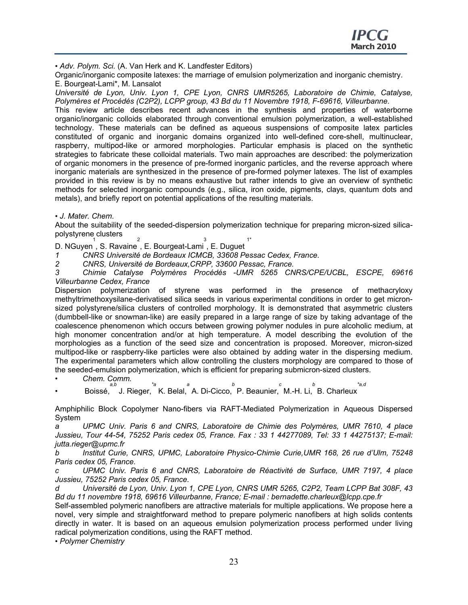• *Adv. Polym. Sci.* (A. Van Herk and K. Landfester Editors)

Organic/inorganic composite latexes: the marriage of emulsion polymerization and inorganic chemistry. E. Bourgeat-Lami\*, M. Lansalot

*Université de Lyon, Univ. Lyon 1, CPE Lyon, CNRS UMR5265, Laboratoire de Chimie, Catalyse, Polymères et Procédés (C2P2), LCPP group, 43 Bd du 11 Novembre 1918, F-69616, Villeurbanne.* 

This review article describes recent advances in the synthesis and properties of waterborne organic/inorganic colloids elaborated through conventional emulsion polymerization, a well-established technology. These materials can be defined as aqueous suspensions of composite latex particles constituted of organic and inorganic domains organized into well-defined core-shell, multinuclear, raspberry, multipod-like or armored morphologies. Particular emphasis is placed on the synthetic strategies to fabricate these colloidal materials. Two main approaches are described: the polymerization of organic monomers in the presence of pre-formed inorganic particles, and the reverse approach where inorganic materials are synthesized in the presence of pre-formed polymer latexes. The list of examples provided in this review is by no means exhaustive but rather intends to give an overview of synthetic methods for selected inorganic compounds (e.g., silica, iron oxide, pigments, clays, quantum dots and metals), and briefly report on potential applications of the resulting materials.

• *J. Mater. Chem.* 

About the suitability of the seeded-dispersion polymerization technique for preparing micron-sized silicapolystyrene clusters  $\mathcal{L}$ 

D. NGuyen 1 , S. Ravaine , E. Bourgeat-Lami 3 , E. Duguet 1\*

*1 CNRS Université de Bordeaux ICMCB, 33608 Pessac Cedex, France.* 

*2 CNRS, Université de Bordeaux,CRPP, 33600 Pessac, France.* 

*3 Chimie Catalyse Polymères Procédés -UMR 5265 CNRS/CPE/UCBL, ESCPE, 69616 Villeurbanne Cedex, France* 

Dispersion polymerization of styrene was performed in the presence of methacryloxy methyltrimethoxysilane-derivatised silica seeds in various experimental conditions in order to get micronsized polystyrene/silica clusters of controlled morphology. It is demonstrated that asymmetric clusters (dumbbell-like or snowman-like) are easily prepared in a large range of size by taking advantage of the coalescence phenomenon which occurs between growing polymer nodules in pure alcoholic medium, at high monomer concentration and/or at high temperature. A model describing the evolution of the morphologies as a function of the seed size and concentration is proposed. Moreover, micron-sized multipod-like or raspberry-like particles were also obtained by adding water in the dispersing medium. The experimental parameters which allow controlling the clusters morphology are compared to those of the seeded-emulsion polymerization, which is efficient for preparing submicron-sized clusters.

• *Chem. Comm.* 

• Boissé, *a,b* J. Rieger, *\*a* K. Belal, *a* A. Di-Cicco, *b* P. Beaunier, *c* M.-H. Li, *b* B. Charleux *\*a,d* 

Amphiphilic Block Copolymer Nano-fibers via RAFT-Mediated Polymerization in Aqueous Dispersed System

*a UPMC Univ. Paris 6 and CNRS, Laboratoire de Chimie des Polymères, UMR 7610, 4 place Jussieu, Tour 44-54, 75252 Paris cedex 05, France. Fax : 33 1 44277089, Tel: 33 1 44275137; E-mail: jutta.rieger@upmc.fr* 

*b Institut Curie, CNRS, UPMC, Laboratoire Physico-Chimie Curie,UMR 168, 26 rue d'Ulm, 75248 Paris cedex 05, France.* 

*c UPMC Univ. Paris 6 and CNRS, Laboratoire de Réactivité de Surface, UMR 7197, 4 place Jussieu, 75252 Paris cedex 05, France.* 

*d Université de Lyon, Univ. Lyon 1, CPE Lyon, CNRS UMR 5265, C2P2, Team LCPP Bat 308F, 43 Bd du 11 novembre 1918, 69616 Villeurbanne, France; E-mail : bernadette.charleux@lcpp.cpe.fr* 

Self-assembled polymeric nanofibers are attractive materials for multiple applications. We propose here a novel, very simple and straightforward method to prepare polymeric nanofibers at high solids contents directly in water. It is based on an aqueous emulsion polymerization process performed under living radical polymerization conditions, using the RAFT method.

• *Polymer Chemistry*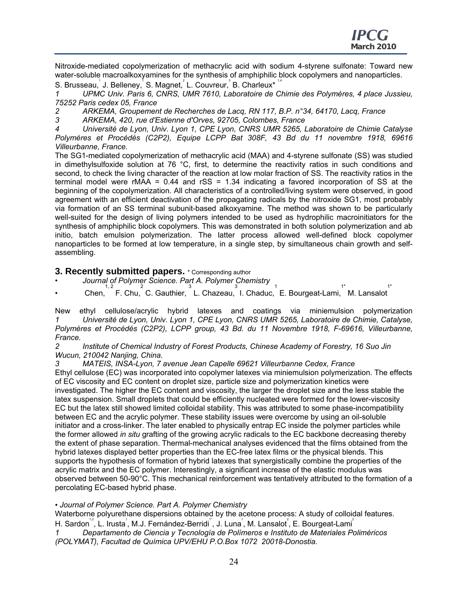Nitroxide-mediated copolymerization of methacrylic acid with sodium 4-styrene sulfonate: Toward new water-soluble macroalkoxyamines for the synthesis of amphiphilic block copolymers and nanoparticles.

S. Brusseau, J. Belleney, S. Magnet, L. Couvreur, B. Charleux\* 14

*1 UPMC Univ. Paris 6, CNRS, UMR 7610, Laboratoire de Chimie des Polymères, 4 place Jussieu, 75252 Paris cedex 05, France* 

*2 ARKEMA, Groupement de Recherches de Lacq, RN 117, B.P. n°34, 64170, Lacq, France* 

*3 ARKEMA, 420, rue d'Estienne d'Orves, 92705, Colombes, France* 

*4 Université de Lyon, Univ. Lyon 1, CPE Lyon, CNRS UMR 5265, Laboratoire de Chimie Catalyse Polymères et Procédés (C2P2), Equipe LCPP Bat 308F, 43 Bd du 11 novembre 1918, 69616 Villeurbanne, France.* 

The SG1-mediated copolymerization of methacrylic acid (MAA) and 4-styrene sulfonate (SS) was studied in dimethylsulfoxide solution at 76 °C, first, to determine the reactivity ratios in such conditions and second, to check the living character of the reaction at low molar fraction of SS. The reactivity ratios in the terminal model were  $rMAA = 0.44$  and  $rSS = 1.34$  indicating a favored incorporation of SS at the beginning of the copolymerization. All characteristics of a controlled/living system were observed, in good agreement with an efficient deactivation of the propagating radicals by the nitroxide SG1, most probably via formation of an SS terminal subunit-based alkoxyamine. The method was shown to be particularly well-suited for the design of living polymers intended to be used as hydrophilic macroinitiators for the synthesis of amphiphilic block copolymers. This was demonstrated in both solution polymerization and ab initio, batch emulsion polymerization. The latter process allowed well-defined block copolymer nanoparticles to be formed at low temperature, in a single step, by simultaneous chain growth and selfassembling.

- **3. Recently submitted papers.** \* Corresponding author<br>• *Journal of Polymer Science. Part A. Polymer Chemistry*
- Chen, F. Chu, C. Gauthier, L. Chazeau, I. Chaduc, E. Bourgeat-Lami, M. Lansalot 1\* 1\*

New ethyl cellulose/acrylic hybrid latexes and coatings via miniemulsion polymerization *1 Université de Lyon, Univ. Lyon 1, CPE Lyon, CNRS UMR 5265, Laboratoire de Chimie, Catalyse, Polymères et Procédés (C2P2), LCPP group, 43 Bd. du 11 Novembre 1918, F-69616, Villeurbanne, France.* 

*2 Institute of Chemical Industry of Forest Products, Chinese Academy of Forestry, 16 Suo Jin Wucun, 210042 Nanjing, China.* 

*3 MATEIS, INSA-Lyon, 7 avenue Jean Capelle 69621 Villeurbanne Cedex, France* 

Ethyl cellulose (EC) was incorporated into copolymer latexes via miniemulsion polymerization. The effects of EC viscosity and EC content on droplet size, particle size and polymerization kinetics were investigated. The higher the EC content and viscosity, the larger the droplet size and the less stable the latex suspension. Small droplets that could be efficiently nucleated were formed for the lower-viscosity EC but the latex still showed limited colloidal stability. This was attributed to some phase-incompatibility between EC and the acrylic polymer. These stability issues were overcome by using an oil-soluble initiator and a cross-linker. The later enabled to physically entrap EC inside the polymer particles while the former allowed *in situ* grafting of the growing acrylic radicals to the EC backbone decreasing thereby the extent of phase separation. Thermal-mechanical analyses evidenced that the films obtained from the hybrid latexes displayed better properties than the EC-free latex films or the physical blends. This supports the hypothesis of formation of hybrid latexes that synergistically combine the properties of the acrylic matrix and the EC polymer. Interestingly, a significant increase of the elastic modulus was observed between 50-90°C. This mechanical reinforcement was tentatively attributed to the formation of a percolating EC-based hybrid phase.

#### • *Journal of Polymer Science. Part A. Polymer Chemistry*

Waterborne polyurethane dispersions obtained by the acetone process: A study of colloidal features.

H. Sardon<sup>12</sup>, L. Irusta<sup>1</sup>, M.J. Fernández-Berridi<sup>n</sup>, J. Luna<sup>1</sup>, M. Lansalot<sup>2</sup>, E. Bourgeat-Lami<sup>2</sup>

*1 Departamento de Ciencia y Tecnología de Polímeros e Instituto de Materiales Poliméricos (POLYMAT), Facultad de Química UPV/EHU P.O.Box 1072 20018-Donostia.*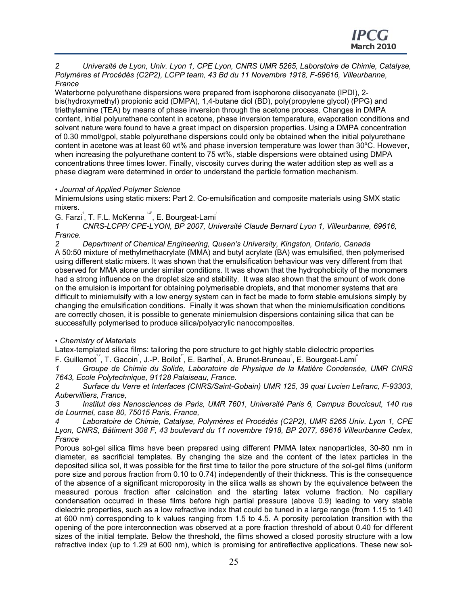*2 Université de Lyon, Univ. Lyon 1, CPE Lyon, CNRS UMR 5265, Laboratoire de Chimie, Catalyse, Polymères et Procédés (C2P2), LCPP team, 43 Bd du 11 Novembre 1918, F-69616, Villeurbanne, France* 

Waterborne polyurethane dispersions were prepared from isophorone diisocyanate (IPDI), 2 bis(hydroxymethyl) propionic acid (DMPA), 1,4-butane diol (BD), poly(propylene glycol) (PPG) and triethylamine (TEA) by means of phase inversion through the acetone process. Changes in DMPA content, initial polyurethane content in acetone, phase inversion temperature, evaporation conditions and solvent nature were found to have a great impact on dispersion properties. Using a DMPA concentration of 0.30 mmol/gpol, stable polyurethane dispersions could only be obtained when the initial polyurethane content in acetone was at least 60 wt% and phase inversion temperature was lower than 30ºC. However, when increasing the polyurethane content to 75 wt%, stable dispersions were obtained using DMPA concentrations three times lower. Finally, viscosity curves during the water addition step as well as a phase diagram were determined in order to understand the particle formation mechanism.

#### • *Journal of Applied Polymer Science*

Miniemulsions using static mixers: Part 2. Co-emulsification and composite materials using SMX static mixers.

G. Farzi<sup>'</sup>, T. F.L. McKenna<sup>12</sup><sup>'</sup>, E. Bourgeat-Lami<sup>'</sup>

*1 CNRS-LCPP/ CPE-LYON, BP 2007, Université Claude Bernard Lyon 1, Villeurbanne, 69616, France.* 

*2 Department of Chemical Engineering, Queen's University, Kingston, Ontario, Canada*  A 50:50 mixture of methylmethacrylate (MMA) and butyl acrylate (BA) was emulsified, then polymerised using different static mixers. It was shown that the emulsification behaviour was very different from that observed for MMA alone under similar conditions. It was shown that the hydrophobicity of the monomers had a strong influence on the droplet size and stability. It was also shown that the amount of work done on the emulsion is important for obtaining polymerisable droplets, and that monomer systems that are difficult to miniemulsify with a low energy system can in fact be made to form stable emulsions simply by changing the emulsification conditions. Finally it was shown that when the miniemulsification conditions are correctly chosen, it is possible to generate miniemulsion dispersions containing silica that can be successfully polymerised to produce silica/polyacrylic nanocomposites.

#### • *Chemistry of Materials*

Latex-templated silica films: tailoring the pore structure to get highly stable dielectric properties

F. Guillemot<sup>12</sup>, T. Gacoin<sup>1</sup>, J.-P. Boilot<sup>1</sup>, E. Barthel<sup>2</sup>, A. Brunet-Bruneau<sup>3</sup>, E. Bourgeat-Lami<sup>4</sup>

*1 Groupe de Chimie du Solide, Laboratoire de Physique de la Matière Condensée, UMR CNRS 7643, Ecole Polytechnique, 91128 Palaiseau, France.* 

*2 Surface du Verre et Interfaces (CNRS/Saint-Gobain) UMR 125, 39 quai Lucien Lefranc, F-93303, Aubervilliers, France,* 

*3 Institut des Nanosciences de Paris, UMR 7601, Université Paris 6, Campus Boucicaut, 140 rue de Lourmel, case 80, 75015 Paris, France,* 

*4 Laboratoire de Chimie, Catalyse, Polymères et Procédés (C2P2), UMR 5265 Univ. Lyon 1, CPE Lyon, CNRS, Bâtiment 308 F, 43 boulevard du 11 novembre 1918, BP 2077, 69616 Villeurbanne Cedex, France* 

Porous sol-gel silica films have been prepared using different PMMA latex nanoparticles, 30-80 nm in diameter, as sacrificial templates. By changing the size and the content of the latex particles in the deposited silica sol, it was possible for the first time to tailor the pore structure of the sol-gel films (uniform pore size and porous fraction from 0.10 to 0.74) independently of their thickness. This is the consequence of the absence of a significant microporosity in the silica walls as shown by the equivalence between the measured porous fraction after calcination and the starting latex volume fraction. No capillary condensation occurred in these films before high partial pressure (above 0.9) leading to very stable dielectric properties, such as a low refractive index that could be tuned in a large range (from 1.15 to 1.40 at 600 nm) corresponding to k values ranging from 1.5 to 4.5. A porosity percolation transition with the opening of the pore interconnection was observed at a pore fraction threshold of about 0.40 for different sizes of the initial template. Below the threshold, the films showed a closed porosity structure with a low refractive index (up to 1.29 at 600 nm), which is promising for antireflective applications. These new sol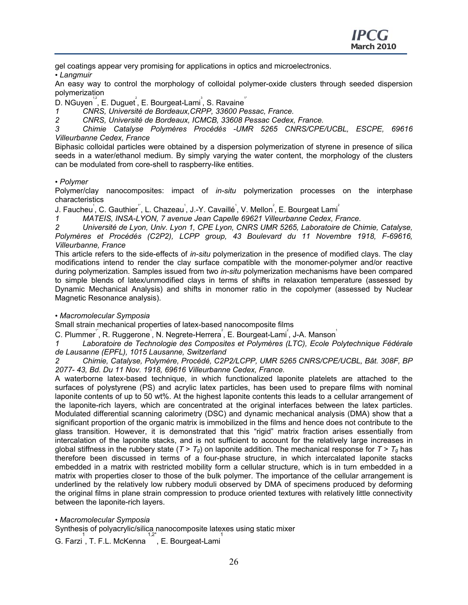gel coatings appear very promising for applications in optics and microelectronics. • *Langmuir* 

An easy way to control the morphology of colloidal polymer-oxide clusters through seeded dispersion polymerization

 $\overline{\mathsf{D}}$ . NGuyen $^{\backsim^2}$ , E. Duguet $^2$ , E. Bourgeat-Lami $^2$ , S. Ravaine $^{\backsim}$ 

- *1 CNRS, Université de Bordeaux,CRPP, 33600 Pessac, France.*
- *2 CNRS, Université de Bordeaux, ICMCB, 33608 Pessac Cedex, France.*

*3 Chimie Catalyse Polymères Procédés -UMR 5265 CNRS/CPE/UCBL, ESCPE, 69616 Villeurbanne Cedex, France* 

Biphasic colloidal particles were obtained by a dispersion polymerization of styrene in presence of silica seeds in a water/ethanol medium. By simply varying the water content, the morphology of the clusters can be modulated from core-shell to raspberry-like entities.

#### • *Polymer*

Polymer/clay nanocomposites: impact of *in-situ* polymerization processes on the interphase characteristics

J. Faucheu<sup>'</sup>, C. Gauthier<sup>''</sup>, L. Chazeau<sup>'</sup>, J.-Y. Cavaillé<sup>'</sup>, V. Mellon<sup>°</sup>, E. Bourgeat Lami<sup>°</sup>

*1 MATEIS, INSA-LYON, 7 avenue Jean Capelle 69621 Villeurbanne Cedex, France.* 

*2 Université de Lyon, Univ. Lyon 1, CPE Lyon, CNRS UMR 5265, Laboratoire de Chimie, Catalyse, Polymères et Procédés (C2P2), LCPP group, 43 Boulevard du 11 Novembre 1918, F-69616, Villeurbanne, France* 

This article refers to the side-effects of *in-situ* polymerization in the presence of modified clays. The clay modifications intend to render the clay surface compatible with the monomer-polymer and/or reactive during polymerization. Samples issued from two *in-situ* polymerization mechanisms have been compared to simple blends of latex/unmodified clays in terms of shifts in relaxation temperature (assessed by Dynamic Mechanical Analysis) and shifts in monomer ratio in the copolymer (assessed by Nuclear Magnetic Resonance analysis).

#### • *Macromolecular Symposia*

Small strain mechanical properties of latex-based nanocomposite films

C. Plummer<sup>"</sup>, R. Ruggerone<sup>"</sup>, N. Negrete-Herrera<sup>2</sup>, E. Bourgeat-Lami<sup>2</sup>, J-A. Manson<sup>1</sup>

*1 Laboratoire de Technologie des Composites et Polymères (LTC), Ecole Polytechnique Fédérale de Lausanne (EPFL), 1015 Lausanne, Switzerland* 

*2 Chimie, Catalyse, Polymère, Procédé, C2P2/LCPP, UMR 5265 CNRS/CPE/UCBL, Bât. 308F, BP 2077- 43, Bd. Du 11 Nov. 1918, 69616 Villeurbanne Cedex, France.* 

A waterborne latex-based technique, in which functionalized laponite platelets are attached to the surfaces of polystyrene (PS) and acrylic latex particles, has been used to prepare films with nominal laponite contents of up to 50 wt%. At the highest laponite contents this leads to a cellular arrangement of the laponite-rich layers, which are concentrated at the original interfaces between the latex particles. Modulated differential scanning calorimetry (DSC) and dynamic mechanical analysis (DMA) show that a significant proportion of the organic matrix is immobilized in the films and hence does not contribute to the glass transition. However, it is demonstrated that this "rigid" matrix fraction arises essentially from intercalation of the laponite stacks, and is not sufficient to account for the relatively large increases in global stiffness in the rubbery state ( $T > T_g$ ) on laponite addition. The mechanical response for  $T > T_g$  has therefore been discussed in terms of a four-phase structure, in which intercalated laponite stacks embedded in a matrix with restricted mobility form a cellular structure, which is in turn embedded in a matrix with properties closer to those of the bulk polymer. The importance of the cellular arrangement is underlined by the relatively low rubbery moduli observed by DMA of specimens produced by deforming the original films in plane strain compression to produce oriented textures with relatively little connectivity between the laponite-rich layers.

• *Macromolecular Symposia* 

Synthesis of polyacrylic/silica nanocomposite latexes using static mixer

G. Farzi,T. F.L. McKenna ,E. Bourgeat-Lami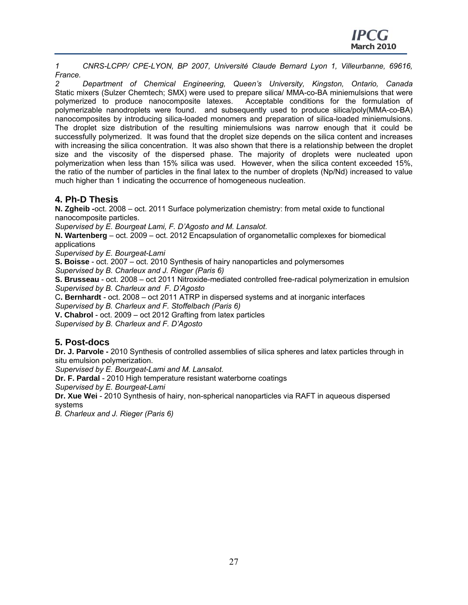*1 CNRS-LCPP/ CPE-LYON, BP 2007, Université Claude Bernard Lyon 1, Villeurbanne, 69616, France.* 

*2 Department of Chemical Engineering, Queen's University, Kingston, Ontario, Canada*  Static mixers (Sulzer Chemtech; SMX) were used to prepare silica/ MMA-co-BA miniemulsions that were polymerized to produce nanocomposite latexes. Acceptable conditions for the formulation of polymerizable nanodroplets were found. and subsequently used to produce silica/poly(MMA-co-BA) nanocomposites by introducing silica-loaded monomers and preparation of silica-loaded miniemulsions. The droplet size distribution of the resulting miniemulsions was narrow enough that it could be successfully polymerized. It was found that the droplet size depends on the silica content and increases with increasing the silica concentration. It was also shown that there is a relationship between the droplet size and the viscosity of the dispersed phase. The majority of droplets were nucleated upon polymerization when less than 15% silica was used. However, when the silica content exceeded 15%, the ratio of the number of particles in the final latex to the number of droplets (Np/Nd) increased to value much higher than 1 indicating the occurrence of homogeneous nucleation.

#### **4. Ph-D Thesis**

**N. Zgheib -**oct. 2008 – oct. 2011 Surface polymerization chemistry: from metal oxide to functional nanocomposite particles.

*Supervised by E. Bourgeat Lami, F. D'Agosto and M. Lansalot.* 

**N. Wartenberg** – oct. 2009 – oct. 2012 Encapsulation of organometallic complexes for biomedical applications

*Supervised by E. Bourgeat-Lami* 

**S. Boisse** - oct. 2007 – oct. 2010 Synthesis of hairy nanoparticles and polymersomes

*Supervised by B. Charleux and J. Rieger (Paris 6)* 

**S. Brusseau** - oct. 2008 – oct 2011 Nitroxide-mediated controlled free-radical polymerization in emulsion *Supervised by B. Charleux and F. D'Agosto* 

C**. Bernhardt** - oct. 2008 – oct 2011 ATRP in dispersed systems and at inorganic interfaces

*Supervised by B. Charleux and F. Stoffelbach (Paris 6)* 

**V. Chabrol** - oct. 2009 – oct 2012 Grafting from latex particles

*Supervised by B. Charleux and F. D'Agosto* 

## **5. Post-docs**

**Dr. J. Parvole -** 2010 Synthesis of controlled assemblies of silica spheres and latex particles through in situ emulsion polymerization.

*Supervised by E. Bourgeat-Lami and M. Lansalot.* 

**Dr. F. Pardal** - 2010 High temperature resistant waterborne coatings

*Supervised by E. Bourgeat-Lami* 

**Dr. Xue Wei** - 2010 Synthesis of hairy, non-spherical nanoparticles via RAFT in aqueous dispersed systems

*B. Charleux and J. Rieger (Paris 6)*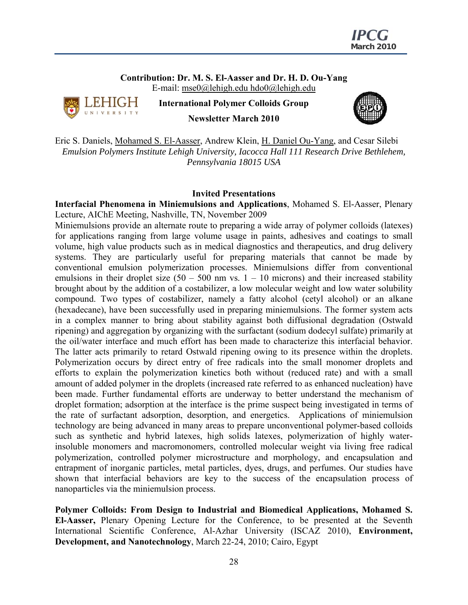

**Contribution: Dr. M. S. El-Aasser and Dr. H. D. Ou-Yang**  E-mail: mse0@lehigh.edu hdo0@lehigh.edu



**International Polymer Colloids Group Newsletter March 2010**



Eric S. Daniels, Mohamed S. El-Aasser, Andrew Klein, H. Daniel Ou-Yang, and Cesar Silebi *Emulsion Polymers Institute Lehigh University, Iacocca Hall 111 Research Drive Bethlehem, Pennsylvania 18015 USA* 

#### **Invited Presentations**

**Interfacial Phenomena in Miniemulsions and Applications**, Mohamed S. El-Aasser, Plenary Lecture, AIChE Meeting, Nashville, TN, November 2009

Miniemulsions provide an alternate route to preparing a wide array of polymer colloids (latexes) for applications ranging from large volume usage in paints, adhesives and coatings to small volume, high value products such as in medical diagnostics and therapeutics, and drug delivery systems. They are particularly useful for preparing materials that cannot be made by conventional emulsion polymerization processes. Miniemulsions differ from conventional emulsions in their droplet size  $(50 - 500 \text{ nm vs. } 1 - 10 \text{ microns})$  and their increased stability brought about by the addition of a costabilizer, a low molecular weight and low water solubility compound. Two types of costabilizer, namely a fatty alcohol (cetyl alcohol) or an alkane (hexadecane), have been successfully used in preparing miniemulsions. The former system acts in a complex manner to bring about stability against both diffusional degradation (Ostwald ripening) and aggregation by organizing with the surfactant (sodium dodecyl sulfate) primarily at the oil/water interface and much effort has been made to characterize this interfacial behavior. The latter acts primarily to retard Ostwald ripening owing to its presence within the droplets. Polymerization occurs by direct entry of free radicals into the small monomer droplets and efforts to explain the polymerization kinetics both without (reduced rate) and with a small amount of added polymer in the droplets (increased rate referred to as enhanced nucleation) have been made. Further fundamental efforts are underway to better understand the mechanism of droplet formation; adsorption at the interface is the prime suspect being investigated in terms of the rate of surfactant adsorption, desorption, and energetics. Applications of miniemulsion technology are being advanced in many areas to prepare unconventional polymer-based colloids such as synthetic and hybrid latexes, high solids latexes, polymerization of highly waterinsoluble monomers and macromonomers, controlled molecular weight via living free radical polymerization, controlled polymer microstructure and morphology, and encapsulation and entrapment of inorganic particles, metal particles, dyes, drugs, and perfumes. Our studies have shown that interfacial behaviors are key to the success of the encapsulation process of nanoparticles via the miniemulsion process.

**Polymer Colloids: From Design to Industrial and Biomedical Applications, Mohamed S. El-Aasser,** Plenary Opening Lecture for the Conference, to be presented at the Seventh International Scientific Conference, Al-Azhar University (ISCAZ 2010), **Environment, Development, and Nanotechnology**, March 22-24, 2010; Cairo, Egypt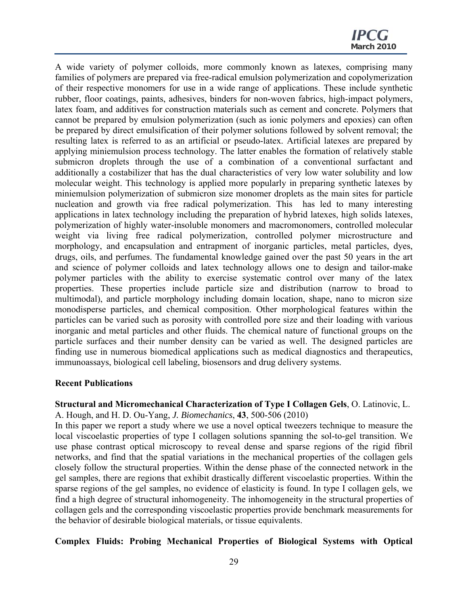A wide variety of polymer colloids, more commonly known as latexes, comprising many families of polymers are prepared via free-radical emulsion polymerization and copolymerization of their respective monomers for use in a wide range of applications. These include synthetic rubber, floor coatings, paints, adhesives, binders for non-woven fabrics, high-impact polymers, latex foam, and additives for construction materials such as cement and concrete. Polymers that cannot be prepared by emulsion polymerization (such as ionic polymers and epoxies) can often be prepared by direct emulsification of their polymer solutions followed by solvent removal; the resulting latex is referred to as an artificial or pseudo-latex. Artificial latexes are prepared by applying miniemulsion process technology. The latter enables the formation of relatively stable submicron droplets through the use of a combination of a conventional surfactant and additionally a costabilizer that has the dual characteristics of very low water solubility and low molecular weight. This technology is applied more popularly in preparing synthetic latexes by miniemulsion polymerization of submicron size monomer droplets as the main sites for particle nucleation and growth via free radical polymerization. This has led to many interesting applications in latex technology including the preparation of hybrid latexes, high solids latexes, polymerization of highly water-insoluble monomers and macromonomers, controlled molecular weight via living free radical polymerization, controlled polymer microstructure and morphology, and encapsulation and entrapment of inorganic particles, metal particles, dyes, drugs, oils, and perfumes. The fundamental knowledge gained over the past 50 years in the art and science of polymer colloids and latex technology allows one to design and tailor-make polymer particles with the ability to exercise systematic control over many of the latex properties. These properties include particle size and distribution (narrow to broad to multimodal), and particle morphology including domain location, shape, nano to micron size monodisperse particles, and chemical composition. Other morphological features within the particles can be varied such as porosity with controlled pore size and their loading with various inorganic and metal particles and other fluids. The chemical nature of functional groups on the particle surfaces and their number density can be varied as well. The designed particles are finding use in numerous biomedical applications such as medical diagnostics and therapeutics, immunoassays, biological cell labeling, biosensors and drug delivery systems.

#### **Recent Publications**

**Structural and Micromechanical Characterization of Type I Collagen Gels**, O. Latinovic, L. A. Hough, and H. D. Ou-Yang, *J. Biomechanics*, **43**, 500-506 (2010)

In this paper we report a study where we use a novel optical tweezers technique to measure the local viscoelastic properties of type I collagen solutions spanning the sol-to-gel transition. We use phase contrast optical microscopy to reveal dense and sparse regions of the rigid fibril networks, and find that the spatial variations in the mechanical properties of the collagen gels closely follow the structural properties. Within the dense phase of the connected network in the gel samples, there are regions that exhibit drastically different viscoelastic properties. Within the sparse regions of the gel samples, no evidence of elasticity is found. In type I collagen gels, we find a high degree of structural inhomogeneity. The inhomogeneity in the structural properties of collagen gels and the corresponding viscoelastic properties provide benchmark measurements for the behavior of desirable biological materials, or tissue equivalents.

#### **Complex Fluids: Probing Mechanical Properties of Biological Systems with Optical**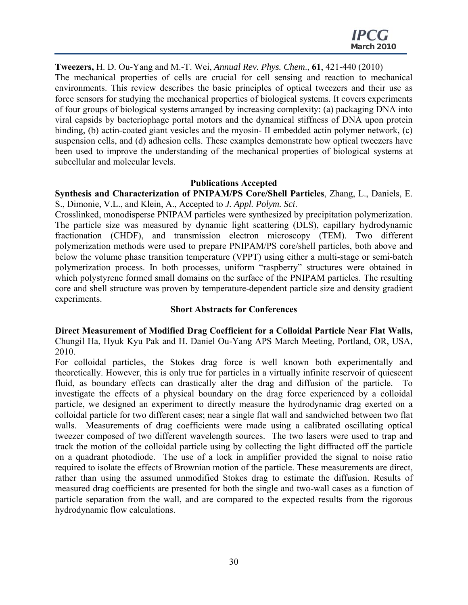**Tweezers,** H. D. Ou-Yang and M.-T. Wei, *Annual Rev. Phys. Chem*., **61**, 421-440 (2010) The mechanical properties of cells are crucial for cell sensing and reaction to mechanical environments. This review describes the basic principles of optical tweezers and their use as force sensors for studying the mechanical properties of biological systems. It covers experiments of four groups of biological systems arranged by increasing complexity: (a) packaging DNA into viral capsids by bacteriophage portal motors and the dynamical stiffness of DNA upon protein binding, (b) actin-coated giant vesicles and the myosin- II embedded actin polymer network, (c) suspension cells, and (d) adhesion cells. These examples demonstrate how optical tweezers have been used to improve the understanding of the mechanical properties of biological systems at subcellular and molecular levels.

#### **Publications Accepted**

**Synthesis and Characterization of PNIPAM/PS Core/Shell Particles**, Zhang, L., Daniels, E. S., Dimonie, V.L., and Klein, A., Accepted to *J. Appl. Polym. Sci*.

Crosslinked, monodisperse PNIPAM particles were synthesized by precipitation polymerization. The particle size was measured by dynamic light scattering (DLS), capillary hydrodynamic fractionation (CHDF), and transmission electron microscopy (TEM). Two different polymerization methods were used to prepare PNIPAM/PS core/shell particles, both above and below the volume phase transition temperature (VPPT) using either a multi-stage or semi-batch polymerization process. In both processes, uniform "raspberry" structures were obtained in which polystyrene formed small domains on the surface of the PNIPAM particles. The resulting core and shell structure was proven by temperature-dependent particle size and density gradient experiments.

#### **Short Abstracts for Conferences**

**Direct Measurement of Modified Drag Coefficient for a Colloidal Particle Near Flat Walls,**  Chungil Ha, Hyuk Kyu Pak and H. Daniel Ou-Yang APS March Meeting, Portland, OR, USA, 2010.

For colloidal particles, the Stokes drag force is well known both experimentally and theoretically. However, this is only true for particles in a virtually infinite reservoir of quiescent fluid, as boundary effects can drastically alter the drag and diffusion of the particle. To investigate the effects of a physical boundary on the drag force experienced by a colloidal particle, we designed an experiment to directly measure the hydrodynamic drag exerted on a colloidal particle for two different cases; near a single flat wall and sandwiched between two flat walls. Measurements of drag coefficients were made using a calibrated oscillating optical tweezer composed of two different wavelength sources. The two lasers were used to trap and track the motion of the colloidal particle using by collecting the light diffracted off the particle on a quadrant photodiode. The use of a lock in amplifier provided the signal to noise ratio required to isolate the effects of Brownian motion of the particle. These measurements are direct, rather than using the assumed unmodified Stokes drag to estimate the diffusion. Results of measured drag coefficients are presented for both the single and two-wall cases as a function of particle separation from the wall, and are compared to the expected results from the rigorous hydrodynamic flow calculations.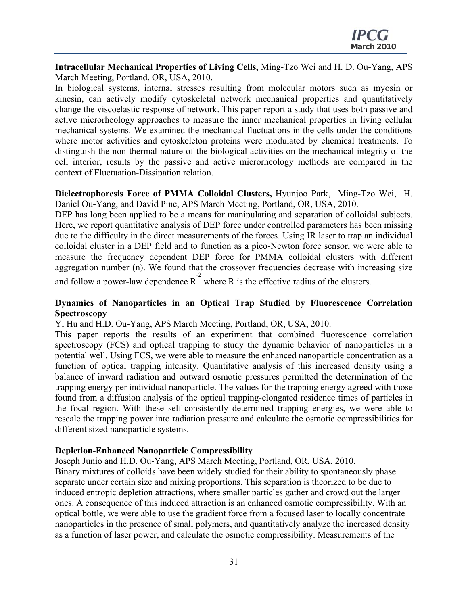**Intracellular Mechanical Properties of Living Cells,** Ming-Tzo Wei and H. D. Ou-Yang, APS March Meeting, Portland, OR, USA, 2010.

In biological systems, internal stresses resulting from molecular motors such as myosin or kinesin, can actively modify cytoskeletal network mechanical properties and quantitatively change the viscoelastic response of network. This paper report a study that uses both passive and active microrheology approaches to measure the inner mechanical properties in living cellular mechanical systems. We examined the mechanical fluctuations in the cells under the conditions where motor activities and cytoskeleton proteins were modulated by chemical treatments. To distinguish the non-thermal nature of the biological activities on the mechanical integrity of the cell interior, results by the passive and active microrheology methods are compared in the context of Fluctuation-Dissipation relation.

**Dielectrophoresis Force of PMMA Colloidal Clusters,** Hyunjoo Park, Ming-Tzo Wei, H. Daniel Ou-Yang, and David Pine, APS March Meeting, Portland, OR, USA, 2010.

DEP has long been applied to be a means for manipulating and separation of colloidal subjects. Here, we report quantitative analysis of DEP force under controlled parameters has been missing due to the difficulty in the direct measurements of the forces. Using IR laser to trap an individual colloidal cluster in a DEP field and to function as a pico-Newton force sensor, we were able to measure the frequency dependent DEP force for PMMA colloidal clusters with different aggregation number (n). We found that the crossover frequencies decrease with increasing size and follow a power-law dependence  $R^2$  where R is the effective radius of the clusters.

## **Dynamics of Nanoparticles in an Optical Trap Studied by Fluorescence Correlation Spectroscopy**

Yi Hu and H.D. Ou-Yang, APS March Meeting, Portland, OR, USA, 2010.

This paper reports the results of an experiment that combined fluorescence correlation spectroscopy (FCS) and optical trapping to study the dynamic behavior of nanoparticles in a potential well. Using FCS, we were able to measure the enhanced nanoparticle concentration as a function of optical trapping intensity. Quantitative analysis of this increased density using a balance of inward radiation and outward osmotic pressures permitted the determination of the trapping energy per individual nanoparticle. The values for the trapping energy agreed with those found from a diffusion analysis of the optical trapping-elongated residence times of particles in the focal region. With these self-consistently determined trapping energies, we were able to rescale the trapping power into radiation pressure and calculate the osmotic compressibilities for different sized nanoparticle systems.

#### **Depletion-Enhanced Nanoparticle Compressibility**

Joseph Junio and H.D. Ou-Yang, APS March Meeting, Portland, OR, USA, 2010.

Binary mixtures of colloids have been widely studied for their ability to spontaneously phase separate under certain size and mixing proportions. This separation is theorized to be due to induced entropic depletion attractions, where smaller particles gather and crowd out the larger ones. A consequence of this induced attraction is an enhanced osmotic compressibility. With an optical bottle, we were able to use the gradient force from a focused laser to locally concentrate nanoparticles in the presence of small polymers, and quantitatively analyze the increased density as a function of laser power, and calculate the osmotic compressibility. Measurements of the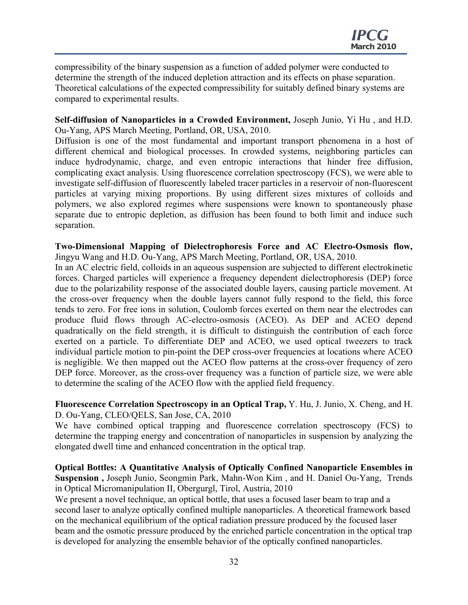compressibility of the binary suspension as a function of added polymer were conducted to determine the strength of the induced depletion attraction and its effects on phase separation. Theoretical calculations of the expected compressibility for suitably defined binary systems are compared to experimental results.

**Self-diffusion of Nanoparticles in a Crowded Environment,** Joseph Junio, Yi Hu , and H.D. Ou-Yang, APS March Meeting, Portland, OR, USA, 2010.

Diffusion is one of the most fundamental and important transport phenomena in a host of different chemical and biological processes. In crowded systems, neighboring particles can induce hydrodynamic, charge, and even entropic interactions that hinder free diffusion, complicating exact analysis. Using fluorescence correlation spectroscopy (FCS), we were able to investigate self-diffusion of fluorescently labeled tracer particles in a reservoir of non-fluorescent particles at varying mixing proportions. By using different sizes mixtures of colloids and polymers, we also explored regimes where suspensions were known to spontaneously phase separate due to entropic depletion, as diffusion has been found to both limit and induce such separation.

**Two-Dimensional Mapping of Dielectrophoresis Force and AC Electro-Osmosis flow,** Jingyu Wang and H.D. Ou-Yang, APS March Meeting, Portland, OR, USA, 2010.

In an AC electric field, colloids in an aqueous suspension are subjected to different electrokinetic forces. Charged particles will experience a frequency dependent dielectrophoresis (DEP) force due to the polarizability response of the associated double layers, causing particle movement. At the cross-over frequency when the double layers cannot fully respond to the field, this force tends to zero. For free ions in solution, Coulomb forces exerted on them near the electrodes can produce fluid flows through AC-electro-osmosis (ACEO). As DEP and ACEO depend quadratically on the field strength, it is difficult to distinguish the contribution of each force exerted on a particle. To differentiate DEP and ACEO, we used optical tweezers to track individual particle motion to pin-point the DEP cross-over frequencies at locations where ACEO is negligible. We then mapped out the ACEO flow patterns at the cross-over frequency of zero DEP force. Moreover, as the cross-over frequency was a function of particle size, we were able to determine the scaling of the ACEO flow with the applied field frequency.

**Fluorescence Correlation Spectroscopy in an Optical Trap,** Y. Hu, J. Junio, X. Cheng, and H. D. Ou-Yang, CLEO/QELS, San Jose, CA, 2010

We have combined optical trapping and fluorescence correlation spectroscopy (FCS) to determine the trapping energy and concentration of nanoparticles in suspension by analyzing the elongated dwell time and enhanced concentration in the optical trap.

**Optical Bottles: A Quantitative Analysis of Optically Confined Nanoparticle Ensembles in Suspension ,** Joseph Junio, Seongmin Park, Mahn-Won Kim , and H. Daniel Ou-Yang, Trends in Optical Micromanipulation II, Obergurgl, Tirol, Austria, 2010

We present a novel technique, an optical bottle, that uses a focused laser beam to trap and a second laser to analyze optically confined multiple nanoparticles. A theoretical framework based on the mechanical equilibrium of the optical radiation pressure produced by the focused laser beam and the osmotic pressure produced by the enriched particle concentration in the optical trap is developed for analyzing the ensemble behavior of the optically confined nanoparticles.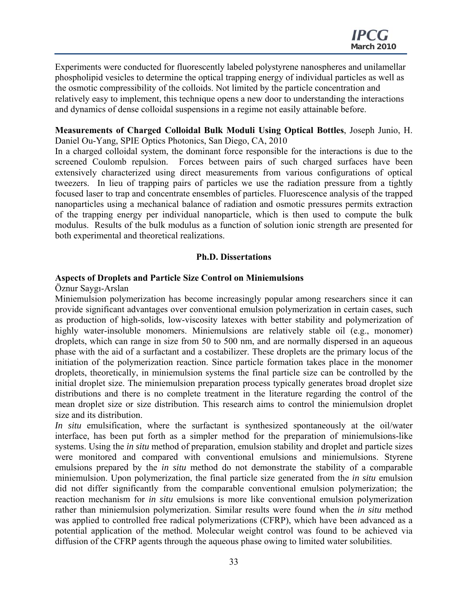Experiments were conducted for fluorescently labeled polystyrene nanospheres and unilamellar phospholipid vesicles to determine the optical trapping energy of individual particles as well as the osmotic compressibility of the colloids. Not limited by the particle concentration and relatively easy to implement, this technique opens a new door to understanding the interactions and dynamics of dense colloidal suspensions in a regime not easily attainable before.

#### **Measurements of Charged Colloidal Bulk Moduli Using Optical Bottles**, Joseph Junio, H. Daniel Ou-Yang, SPIE Optics Photonics, San Diego, CA, 2010

In a charged colloidal system, the dominant force responsible for the interactions is due to the screened Coulomb repulsion. Forces between pairs of such charged surfaces have been extensively characterized using direct measurements from various configurations of optical tweezers. In lieu of trapping pairs of particles we use the radiation pressure from a tightly focused laser to trap and concentrate ensembles of particles. Fluorescence analysis of the trapped nanoparticles using a mechanical balance of radiation and osmotic pressures permits extraction of the trapping energy per individual nanoparticle, which is then used to compute the bulk modulus. Results of the bulk modulus as a function of solution ionic strength are presented for both experimental and theoretical realizations.

#### **Ph.D. Dissertations**

#### **Aspects of Droplets and Particle Size Control on Miniemulsions**

#### Öznur Saygı-Arslan

Miniemulsion polymerization has become increasingly popular among researchers since it can provide significant advantages over conventional emulsion polymerization in certain cases, such as production of high-solids, low-viscosity latexes with better stability and polymerization of highly water-insoluble monomers. Miniemulsions are relatively stable oil (e.g., monomer) droplets, which can range in size from 50 to 500 nm, and are normally dispersed in an aqueous phase with the aid of a surfactant and a costabilizer. These droplets are the primary locus of the initiation of the polymerization reaction. Since particle formation takes place in the monomer droplets, theoretically, in miniemulsion systems the final particle size can be controlled by the initial droplet size. The miniemulsion preparation process typically generates broad droplet size distributions and there is no complete treatment in the literature regarding the control of the mean droplet size or size distribution. This research aims to control the miniemulsion droplet size and its distribution.

*In situ* emulsification, where the surfactant is synthesized spontaneously at the oil/water interface, has been put forth as a simpler method for the preparation of miniemulsions-like systems. Using the *in situ* method of preparation, emulsion stability and droplet and particle sizes were monitored and compared with conventional emulsions and miniemulsions. Styrene emulsions prepared by the *in situ* method do not demonstrate the stability of a comparable miniemulsion. Upon polymerization, the final particle size generated from the *in situ* emulsion did not differ significantly from the comparable conventional emulsion polymerization; the reaction mechanism for *in situ* emulsions is more like conventional emulsion polymerization rather than miniemulsion polymerization. Similar results were found when the *in situ* method was applied to controlled free radical polymerizations (CFRP), which have been advanced as a potential application of the method. Molecular weight control was found to be achieved via diffusion of the CFRP agents through the aqueous phase owing to limited water solubilities.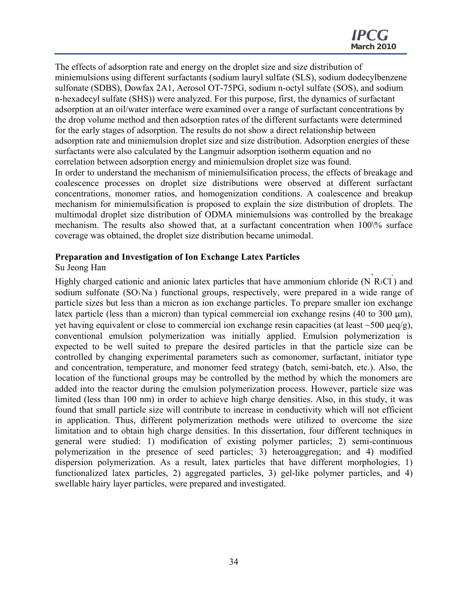The effects of adsorption rate and energy on the droplet size and size distribution of miniemulsions using different surfactants (sodium lauryl sulfate (SLS), sodium dodecylbenzene sulfonate (SDBS), Dowfax 2A1, Aerosol OT-75PG, sodium n-octyl sulfate (SOS), and sodium n-hexadecyl sulfate (SHS)) were analyzed. For this purpose, first, the dynamics of surfactant adsorption at an oil/water interface were examined over a range of surfactant concentrations by the drop volume method and then adsorption rates of the different surfactants were determined for the early stages of adsorption. The results do not show a direct relationship between adsorption rate and miniemulsion droplet size and size distribution. Adsorption energies of these surfactants were also calculated by the Langmuir adsorption isotherm equation and no correlation between adsorption energy and miniemulsion droplet size was found.

In order to understand the mechanism of miniemulsification process, the effects of breakage and coalescence processes on droplet size distributions were observed at different surfactant concentrations, monomer ratios, and homogenization conditions. A coalescence and breakup mechanism for miniemulsification is proposed to explain the size distribution of droplets. The multimodal droplet size distribution of ODMA miniemulsions was controlled by the breakage mechanism. The results also showed that, at a surfactant concentration when 100\% surface coverage was obtained, the droplet size distribution became unimodal.

#### **Preparation and Investigation of Ion Exchange Latex Particles**

#### Su Jeong Han

Highly charged cationic and anionic latex particles that have ammonium chloride  $(N<sup>+</sup>R<sub>3</sub>Cl)$  and sodium sulfonate  $(SO<sub>3</sub>Na<sup>+</sup>)$  functional groups, respectively, were prepared in a wide range of particle sizes but less than a micron as ion exchange particles. To prepare smaller ion exchange latex particle (less than a micron) than typical commercial ion exchange resins (40 to 300 μm), yet having equivalent or close to commercial ion exchange resin capacities (at least  $\sim$  500  $\mu$ eq/g), conventional emulsion polymerization was initially applied. Emulsion polymerization is expected to be well suited to prepare the desired particles in that the particle size can be controlled by changing experimental parameters such as comonomer, surfactant, initiator type and concentration, temperature, and monomer feed strategy (batch, semi-batch, etc.). Also, the location of the functional groups may be controlled by the method by which the monomers are added into the reactor during the emulsion polymerization process. However, particle size was limited (less than 100 nm) in order to achieve high charge densities. Also, in this study, it was found that small particle size will contribute to increase in conductivity which will not efficient in application. Thus, different polymerization methods were utilized to overcome the size limitation and to obtain high charge densities. In this dissertation, four different techniques in general were studied: 1) modification of existing polymer particles; 2) semi-continuous polymerization in the presence of seed particles; 3) heteroaggregation; and 4) modified dispersion polymerization. As a result, latex particles that have different morphologies, 1) functionalized latex particles, 2) aggregated particles, 3) gel-like polymer particles, and 4) swellable hairy layer particles, were prepared and investigated.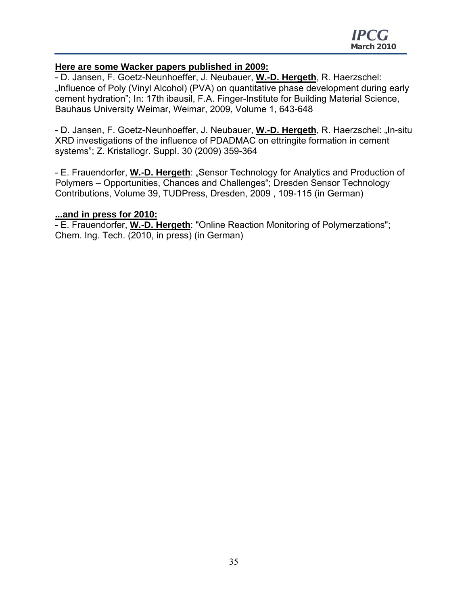## **Here are some Wacker papers published in 2009:**

- D. Jansen, F. Goetz-Neunhoeffer, J. Neubauer, **W.-D. Hergeth**, R. Haerzschel: "Influence of Poly (Vinyl Alcohol) (PVA) on quantitative phase development during early cement hydration"; In: 17th ibausil, F.A. Finger-Institute for Building Material Science, Bauhaus University Weimar, Weimar, 2009, Volume 1, 643-648

- D. Jansen, F. Goetz-Neunhoeffer, J. Neubauer, **W.-D. Hergeth**, R. Haerzschel: "In-situ XRD investigations of the influence of PDADMAC on ettringite formation in cement systems"; Z. Kristallogr. Suppl. 30 (2009) 359-364

- E. Frauendorfer, **W.-D. Hergeth**: "Sensor Technology for Analytics and Production of Polymers – Opportunities, Chances and Challenges"; Dresden Sensor Technology Contributions, Volume 39, TUDPress, Dresden, 2009 , 109-115 (in German)

## **...and in press for 2010:**

- E. Frauendorfer, **W.-D. Hergeth**: "Online Reaction Monitoring of Polymerzations"; Chem. Ing. Tech. (2010, in press) (in German)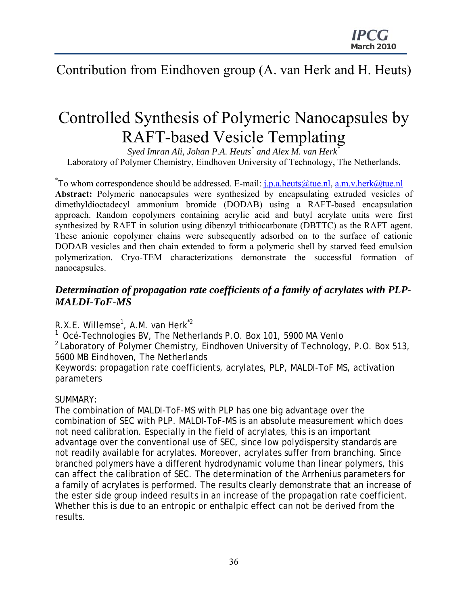## Contribution from Eindhoven group (A. van Herk and H. Heuts)

# Controlled Synthesis of Polymeric Nanocapsules by RAFT-based Vesicle Templating

 $S$ yed Imran Ali, Johan P.A. Heuts $^*$  and Alex M. van Herk $^{\overline{*}}$ Laboratory of Polymer Chemistry, Eindhoven University of Technology, The Netherlands.

<sup>\*</sup>To whom correspondence should be addressed. E-mail: <u>j.p.a.heuts@tue.nl, a.m.v.herk@tue.nl</u> **Abstract:** Polymeric nanocapsules were synthesized by encapsulating extruded vesicles of dimethyldioctadecyl ammonium bromide (DODAB) using a RAFT-based encapsulation approach. Random copolymers containing acrylic acid and butyl acrylate units were first synthesized by RAFT in solution using dibenzyl trithiocarbonate (DBTTC) as the RAFT agent. These anionic copolymer chains were subsequently adsorbed on to the surface of cationic DODAB vesicles and then chain extended to form a polymeric shell by starved feed emulsion polymerization. Cryo-TEM characterizations demonstrate the successful formation of nanocapsules.

## *Determination of propagation rate coefficients of a family of acrylates with PLP-MALDI-ToF-MS*

R.X.E. Willemse<sup>1</sup>, A.M. van Herk<sup>\*2</sup>

1 Océ-Technologies BV, The Netherlands P.O. Box 101, 5900 MA Venlo  $2$  Laboratory of Polymer Chemistry, Eindhoven University of Technology, P.O. Box 513, 5600 MB Eindhoven, The Netherlands Keywords: propagation rate coefficients, acrylates, PLP, MALDI-ToF MS, activation parameters

## SUMMARY:

The combination of MALDI-ToF-MS with PLP has one big advantage over the combination of SEC with PLP. MALDI-ToF-MS is an absolute measurement which does not need calibration. Especially in the field of acrylates, this is an important advantage over the conventional use of SEC, since low polydispersity standards are not readily available for acrylates. Moreover, acrylates suffer from branching. Since branched polymers have a different hydrodynamic volume than linear polymers, this can affect the calibration of SEC. The determination of the Arrhenius parameters for a family of acrylates is performed. The results clearly demonstrate that an increase of the ester side group indeed results in an increase of the propagation rate coefficient. Whether this is due to an entropic or enthalpic effect can not be derived from the results.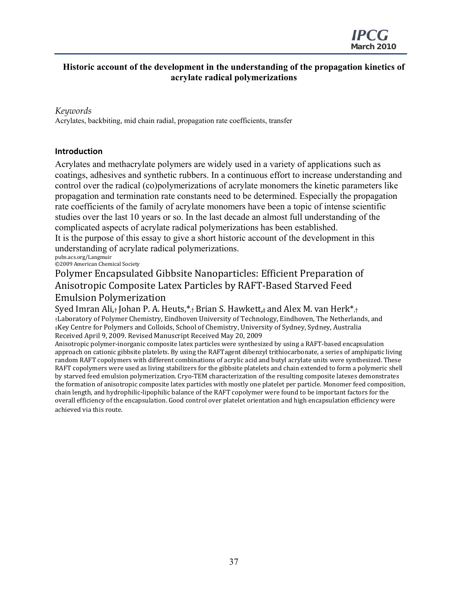## **Historic account of the development in the understanding of the propagation kinetics of acrylate radical polymerizations**

#### *Keywords*

Acrylates, backbiting, mid chain radial, propagation rate coefficients, transfer

#### **Introduction**

Acrylates and methacrylate polymers are widely used in a variety of applications such as coatings, adhesives and synthetic rubbers. In a continuous effort to increase understanding and control over the radical (co)polymerizations of acrylate monomers the kinetic parameters like propagation and termination rate constants need to be determined. Especially the propagation rate coefficients of the family of acrylate monomers have been a topic of intense scientific studies over the last 10 years or so. In the last decade an almost full understanding of the complicated aspects of acrylate radical polymerizations has been established.

It is the purpose of this essay to give a short historic account of the development in this understanding of acrylate radical polymerizations.

pubs.acs.org/Langmuir ©2009 American Chemical Society

Polymer Encapsulated Gibbsite Nanoparticles: Efficient Preparation of Anisotropic Composite Latex Particles by RAFT‐Based Starved Feed Emulsion Polymerization

Syed Imran Ali,† Johan P. A. Heuts, $*_t$  Brian S. Hawkett, $*_t$  and Alex M. van Herk $*_t$ †Laboratory of Polymer Chemistry, Eindhoven University of Technology, Eindhoven, The Netherlands, and ‡Key Centre for Polymers and Colloids, School of Chemistry, University of Sydney, Sydney, Australia Received April 9, 2009. Revised Manuscript Received May 20, 2009

Anisotropic polymer‐inorganic composite latex particles were synthesized by using a RAFT‐based encapsulation approach on cationic gibbsite platelets. By using the RAFTagent dibenzyl trithiocarbonate, a series of amphipatic living random RAFT copolymers with different combinations of acrylic acid and butyl acrylate units were synthesized. These RAFT copolymers were used as living stabilizers for the gibbsite platelets and chain extended to form a polymeric shell by starved feed emulsion polymerization. Cryo‐TEM characterization of the resulting composite latexes demonstrates the formation of anisotropic composite latex particles with mostly one platelet per particle. Monomer feed composition, chain length, and hydrophilic‐lipophilic balance of the RAFT copolymer were found to be important factors for the overall efficiency of the encapsulation. Good control over platelet orientation and high encapsulation efficiency were achieved via this route.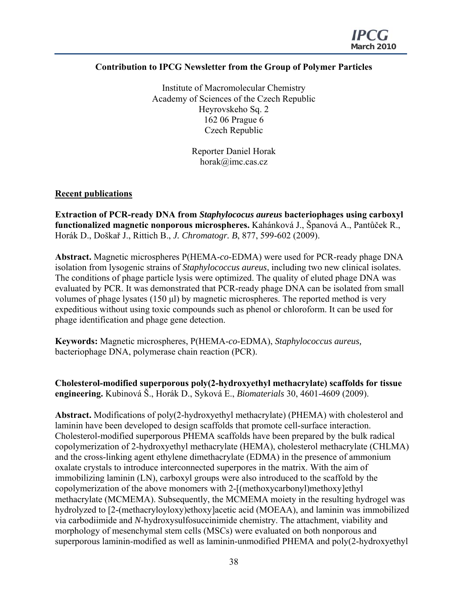## **Contribution to IPCG Newsletter from the Group of Polymer Particles**

Institute of Macromolecular Chemistry Academy of Sciences of the Czech Republic Heyrovskeho Sq. 2 162 06 Prague 6 Czech Republic

> Reporter Daniel Horak horak@imc.cas.cz

## **Recent publications**

**Extraction of PCR-ready DNA from** *Staphylococus aureus* **bacteriophages using carboxyl functionalized magnetic nonporous microspheres.** Kahánková J., Španová A., Pantůček R., Horák D., Doškař J., Rittich B., *J. Chromatogr. B*, 877, 599-602 (2009).

**Abstract.** Magnetic microspheres P(HEMA-*co*-EDMA) were used for PCR-ready phage DNA isolation from lysogenic strains of *Staphylococcus aureus*, including two new clinical isolates. The conditions of phage particle lysis were optimized. The quality of eluted phage DNA was evaluated by PCR. It was demonstrated that PCR-ready phage DNA can be isolated from small volumes of phage lysates (150 μl) by magnetic microspheres. The reported method is very expeditious without using toxic compounds such as phenol or chloroform. It can be used for phage identification and phage gene detection.

**Keywords:** Magnetic microspheres, P(HEMA-*co*-EDMA), *Staphylococcus aureus,* bacteriophage DNA, polymerase chain reaction (PCR).

**Cholesterol-modified superporous poly(2-hydroxyethyl methacrylate) scaffolds for tissue engineering.** Kubinová Š., Horák D., Syková E., *Biomaterials* 30, 4601-4609 (2009).

**Abstract.** Modifications of poly(2-hydroxyethyl methacrylate) (PHEMA) with cholesterol and laminin have been developed to design scaffolds that promote cell-surface interaction. Cholesterol-modified superporous PHEMA scaffolds have been prepared by the bulk radical copolymerization of 2-hydroxyethyl methacrylate (HEMA), cholesterol methacrylate (CHLMA) and the cross-linking agent ethylene dimethacrylate (EDMA) in the presence of ammonium oxalate crystals to introduce interconnected superpores in the matrix. With the aim of immobilizing laminin (LN), carboxyl groups were also introduced to the scaffold by the copolymerization of the above monomers with 2-[(methoxycarbonyl)methoxy]ethyl methacrylate (MCMEMA). Subsequently, the MCMEMA moiety in the resulting hydrogel was hydrolyzed to [2-(methacryloyloxy)ethoxy]acetic acid (MOEAA), and laminin was immobilized via carbodiimide and *N*-hydroxysulfosuccinimide chemistry. The attachment, viability and morphology of mesenchymal stem cells (MSCs) were evaluated on both nonporous and superporous laminin-modified as well as laminin-unmodified PHEMA and poly(2-hydroxyethyl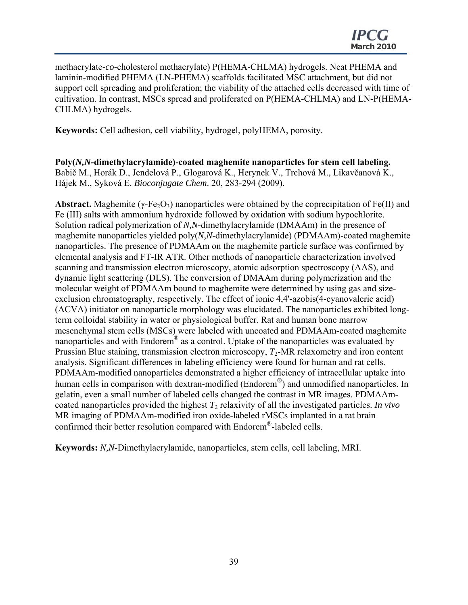methacrylate-*co*-cholesterol methacrylate) P(HEMA-CHLMA) hydrogels. Neat PHEMA and laminin-modified PHEMA (LN-PHEMA) scaffolds facilitated MSC attachment, but did not support cell spreading and proliferation; the viability of the attached cells decreased with time of cultivation. In contrast, MSCs spread and proliferated on P(HEMA-CHLMA) and LN-P(HEMA-CHLMA) hydrogels.

**Keywords:** Cell adhesion, cell viability, hydrogel, polyHEMA, porosity.

**Poly(***N,N***-dimethylacrylamide)-coated maghemite nanoparticles for stem cell labeling.**  Babič M., Horák D., Jendelová P., Glogarová K., Herynek V., Trchová M., Likavčanová K., Hájek M., Syková E. *Bioconjugate Chem*. 20, 283-294 (2009).

**Abstract.** Maghemite ( $\gamma$ -Fe $\Omega$ <sub>3</sub>) nanoparticles were obtained by the coprecipitation of Fe(II) and Fe (III) salts with ammonium hydroxide followed by oxidation with sodium hypochlorite. Solution radical polymerization of *N,N*-dimethylacrylamide (DMAAm) in the presence of maghemite nanoparticles yielded poly(*N,N*-dimethylacrylamide) (PDMAAm)-coated maghemite nanoparticles. The presence of PDMAAm on the maghemite particle surface was confirmed by elemental analysis and FT-IR ATR. Other methods of nanoparticle characterization involved scanning and transmission electron microscopy, atomic adsorption spectroscopy (AAS), and dynamic light scattering (DLS). The conversion of DMAAm during polymerization and the molecular weight of PDMAAm bound to maghemite were determined by using gas and sizeexclusion chromatography, respectively. The effect of ionic 4,4'-azobis(4-cyanovaleric acid) (ACVA) initiator on nanoparticle morphology was elucidated. The nanoparticles exhibited longterm colloidal stability in water or physiological buffer. Rat and human bone marrow mesenchymal stem cells (MSCs) were labeled with uncoated and PDMAAm-coated maghemite nanoparticles and with Endorem® as a control. Uptake of the nanoparticles was evaluated by Prussian Blue staining, transmission electron microscopy,  $T_2$ -MR relaxometry and iron content analysis. Significant differences in labeling efficiency were found for human and rat cells. PDMAAm-modified nanoparticles demonstrated a higher efficiency of intracellular uptake into human cells in comparison with dextran-modified (Endorem®) and unmodified nanoparticles. In gelatin, even a small number of labeled cells changed the contrast in MR images. PDMAAmcoated nanoparticles provided the highest  $T_2$  relaxivity of all the investigated particles. *In vivo* MR imaging of PDMAAm-modified iron oxide-labeled rMSCs implanted in a rat brain confirmed their better resolution compared with Endorem®-labeled cells.

**Keywords:** *N,N*-Dimethylacrylamide, nanoparticles, stem cells, cell labeling, MRI.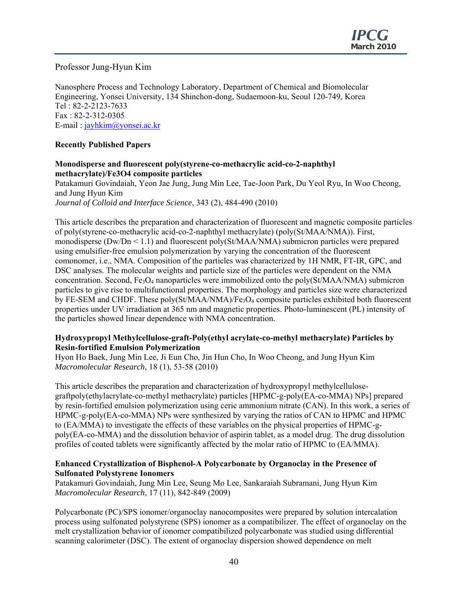Professor Jung-Hyun Kim

Nanosphere Process and Technology Laboratory, Department of Chemical and Biomolecular Engineering, Yonsei University, 134 Shinchon-dong, Sudaemoon-ku, Seoul 120-749, Korea Tel : 82-2-2123-7633 Fax : 82-2-312-0305 E-mail : jayhkim@yonsei.ac.kr

## **Recently Published Papers**

#### **Monodisperse and fluorescent poly(styrene-co-methacrylic acid-co-2-naphthyl methacrylate)/Fe3O4 composite particles**

Patakamuri Govindaiah, Yeon Jae Jung, Jung Min Lee, Tae-Joon Park, Du Yeol Ryu, In Woo Cheong, and Jung Hyun Kim *Journal of Colloid and Interface Science*, 343 (2), 484-490 (2010)

This article describes the preparation and characterization of fluorescent and magnetic composite particles of poly(styrene-co-methacrylic acid-co-2-naphthyl methacrylate) (poly(St/MAA/NMA)). First, monodisperse ( $Dw/Dn \le 1.1$ ) and fluorescent poly( $St/MAA/NMA$ ) submicron particles were prepared using emulsifier-free emulsion polymerization by varying the concentration of the fluorescent comonomer, i.e., NMA. Composition of the particles was characterized by 1H NMR, FT-IR, GPC, and DSC analyses. The molecular weights and particle size of the particles were dependent on the NMA concentration. Second,  $Fe<sub>3</sub>O<sub>4</sub>$  nanoparticles were immobilized onto the poly(St/MAA/NMA) submicron particles to give rise to multifunctional properties. The morphology and particles size were characterized by FE-SEM and CHDF. These poly(St/MAA/NMA)/Fe<sub>3</sub>O<sub>4</sub> composite particles exhibited both fluorescent properties under UV irradiation at 365 nm and magnetic properties. Photo-luminescent (PL) intensity of the particles showed linear dependence with NMA concentration.

#### **Hydroxypropyl Methylcellulose-graft-Poly(ethyl acrylate-co-methyl methacrylate) Particles by Resin-fortified Emulsion Polymerization**

Hyon Ho Baek, Jung Min Lee, Ji Eun Cho, Jin Hun Cho, In Woo Cheong, and Jung Hyun Kim *Macromolecular Research*, 18 (1), 53-58 (2010)

This article describes the preparation and characterization of hydroxypropyl methylcellulosegraftpoly(ethylacrylate-co-methyl methacrylate) particles [HPMC-g-poly(EA-co-MMA) NPs] prepared by resin-fortified emulsion polymerization using ceric ammonium nitrate (CAN). In this work, a series of HPMC-g-poly(EA-co-MMA) NPs were synthesized by varying the ratios of CAN to HPMC and HPMC to (EA/MMA) to investigate the effects of these variables on the physical properties of HPMC-gpoly(EA-co-MMA) and the dissolution behavior of aspirin tablet, as a model drug. The drug dissolution profiles of coated tablets were significantly affected by the molar ratio of HPMC to (EA/MMA).

#### **Enhanced Crystallization of Bisphenol-A Polycarbonate by Organoclay in the Presence of Sulfonated Polystyrene Ionomers**

Patakamuri Govindaiah, Jung Min Lee, Seung Mo Lee, Sankaraiah Subramani, Jung Hyun Kim *Macromolecular Research*, 17 (11), 842-849 (2009)

Polycarbonate (PC)/SPS ionomer/organoclay nanocomposites were prepared by solution intercalation process using sulfonated polystyrene (SPS) ionomer as a compatibilizer. The effect of organoclay on the melt crystallization behavior of ionomer compatibilized polycarbonate was studied using differential scanning calorimeter (DSC). The extent of organoclay dispersion showed dependence on melt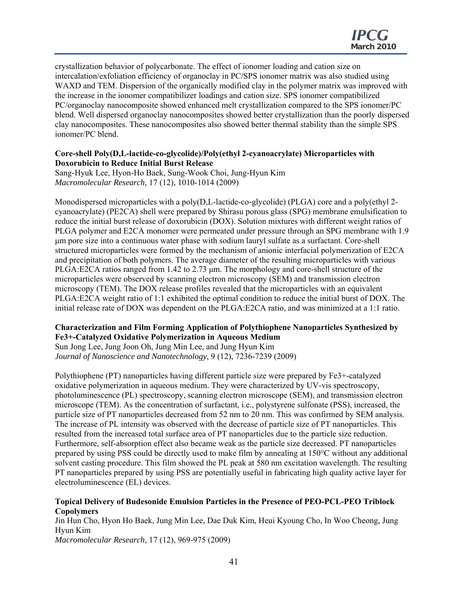crystallization behavior of polycarbonate. The effect of ionomer loading and cation size on intercalation/exfoliation efficiency of organoclay in PC/SPS ionomer matrix was also studied using WAXD and TEM. Dispersion of the organically modified clay in the polymer matrix was improved with the increase in the ionomer compatibilizer loadings and cation size. SPS ionomer compatibilized PC/organoclay nanocomposite showed enhanced melt crystallization compared to the SPS ionomer/PC blend. Well dispersed organoclay nanocomposites showed better crystallization than the poorly dispersed clay nanocomposites. These nanocomposites also showed better thermal stability than the simple SPS ionomer/PC blend.

#### **Core-shell Poly(D,L-lactide-co-glycolide)/Poly(ethyl 2-cyanoacrylate) Microparticles with Doxorubicin to Reduce Initial Burst Release**

Sang-Hyuk Lee, Hyon-Ho Baek, Sung-Wook Choi, Jung-Hyun Kim *Macromolecular Research*, 17 (12), 1010-1014 (2009)

Monodispersed microparticles with a poly(D,L-lactide-co-glycolide) (PLGA) core and a poly(ethyl 2 cyanoacrylate) (PE2CA) shell were prepared by Shirasu porous glass (SPG) membrane emulsification to reduce the initial burst release of doxorubicin (DOX). Solution mixtures with different weight ratios of PLGA polymer and E2CA monomer were permeated under pressure through an SPG membrane with 1.9 μm pore size into a continuous water phase with sodium lauryl sulfate as a surfactant. Core-shell structured microparticles were formed by the mechanism of anionic interfacial polymerization of E2CA and precipitation of both polymers. The average diameter of the resulting microparticles with various PLGA:E2CA ratios ranged from 1.42 to 2.73 μm. The morphology and core-shell structure of the microparticles were observed by scanning electron microscopy (SEM) and transmission electron microscopy (TEM). The DOX release profiles revealed that the microparticles with an equivalent PLGA:E2CA weight ratio of 1:1 exhibited the optimal condition to reduce the initial burst of DOX. The initial release rate of DOX was dependent on the PLGA:E2CA ratio, and was minimized at a 1:1 ratio.

#### **Characterization and Film Forming Application of Polythiophene Nanoparticles Synthesized by Fe3+-Catalyzed Oxidative Polymerization in Aqueous Medium**

Sun Jong Lee, Jung Joon Oh, Jung Min Lee, and Jung Hyun Kim *Journal of Nanoscience and Nanotechnology*, 9 (12), 7236-7239 (2009)

Polythiophene (PT) nanoparticles having different particle size were prepared by Fe3+-catalyzed oxidative polymerization in aqueous medium. They were characterized by UV-vis spectroscopy, photoluminescence (PL) spectroscopy, scanning electron microscope (SEM), and transmission electron microscope (TEM). As the concentration of surfactant, i.e., polystyrene sulfonate (PSS), increased, the particle size of PT nanoparticles decreased from 52 nm to 20 nm. This was confirmed by SEM analysis. The increase of PL intensity was observed with the decrease of particle size of PT nanoparticles. This resulted from the increased total surface area of PT nanoparticles due to the particle size reduction. Furthermore, self-absorption effect also became weak as the particle size decreased. PT nanoparticles prepared by using PSS could be directly used to make film by annealing at 150°C without any additional solvent casting procedure. This film showed the PL peak at 580 nm excitation wavelength. The resulting PT nanoparticles prepared by using PSS are potentially useful in fabricating high quality active layer for electroluminescence (EL) devices.

#### **Topical Delivery of Budesonide Emulsion Particles in the Presence of PEO-PCL-PEO Triblock Copolymers**

Jin Hun Cho, Hyon Ho Baek, Jung Min Lee, Dae Duk Kim, Heui Kyoung Cho, In Woo Cheong, Jung Hyun Kim *Macromolecular Research*, 17 (12), 969-975 (2009)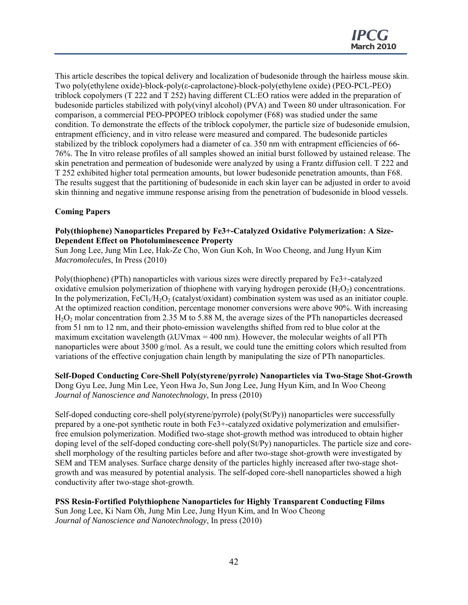This article describes the topical delivery and localization of budesonide through the hairless mouse skin. Two poly(ethylene oxide)-block-poly(ε-caprolactone)-block-poly(ethylene oxide) (PEO-PCL-PEO) triblock copolymers (T 222 and T 252) having different CL:EO ratios were added in the preparation of budesonide particles stabilized with poly(vinyl alcohol) (PVA) and Tween 80 under ultrasonication. For comparison, a commercial PEO-PPOPEO triblock copolymer (F68) was studied under the same condition. To demonstrate the effects of the triblock copolymer, the particle size of budesonide emulsion, entrapment efficiency, and in vitro release were measured and compared. The budesonide particles stabilized by the triblock copolymers had a diameter of ca. 350 nm with entrapment efficiencies of 66- 76%. The In vitro release profiles of all samples showed an initial burst followed by ustained release. The skin penetration and permeation of budesonide were analyzed by using a Frantz diffusion cell. T 222 and T 252 exhibited higher total permeation amounts, but lower budesonide penetration amounts, than F68. The results suggest that the partitioning of budesonide in each skin layer can be adjusted in order to avoid skin thinning and negative immune response arising from the penetration of budesonide in blood vessels.

#### **Coming Papers**

#### **Poly(thiophene) Nanoparticles Prepared by Fe3+-Catalyzed Oxidative Polymerization: A Size-Dependent Effect on Photoluminescence Property**

Sun Jong Lee, Jung Min Lee, Hak-Ze Cho, Won Gun Koh, In Woo Cheong, and Jung Hyun Kim *Macromolecules*, In Press (2010)

Poly(thiophene) (PTh) nanoparticles with various sizes were directly prepared by Fe3+-catalyzed oxidative emulsion polymerization of thiophene with varying hydrogen peroxide  $(H<sub>2</sub>O<sub>2</sub>)$  concentrations. In the polymerization,  $FeCl<sub>3</sub>/H<sub>2</sub>O<sub>2</sub>$  (catalyst/oxidant) combination system was used as an initiator couple. At the optimized reaction condition, percentage monomer conversions were above 90%. With increasing H2O2 molar concentration from 2.35 M to 5.88 M, the average sizes of the PTh nanoparticles decreased from 51 nm to 12 nm, and their photo-emission wavelengths shifted from red to blue color at the maximum excitation wavelength  $(\lambda$ UVmax = 400 nm). However, the molecular weights of all PTh nanoparticles were about 3500 g/mol. As a result, we could tune the emitting colors which resulted from variations of the effective conjugation chain length by manipulating the size of PTh nanoparticles.

#### **Self-Doped Conducting Core-Shell Poly(styrene/pyrrole) Nanoparticles via Two-Stage Shot-Growth** Dong Gyu Lee, Jung Min Lee, Yeon Hwa Jo, Sun Jong Lee, Jung Hyun Kim, and In Woo Cheong *Journal of Nanoscience and Nanotechnology*, In press (2010)

Self-doped conducting core-shell poly(styrene/pyrrole) (poly(St/Py)) nanoparticles were successfully prepared by a one-pot synthetic route in both Fe3+-catalyzed oxidative polymerization and emulsifierfree emulsion polymerization. Modified two-stage shot-growth method was introduced to obtain higher doping level of the self-doped conducting core-shell poly(St/Py) nanoparticles. The particle size and coreshell morphology of the resulting particles before and after two-stage shot-growth were investigated by SEM and TEM analyses. Surface charge density of the particles highly increased after two-stage shotgrowth and was measured by potential analysis. The self-doped core-shell nanoparticles showed a high conductivity after two-stage shot-growth.

#### **PSS Resin-Fortified Polythiophene Nanoparticles for Highly Transparent Conducting Films** Sun Jong Lee, Ki Nam Oh, Jung Min Lee, Jung Hyun Kim, and In Woo Cheong *Journal of Nanoscience and Nanotechnology*, In press (2010)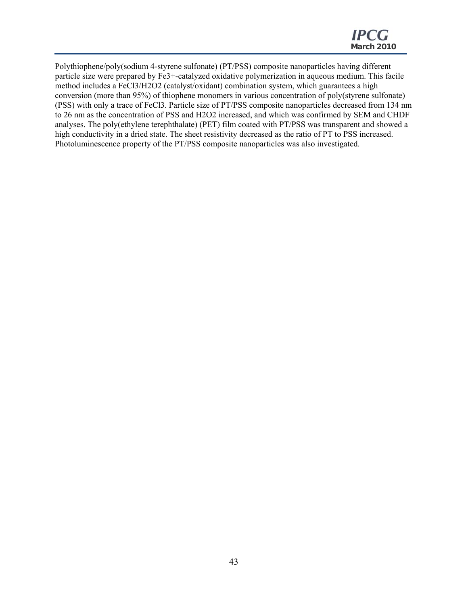Polythiophene/poly(sodium 4-styrene sulfonate) (PT/PSS) composite nanoparticles having different particle size were prepared by Fe3+-catalyzed oxidative polymerization in aqueous medium. This facile method includes a FeCl3/H2O2 (catalyst/oxidant) combination system, which guarantees a high conversion (more than 95%) of thiophene monomers in various concentration of poly(styrene sulfonate) (PSS) with only a trace of FeCl3. Particle size of PT/PSS composite nanoparticles decreased from 134 nm to 26 nm as the concentration of PSS and H2O2 increased, and which was confirmed by SEM and CHDF analyses. The poly(ethylene terephthalate) (PET) film coated with PT/PSS was transparent and showed a high conductivity in a dried state. The sheet resistivity decreased as the ratio of PT to PSS increased. Photoluminescence property of the PT/PSS composite nanoparticles was also investigated.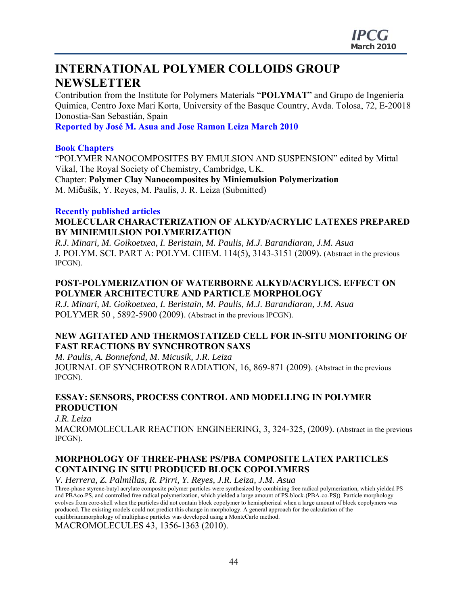## **INTERNATIONAL POLYMER COLLOIDS GROUP NEWSLETTER**

Contribution from the Institute for Polymers Materials "**POLYMAT**" and Grupo de Ingeniería Química, Centro Joxe Mari Korta, University of the Basque Country, Avda. Tolosa, 72, E-20018 Donostia-San Sebastián, Spain

**Reported by José M. Asua and Jose Ramon Leiza March 2010** 

### **Book Chapters**

"POLYMER NANOCOMPOSITES BY EMULSION AND SUSPENSION" edited by Mittal Vikal, The Royal Society of Chemistry, Cambridge, UK. Chapter: **Polymer Clay Nanocomposites by Miniemulsion Polymerization**  M. Mičušík, Y. Reyes, M. Paulis, J. R. Leiza (Submitted)

#### **Recently published articles**

## **MOLECULAR CHARACTERIZATION OF ALKYD/ACRYLIC LATEXES PREPARED BY MINIEMULSION POLYMERIZATION**

*R.J. Minari, M. Goikoetxea, I. Beristain, M. Paulis, M.J. Barandiaran, J.M. Asua*  J. POLYM. SCI. PART A: POLYM. CHEM. 114(5), 3143-3151 (2009). (Abstract in the previous IPCGN).

## **POST-POLYMERIZATION OF WATERBORNE ALKYD/ACRYLICS. EFFECT ON POLYMER ARCHITECTURE AND PARTICLE MORPHOLOGY**

*R.J. Minari, M. Goikoetxea, I. Beristain, M. Paulis, M.J. Barandiaran, J.M. Asua*  POLYMER 50 , 5892-5900 (2009). (Abstract in the previous IPCGN).

## **NEW AGITATED AND THERMOSTATIZED CELL FOR IN-SITU MONITORING OF FAST REACTIONS BY SYNCHROTRON SAXS**

*M. Paulis, A. Bonnefond, M. Micusik, J.R. Leiza*  JOURNAL OF SYNCHROTRON RADIATION, 16, 869-871 (2009). (Abstract in the previous IPCGN).

## **ESSAY: SENSORS, PROCESS CONTROL AND MODELLING IN POLYMER PRODUCTION**

*J.R. Leiza* 

MACROMOLECULAR REACTION ENGINEERING, 3, 324-325, (2009). (Abstract in the previous IPCGN).

## **MORPHOLOGY OF THREE-PHASE PS/PBA COMPOSITE LATEX PARTICLES CONTAINING IN SITU PRODUCED BLOCK COPOLYMERS**

*V. Herrera, Z. Palmillas, R. Pirri, Y. Reyes, J.R. Leiza, J.M. Asua* 

Three-phase styrene-butyl acrylate composite polymer particles were synthesized by combining free radical polymerization, which yielded PS and PBAco-PS, and controlled free radical polymerization, which yielded a large amount of PS-block-(PBA-co-PS)). Particle morphology evolves from core-shell when the particles did not contain block copolymer to hemispherical when a large amount of block copolymers was produced. The existing models could not predict this change in morphology. A general approach for the calculation of the equilibriummorphology of multiphase particles was developed using a MonteCarlo method.

MACROMOLECULES 43, 1356-1363 (2010).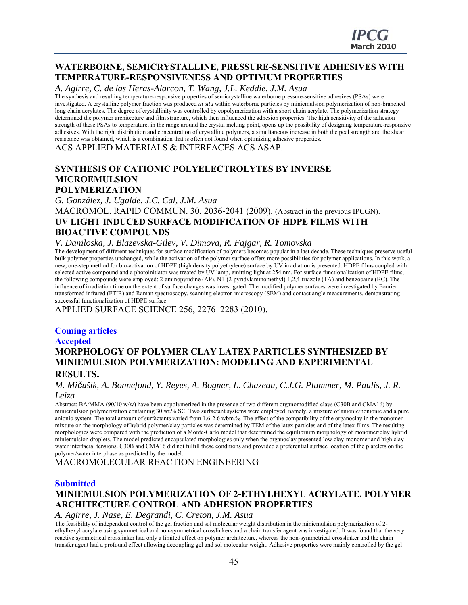## **WATERBORNE, SEMICRYSTALLINE, PRESSURE-SENSITIVE ADHESIVES WITH TEMPERATURE-RESPONSIVENESS AND OPTIMUM PROPERTIES**

*A. Agirre, C. de las Heras-Alarcon, T. Wang, J.L. Keddie, J.M. Asua* 

The synthesis and resulting temperature-responsive properties of semicrystalline waterborne pressure-sensitive adhesives (PSAs) were investigated. A crystalline polymer fraction was produced *in situ* within waterborne particles by miniemulsion polymerization of non-branched long chain acrylates. The degree of crystallinity was controlled by copolymerization with a short chain acrylate. The polymerization strategy determined the polymer architecture and film structure, which then influenced the adhesion properties. The high sensitivity of the adhesion strength of these PSAs to temperature, in the range around the crystal melting point, opens up the possibility of designing temperature-responsive adhesives. With the right distribution and concentration of crystalline polymers, a simultaneous increase in both the peel strength and the shear resistance was obtained, which is a combination that is often not found when optimizing adhesive properties.

ACS APPLIED MATERIALS & INTERFACES ACS ASAP.

#### **SYNTHESIS OF CATIONIC POLYELECTROLYTES BY INVERSE MICROEMULSION POLYMERIZATION**

*G. González, J. Ugalde, J.C. Cal, J.M. Asua* 

MACROMOL. RAPID COMMUN. 30, 2036-2041 (2009). (Abstract in the previous IPCGN). **UV LIGHT INDUCED SURFACE MODIFICATION OF HDPE FILMS WITH BIOACTIVE COMPOUNDS** 

#### *V. Daniloska, J. Blazevska-Gilev, V. Dimova, R. Fajgar, R. Tomovska*

The development of different techniques for surface modification of polymers becomes popular in a last decade. These techniques preserve useful bulk polymer properties unchanged, while the activation of the polymer surface offers more possibilities for polymer applications. In this work, a new, one-step method for bio-activation of HDPE (high density polyethylene) surface by UV irradiation is presented. HDPE films coupled with selected active compound and a photoinitiator was treated by UV lamp, emitting light at 254 nm. For surface functionalization of HDPE films, the following compounds were employed: 2-aminopyridine (AP), N1-(2-pyridylaminomethyl)-1,2,4-triazole (TA) and benzocaine (BC). The influence of irradiation time on the extent of surface changes was investigated. The modified polymer surfaces were investigated by Fourier transformed infrared (FTIR) and Raman spectroscopy, scanning electron microscopy (SEM) and contact angle measurements, demonstrating successful functionalization of HDPE surface.

APPLIED SURFACE SCIENCE 256, 2276–2283 (2010).

#### **Coming articles**

## **Accepted MORPHOLOGY OF POLYMER CLAY LATEX PARTICLES SYNTHESIZED BY MINIEMULSION POLYMERIZATION: MODELING AND EXPERIMENTAL RESULTS.**

#### *M. Mičušík, A. Bonnefond, Y. Reyes, A. Bogner, L. Chazeau, C.J.G. Plummer, M. Paulis, J. R. Leiza*

Abstract: BA/MMA (90/10 w/w) have been copolymerized in the presence of two different organomodified clays (C30B and CMA16) by miniemulsion polymerization containing 30 wt.% SC. Two surfactant systems were employed, namely, a mixture of anionic/nonionic and a pure anionic system. The total amount of surfactants varied from 1.6-2.6 wbm.%. The effect of the compatibility of the organoclay in the monomer mixture on the morphology of hybrid polymer/clay particles was determined by TEM of the latex particles and of the latex films. The resulting morphologies were compared with the prediction of a Monte-Carlo model that determined the equilibrium morphology of monomer/clay hybrid miniemulsion droplets. The model predicted encapsulated morphologies only when the organoclay presented low clay-monomer and high claywater interfacial tensions. C30B and CMA16 did not fulfill these conditions and provided a preferential surface location of the platelets on the polymer/water interphase as predicted by the model.

MACROMOLECULAR REACTION ENGINEERING

#### **Submitted**

## **MINIEMULSION POLYMERIZATION OF 2-ETHYLHEXYL ACRYLATE. POLYMER ARCHITECTURE CONTROL AND ADHESION PROPERTIES**

#### *A. Agirre, J. Nase, E. Degrandi, C. Creton, J.M. Asua*

The feasibility of independent control of the gel fraction and sol molecular weight distribution in the miniemulsion polymerization of 2 ethylhexyl acrylate using symmetrical and non-symmetrical crosslinkers and a chain transfer agent was investigated. It was found that the very reactive symmetrical crosslinker had only a limited effect on polymer architecture, whereas the non-symmetrical crosslinker and the chain transfer agent had a profound effect allowing decoupling gel and sol molecular weight. Adhesive properties were mainly controlled by the gel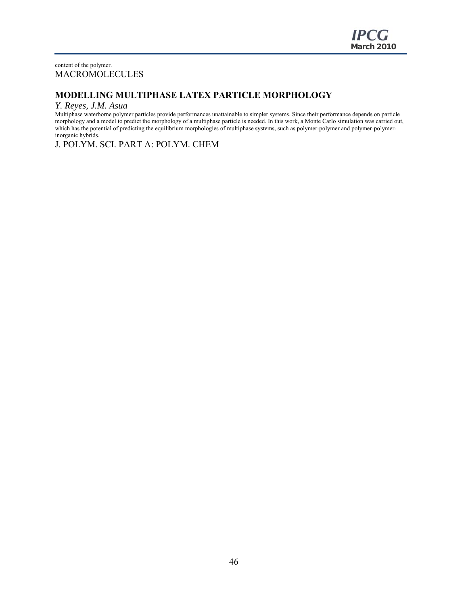#### content of the polymer. MACROMOLECULES

## **MODELLING MULTIPHASE LATEX PARTICLE MORPHOLOGY**

#### *Y. Reyes, J.M. Asua*

Multiphase waterborne polymer particles provide performances unattainable to simpler systems. Since their performance depends on particle morphology and a model to predict the morphology of a multiphase particle is needed. In this work, a Monte Carlo simulation was carried out, which has the potential of predicting the equilibrium morphologies of multiphase systems, such as polymer-polymer and polymer-polymerinorganic hybrids.

J. POLYM. SCI. PART A: POLYM. CHEM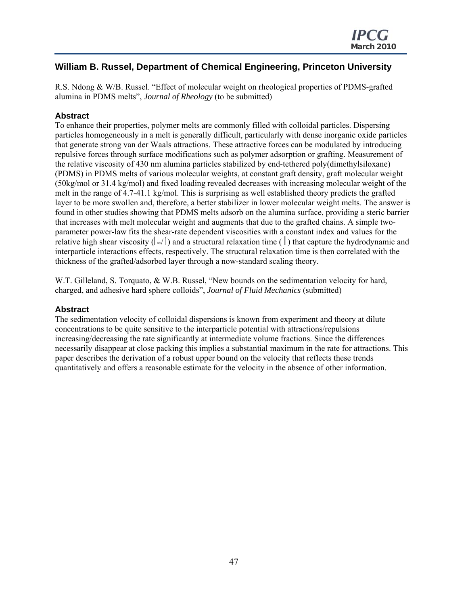## **William B. Russel, Department of Chemical Engineering, Princeton University**

R.S. Ndong & W/B. Russel. "Effect of molecular weight on rheological properties of PDMS-grafted alumina in PDMS melts", *Journal of Rheology* (to be submitted)

### **Abstract**

To enhance their properties, polymer melts are commonly filled with colloidal particles. Dispersing particles homogeneously in a melt is generally difficult, particularly with dense inorganic oxide particles that generate strong van der Waals attractions. These attractive forces can be modulated by introducing repulsive forces through surface modifications such as polymer adsorption or grafting. Measurement of the relative viscosity of 430 nm alumina particles stabilized by end-tethered poly(dimethylsiloxane) (PDMS) in PDMS melts of various molecular weights, at constant graft density, graft molecular weight (50kg/mol or 31.4 kg/mol) and fixed loading revealed decreases with increasing molecular weight of the melt in the range of 4.7-41.1 kg/mol. This is surprising as well established theory predicts the grafted layer to be more swollen and, therefore, a better stabilizer in lower molecular weight melts. The answer is found in other studies showing that PDMS melts adsorb on the alumina surface, providing a steric barrier that increases with melt molecular weight and augments that due to the grafted chains. A simple twoparameter power-law fits the shear-rate dependent viscosities with a constant index and values for the relative high shear viscosity  $\left(\alpha/(\cdot)\right)$  and a structural relaxation time ( $\left(\cdot\right)$ ) that capture the hydrodynamic and interparticle interactions effects, respectively. The structural relaxation time is then correlated with the thickness of the grafted/adsorbed layer through a now-standard scaling theory.

W.T. Gilleland, S. Torquato, & W.B. Russel, "New bounds on the sedimentation velocity for hard, charged, and adhesive hard sphere colloids", *Journal of Fluid Mechanics* (submitted)

#### **Abstract**

The sedimentation velocity of colloidal dispersions is known from experiment and theory at dilute concentrations to be quite sensitive to the interparticle potential with attractions/repulsions increasing/decreasing the rate significantly at intermediate volume fractions. Since the differences necessarily disappear at close packing this implies a substantial maximum in the rate for attractions. This paper describes the derivation of a robust upper bound on the velocity that reflects these trends quantitatively and offers a reasonable estimate for the velocity in the absence of other information.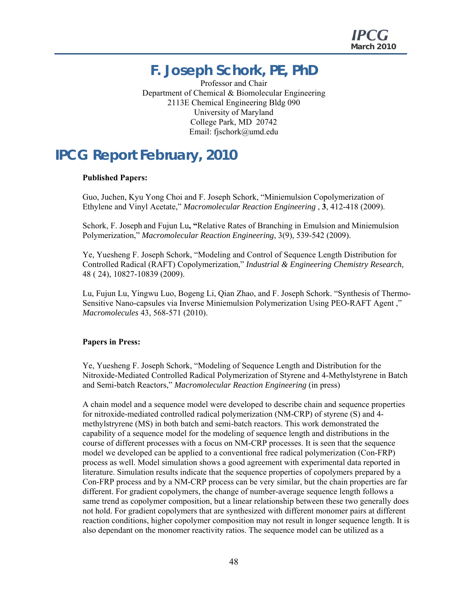## **F. Joseph Schork, PE, PhD**

Professor and Chair Department of Chemical & Biomolecular Engineering 2113E Chemical Engineering Bldg 090 University of Maryland College Park, MD 20742 Email: fjschork@umd.edu

## **IPCG Report February, 2010**

#### **Published Papers:**

Guo, Juchen, Kyu Yong Choi and F. Joseph Schork, "Miniemulsion Copolymerization of Ethylene and Vinyl Acetate," *Macromolecular Reaction Engineering* , **3**, 412-418 (2009).

Schork, F. Joseph and Fujun Lu**, "**Relative Rates of Branching in Emulsion and Miniemulsion Polymerization," *Macromolecular Reaction Engineering*, 3(9), 539-542 (2009).

Ye, Yuesheng F. Joseph Schork, "Modeling and Control of Sequence Length Distribution for Controlled Radical (RAFT) Copolymerization," *Industrial & Engineering Chemistry Research*, 48 ( 24), 10827-10839 (2009).

Lu, Fujun Lu, Yingwu Luo, Bogeng Li, Qian Zhao, and F. Joseph Schork. "Synthesis of Thermo-Sensitive Nano-capsules via Inverse Miniemulsion Polymerization Using PEO-RAFT Agent ," *Macromolecules* 43, 568-571 (2010).

#### **Papers in Press:**

Ye, Yuesheng F. Joseph Schork, "Modeling of Sequence Length and Distribution for the Nitroxide-Mediated Controlled Radical Polymerization of Styrene and 4-Methylstyrene in Batch and Semi-batch Reactors," *Macromolecular Reaction Engineering* (in press)

A chain model and a sequence model were developed to describe chain and sequence properties for nitroxide-mediated controlled radical polymerization (NM-CRP) of styrene (S) and 4 methylstryrene (MS) in both batch and semi-batch reactors. This work demonstrated the capability of a sequence model for the modeling of sequence length and distributions in the course of different processes with a focus on NM-CRP processes. It is seen that the sequence model we developed can be applied to a conventional free radical polymerization (Con-FRP) process as well. Model simulation shows a good agreement with experimental data reported in literature. Simulation results indicate that the sequence properties of copolymers prepared by a Con-FRP process and by a NM-CRP process can be very similar, but the chain properties are far different. For gradient copolymers, the change of number-average sequence length follows a same trend as copolymer composition, but a linear relationship between these two generally does not hold. For gradient copolymers that are synthesized with different monomer pairs at different reaction conditions, higher copolymer composition may not result in longer sequence length. It is also dependant on the monomer reactivity ratios. The sequence model can be utilized as a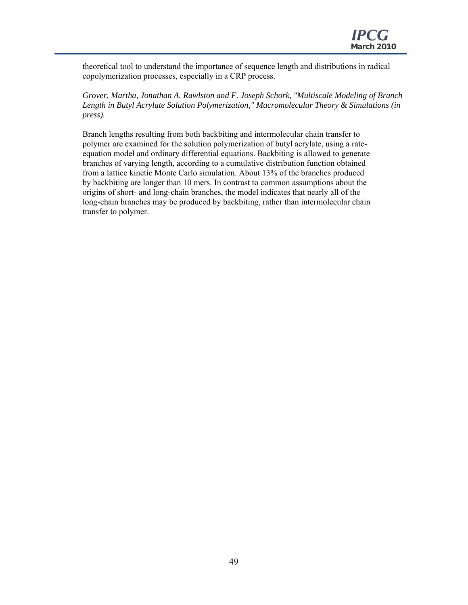theoretical tool to understand the importance of sequence length and distributions in radical copolymerization processes, especially in a CRP process.

*Grover, Martha, Jonathan A. Rawlston and F. Joseph Schork, "Multiscale Modeling of Branch Length in Butyl Acrylate Solution Polymerization," Macromolecular Theory & Simulations (in press).*

Branch lengths resulting from both backbiting and intermolecular chain transfer to polymer are examined for the solution polymerization of butyl acrylate, using a rateequation model and ordinary differential equations. Backbiting is allowed to generate branches of varying length, according to a cumulative distribution function obtained from a lattice kinetic Monte Carlo simulation. About 13% of the branches produced by backbiting are longer than 10 mers. In contrast to common assumptions about the origins of short- and long-chain branches, the model indicates that nearly all of the long-chain branches may be produced by backbiting, rather than intermolecular chain transfer to polymer.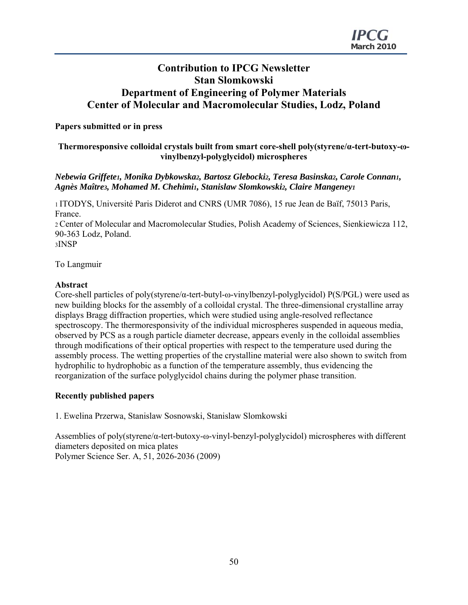## **Contribution to IPCG Newsletter Stan Slomkowski Department of Engineering of Polymer Materials Center of Molecular and Macromolecular Studies, Lodz, Poland**

### **Papers submitted or in press**

#### **Thermoresponsive colloidal crystals built from smart core-shell poly(styrene/α-tert-butoxy-ωvinylbenzyl-polyglycidol) microspheres**

#### *Nebewia Griffete1, Monika Dybkowska2, Bartosz Glebocki2, Teresa Basinska2, Carole Connan1, Agnès Maître3, Mohamed M. Chehimi1, Stanislaw Slomkowski2, Claire Mangeney1*

1 ITODYS, Université Paris Diderot and CNRS (UMR 7086), 15 rue Jean de Baïf, 75013 Paris, France.

2 Center of Molecular and Macromolecular Studies, Polish Academy of Sciences, Sienkiewicza 112, 90-363 Lodz, Poland.

3INSP

To Langmuir

#### **Abstract**

Core-shell particles of poly(styrene/α-tert-butyl-ω-vinylbenzyl-polyglycidol) P(S/PGL) were used as new building blocks for the assembly of a colloidal crystal. The three-dimensional crystalline array displays Bragg diffraction properties, which were studied using angle-resolved reflectance spectroscopy. The thermoresponsivity of the individual microspheres suspended in aqueous media, observed by PCS as a rough particle diameter decrease, appears evenly in the colloidal assemblies through modifications of their optical properties with respect to the temperature used during the assembly process. The wetting properties of the crystalline material were also shown to switch from hydrophilic to hydrophobic as a function of the temperature assembly, thus evidencing the reorganization of the surface polyglycidol chains during the polymer phase transition.

#### **Recently published papers**

1. Ewelina Przerwa, Stanislaw Sosnowski, Stanislaw Slomkowski

Assemblies of poly(styrene/α-tert-butoxy-ω-vinyl-benzyl-polyglycidol) microspheres with different diameters deposited on mica plates Polymer Science Ser. A, 51, 2026-2036 (2009)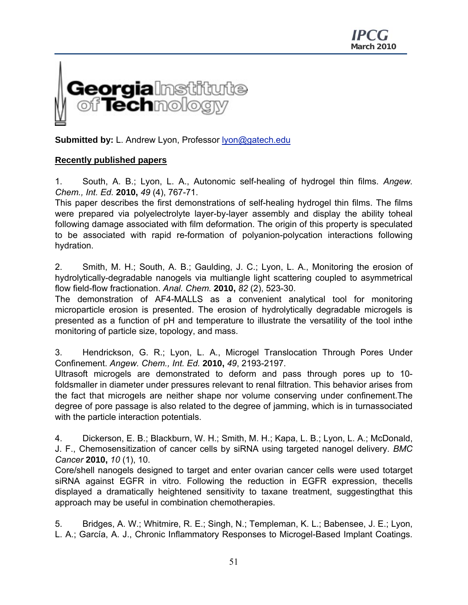

**Submitted by:** L. Andrew Lyon, Professor lyon@gatech.edu

## **Recently published papers**

1. South, A. B.; Lyon, L. A., Autonomic self-healing of hydrogel thin films. *Angew. Chem., Int. Ed.* **2010,** *49* (4), 767-71.

This paper describes the first demonstrations of self-healing hydrogel thin films. The films were prepared via polyelectrolyte layer-by-layer assembly and display the ability toheal following damage associated with film deformation. The origin of this property is speculated to be associated with rapid re-formation of polyanion-polycation interactions following hydration.

2. Smith, M. H.; South, A. B.; Gaulding, J. C.; Lyon, L. A., Monitoring the erosion of hydrolytically-degradable nanogels via multiangle light scattering coupled to asymmetrical flow field-flow fractionation. *Anal. Chem.* **2010,** *82* (2), 523-30.

The demonstration of AF4-MALLS as a convenient analytical tool for monitoring microparticle erosion is presented. The erosion of hydrolytically degradable microgels is presented as a function of pH and temperature to illustrate the versatility of the tool inthe monitoring of particle size, topology, and mass.

3. Hendrickson, G. R.; Lyon, L. A., Microgel Translocation Through Pores Under Confinement. *Angew. Chem., Int. Ed.* **2010,** *49*, 2193-2197.

Ultrasoft microgels are demonstrated to deform and pass through pores up to 10 foldsmaller in diameter under pressures relevant to renal filtration. This behavior arises from the fact that microgels are neither shape nor volume conserving under confinement.The degree of pore passage is also related to the degree of jamming, which is in turnassociated with the particle interaction potentials.

4. Dickerson, E. B.; Blackburn, W. H.; Smith, M. H.; Kapa, L. B.; Lyon, L. A.; McDonald, J. F., Chemosensitization of cancer cells by siRNA using targeted nanogel delivery. *BMC Cancer* **2010,** *10* (1), 10.

Core/shell nanogels designed to target and enter ovarian cancer cells were used totarget siRNA against EGFR in vitro. Following the reduction in EGFR expression, thecells displayed a dramatically heightened sensitivity to taxane treatment, suggestingthat this approach may be useful in combination chemotherapies.

5. Bridges, A. W.; Whitmire, R. E.; Singh, N.; Templeman, K. L.; Babensee, J. E.; Lyon, L. A.; García, A. J., Chronic Inflammatory Responses to Microgel-Based Implant Coatings.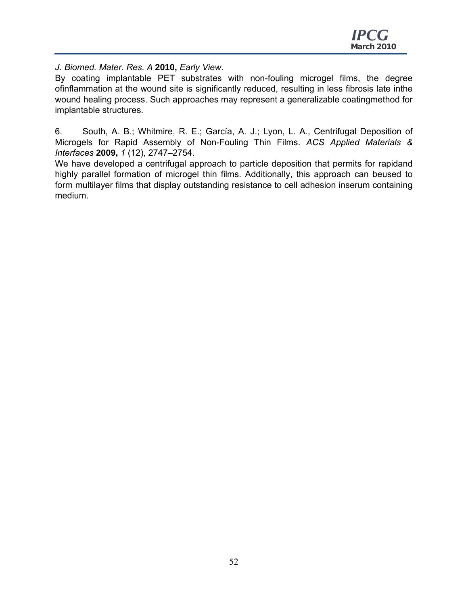*J. Biomed. Mater. Res. A* **2010,** *Early View*.

By coating implantable PET substrates with non-fouling microgel films, the degree ofinflammation at the wound site is significantly reduced, resulting in less fibrosis late inthe wound healing process. Such approaches may represent a generalizable coatingmethod for implantable structures.

6. South, A. B.; Whitmire, R. E.; García, A. J.; Lyon, L. A., Centrifugal Deposition of Microgels for Rapid Assembly of Non-Fouling Thin Films. *ACS Applied Materials & Interfaces* **2009,** *1* (12), 2747–2754.

We have developed a centrifugal approach to particle deposition that permits for rapidand highly parallel formation of microgel thin films. Additionally, this approach can beused to form multilayer films that display outstanding resistance to cell adhesion inserum containing medium.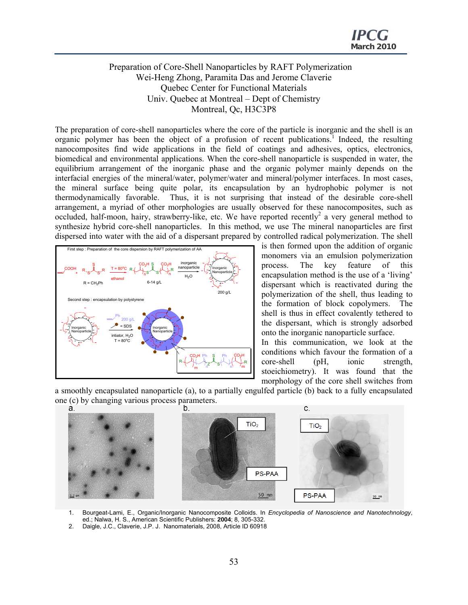#### Preparation of Core-Shell Nanoparticles by RAFT Polymerization Wei-Heng Zhong, Paramita Das and Jerome Claverie Quebec Center for Functional Materials Univ. Quebec at Montreal – Dept of Chemistry Montreal, Qc, H3C3P8

The preparation of core-shell nanoparticles where the core of the particle is inorganic and the shell is an organic polymer has been the object of a profusion of recent publications.<sup>1</sup> Indeed, the resulting nanocomposites find wide applications in the field of coatings and adhesives, optics, electronics, biomedical and environmental applications. When the core-shell nanoparticle is suspended in water, the equilibrium arrangement of the inorganic phase and the organic polymer mainly depends on the interfacial energies of the mineral/water, polymer/water and mineral/polymer interfaces. In most cases, the mineral surface being quite polar, its encapsulation by an hydrophobic polymer is not thermodynamically favorable. Thus, it is not surprising that instead of the desirable core-shell arrangement, a myriad of other morphologies are usually observed for these nanocomposites, such as occluded, half-moon, hairy, strawberry-like, etc. We have reported recently<sup>2</sup> a very general method to synthesize hybrid core-shell nanoparticles. In this method, we use The mineral nanoparticles are first dispersed into water with the aid of a dispersant prepared by controlled radical polymerization. The shell



is then formed upon the addition of organic monomers via an emulsion polymerization process. The key feature of this encapsulation method is the use of a 'living' dispersant which is reactivated during the polymerization of the shell, thus leading to the formation of block copolymers. The shell is thus in effect covalently tethered to the dispersant, which is strongly adsorbed onto the inorganic nanoparticle surface.

In this communication, we look at the conditions which favour the formation of a core-shell (pH, ionic strength, stoeichiometry). It was found that the morphology of the core shell switches from

a smoothly encapsulated nanoparticle (a), to a partially engulfed particle (b) back to a fully encapsulated one (c) by changing various process parameters.<br> $\frac{a}{b}$ 



- 1. Bourgeat-Lami, E., Organic/Inorganic Nanocomposite Colloids. In *Encyclopedia of Nanoscience and Nanotechnology*, ed.; Nalwa, H. S., American Scientific Publishers: **2004**; 8, 305-332.
- 2. Daigle, J.C., Claverie, J.P. J. Nanomaterials, 2008, Article ID 60918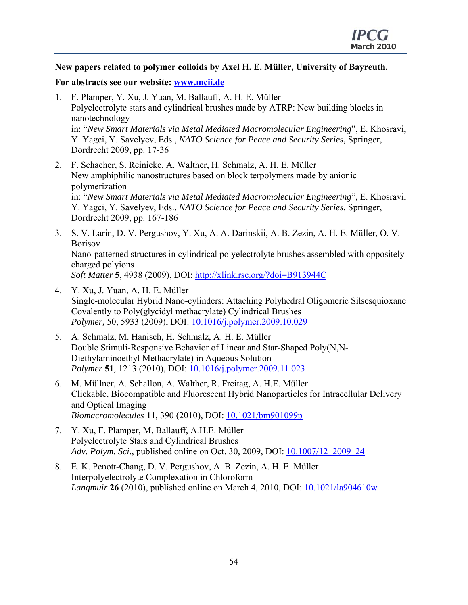### **New papers related to polymer colloids by Axel H. E. Müller, University of Bayreuth.**

### **For abstracts see our website: www.mcii.de**

- 1. F. Plamper, Y. Xu, J. Yuan, M. Ballauff, A. H. E. Müller Polyelectrolyte stars and cylindrical brushes made by ATRP: New building blocks in nanotechnology in: "*New Smart Materials via Metal Mediated Macromolecular Engineering*", E. Khosravi, Y. Yagci, Y. Savelyev, Eds., *NATO Science for Peace and Security Series,* Springer, Dordrecht 2009, pp. 17-36
- 2. F. Schacher, S. Reinicke, A. Walther, H. Schmalz, A. H. E. Müller New amphiphilic nanostructures based on block terpolymers made by anionic polymerization in: "*New Smart Materials via Metal Mediated Macromolecular Engineering*", E. Khosravi, Y. Yagci, Y. Savelyev, Eds., *NATO Science for Peace and Security Series,* Springer, Dordrecht 2009, pp. 167-186
- 3. S. V. Larin, D. V. Pergushov, Y. Xu, A. A. Darinskii, A. B. Zezin, A. H. E. Müller, O. V. Borisov Nano-patterned structures in cylindrical polyelectrolyte brushes assembled with oppositely charged polyions *Soft Matter* **5**, 4938 (2009), DOI: http://xlink.rsc.org/?doi=B913944C
- 4. Y. Xu, J. Yuan, A. H. E. Müller Single-molecular Hybrid Nano-cylinders: Attaching Polyhedral Oligomeric Silsesquioxane Covalently to Poly(glycidyl methacrylate) Cylindrical Brushes *Polymer,* 50, 5933 (2009), DOI: 10.1016/j.polymer.2009.10.029
- 5. A. Schmalz, M. Hanisch, H. Schmalz, A. H. E. Müller Double Stimuli-Responsive Behavior of Linear and Star-Shaped Poly(N,N-Diethylaminoethyl Methacrylate) in Aqueous Solution *Polymer* **51***,* 1213 (2010), DOI: 10.1016/j.polymer.2009.11.023
- 6. M. Müllner, A. Schallon, A. Walther, R. Freitag, A. H.E. Müller Clickable, Biocompatible and Fluorescent Hybrid Nanoparticles for Intracellular Delivery and Optical Imaging *Biomacromolecules* **11**, 390 (2010), DOI: 10.1021/bm901099p
- 7. Y. Xu, F. Plamper, M. Ballauff, A.H.E. Müller Polyelectrolyte Stars and Cylindrical Brushes *Adv. Polym. Sci*., published online on Oct. 30, 2009, DOI: 10.1007/12\_2009\_24
- 8. E. K. Penott-Chang, D. V. Pergushov, A. B. Zezin, A. H. E. Müller Interpolyelectrolyte Complexation in Chloroform *Langmuir* **26** (2010), published online on March 4, 2010, DOI: 10.1021/la904610w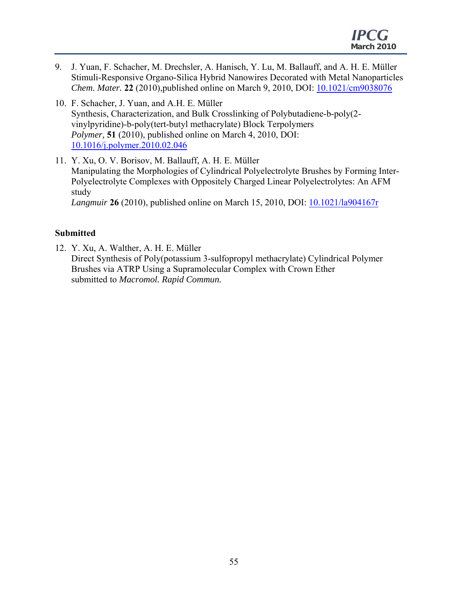- 9. J. Yuan, F. Schacher, M. Drechsler, A. Hanisch, Y. Lu, M. Ballauff, and A. H. E. Müller Stimuli-Responsive Organo-Silica Hybrid Nanowires Decorated with Metal Nanoparticles *Chem. Mater.* **22** (2010),published online on March 9, 2010, DOI: 10.1021/cm9038076
- 10. F. Schacher, J. Yuan, and A.H. E. Müller Synthesis, Characterization, and Bulk Crosslinking of Polybutadiene-b-poly(2 vinylpyridine)-b-poly(tert-butyl methacrylate) Block Terpolymers *Polymer,* **51** (2010), published online on March 4, 2010, DOI: 10.1016/j.polymer.2010.02.046
- 11. Y. Xu, O. V. Borisov, M. Ballauff, A. H. E. Müller Manipulating the Morphologies of Cylindrical Polyelectrolyte Brushes by Forming Inter-Polyelectrolyte Complexes with Oppositely Charged Linear Polyelectrolytes: An AFM study *Langmuir* **26** (2010), published online on March 15, 2010, DOI: 10.1021/la904167r

## **Submitted**

12. Y. Xu, A. Walther, A. H. E. Müller Direct Synthesis of Poly(potassium 3-sulfopropyl methacrylate) Cylindrical Polymer Brushes via ATRP Using a Supramolecular Complex with Crown Ether submitted to *Macromol. Rapid Commun.*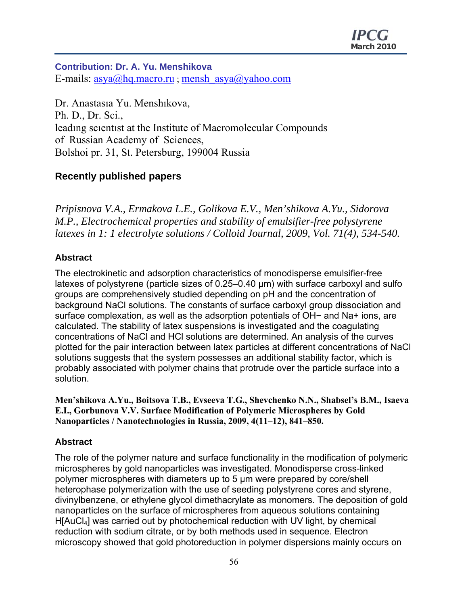## **Contribution: Dr. A. Yu. Menshikova**  E-mails:  $\frac{\text{asya}(a) \cdot \text{hq} \cdot \text{macro} \cdot \text{ru}}{\text{mensh} \cdot \text{asya}(a) \cdot \text{vahoo} \cdot \text{com}}$

Dr. Anastasıa Yu. Menshıkova, Ph. D., Dr. Sci., leadıng scıentıst at the Institute of Macromolecular Compounds of Russian Academy of Sciences, Bolshoi pr. 31, St. Petersburg, 199004 Russia

## **Recently published papers**

*Pripisnova V.A., Ermakova L.E., Golikova E.V., Men'shikova A.Yu., Sidorova M.P., Electrochemical properties and stability of emulsifier-free polystyrene latexes in 1: 1 electrolyte solutions / Colloid Journal, 2009, Vol. 71(4), 534-540.* 

## **Abstract**

The electrokinetic and adsorption characteristics of monodisperse emulsifier-free latexes of polystyrene (particle sizes of 0.25–0.40 μm) with surface carboxyl and sulfo groups are comprehensively studied depending on pH and the concentration of background NaCl solutions. The constants of surface carboxyl group dissociation and surface complexation, as well as the adsorption potentials of OH− and Na+ ions, are calculated. The stability of latex suspensions is investigated and the coagulating concentrations of NaCl and HCl solutions are determined. An analysis of the curves plotted for the pair interaction between latex particles at different concentrations of NaCl solutions suggests that the system possesses an additional stability factor, which is probably associated with polymer chains that protrude over the particle surface into a solution.

**Men'shikova A.Yu., Boitsova T.B., Evseeva T.G., Shevchenko N.N., Shabsel's B.M., Isaeva E.I., Gorbunovа V.V. Surface Modification of Polymeric Microspheres by Gold Nanoparticles / Nanotechnologies in Russia, 2009, 4(11–12), 841–850.** 

## **Abstract**

The role of the polymer nature and surface functionality in the modification of polymeric microspheres by gold nanoparticles was investigated. Monodisperse cross-linked polymer microspheres with diameters up to 5 μm were prepared by core/shell heterophase polymerization with the use of seeding polystyrene cores and styrene, divinylbenzene, or ethylene glycol dimethacrylate as monomers. The deposition of gold nanoparticles on the surface of microspheres from aqueous solutions containing H[AuCl4] was carried out by photochemical reduction with UV light, by chemical reduction with sodium citrate, or by both methods used in sequence. Electron microscopy showed that gold photoreduction in polymer dispersions mainly occurs on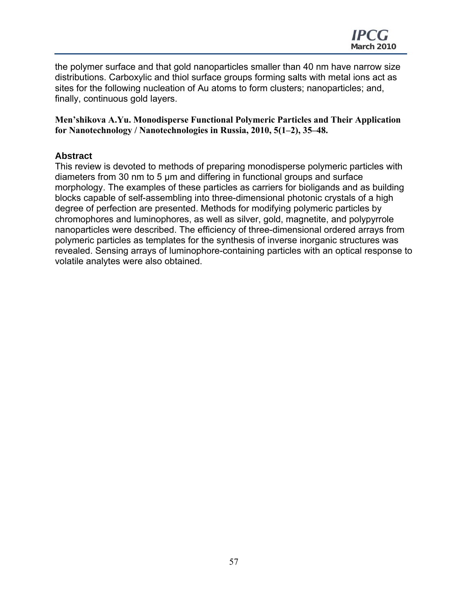the polymer surface and that gold nanoparticles smaller than 40 nm have narrow size distributions. Carboxylic and thiol surface groups forming salts with metal ions act as sites for the following nucleation of Au atoms to form clusters; nanoparticles; and, finally, continuous gold layers.

**Men'shikova A.Yu. Monodisperse Functional Polymeric Particles and Their Application for Nanotechnology / Nanotechnologies in Russia, 2010, 5(1–2), 35–48.** 

## **Abstract**

This review is devoted to methods of preparing monodisperse polymeric particles with diameters from 30 nm to 5 μm and differing in functional groups and surface morphology. The examples of these particles as carriers for bioligands and as building blocks capable of self-assembling into three-dimensional photonic crystals of a high degree of perfection are presented. Methods for modifying polymeric particles by chromophores and luminophores, as well as silver, gold, magnetite, and polypyrrole nanoparticles were described. The efficiency of three-dimensional ordered arrays from polymeric particles as templates for the synthesis of inverse inorganic structures was revealed. Sensing arrays of luminophore-containing particles with an optical response to volatile analytes were also obtained.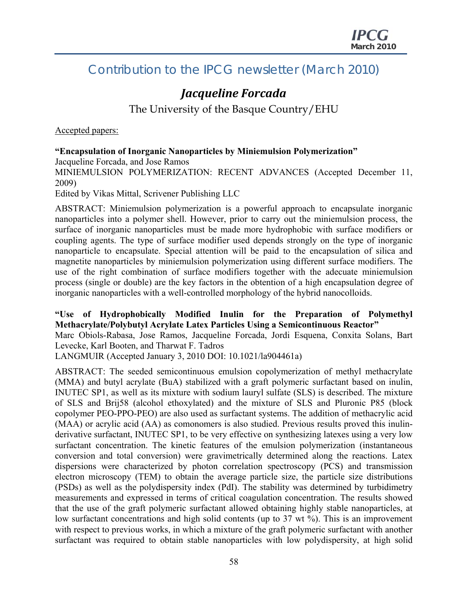## Contribution to the IPCG newsletter (March 2010)

## *Jacqueline Forcada*

The University of the Basque Country/EHU

Accepted papers:

## **"Encapsulation of Inorganic Nanoparticles by Miniemulsion Polymerization"**

Jacqueline Forcada, and Jose Ramos

MINIEMULSION POLYMERIZATION: RECENT ADVANCES (Accepted December 11, 2009)

Edited by Vikas Mittal, Scrivener Publishing LLC

ABSTRACT: Miniemulsion polymerization is a powerful approach to encapsulate inorganic nanoparticles into a polymer shell. However, prior to carry out the miniemulsion process, the surface of inorganic nanoparticles must be made more hydrophobic with surface modifiers or coupling agents. The type of surface modifier used depends strongly on the type of inorganic nanoparticle to encapsulate. Special attention will be paid to the encapsulation of silica and magnetite nanoparticles by miniemulsion polymerization using different surface modifiers. The use of the right combination of surface modifiers together with the adecuate miniemulsion process (single or double) are the key factors in the obtention of a high encapsulation degree of inorganic nanoparticles with a well-controlled morphology of the hybrid nanocolloids.

## **"Use of Hydrophobically Modified Inulin for the Preparation of Polymethyl Methacrylate/Polybutyl Acrylate Latex Particles Using a Semicontinuous Reactor"**

Marc Obiols-Rabasa, Jose Ramos, Jacqueline Forcada, Jordi Esquena, Conxita Solans, Bart Levecke, Karl Booten, and Tharwat F. Tadros

LANGMUIR (Accepted January 3, 2010 DOI: 10.1021/la904461a)

ABSTRACT: The seeded semicontinuous emulsion copolymerization of methyl methacrylate (MMA) and butyl acrylate (BuA) stabilized with a graft polymeric surfactant based on inulin, INUTEC SP1, as well as its mixture with sodium lauryl sulfate (SLS) is described. The mixture of SLS and Brij58 (alcohol ethoxylated) and the mixture of SLS and Pluronic P85 (block copolymer PEO-PPO-PEO) are also used as surfactant systems. The addition of methacrylic acid (MAA) or acrylic acid (AA) as comonomers is also studied. Previous results proved this inulinderivative surfactant, INUTEC SP1, to be very effective on synthesizing latexes using a very low surfactant concentration. The kinetic features of the emulsion polymerization (instantaneous conversion and total conversion) were gravimetrically determined along the reactions. Latex dispersions were characterized by photon correlation spectroscopy (PCS) and transmission electron microscopy (TEM) to obtain the average particle size, the particle size distributions (PSDs) as well as the polydispersity index (PdI). The stability was determined by turbidimetry measurements and expressed in terms of critical coagulation concentration. The results showed that the use of the graft polymeric surfactant allowed obtaining highly stable nanoparticles, at low surfactant concentrations and high solid contents (up to 37 wt %). This is an improvement with respect to previous works, in which a mixture of the graft polymeric surfactant with another surfactant was required to obtain stable nanoparticles with low polydispersity, at high solid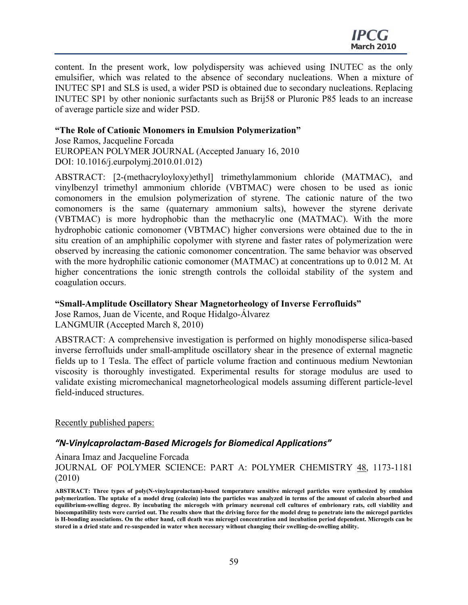content. In the present work, low polydispersity was achieved using INUTEC as the only emulsifier, which was related to the absence of secondary nucleations. When a mixture of INUTEC SP1 and SLS is used, a wider PSD is obtained due to secondary nucleations. Replacing INUTEC SP1 by other nonionic surfactants such as Brij58 or Pluronic P85 leads to an increase of average particle size and wider PSD.

#### **"The Role of Cationic Monomers in Emulsion Polymerization"**

Jose Ramos, Jacqueline Forcada EUROPEAN POLYMER JOURNAL (Accepted January 16, 2010 DOI: 10.1016/j.eurpolymj.2010.01.012)

ABSTRACT: [2-(methacryloyloxy)ethyl] trimethylammonium chloride (MATMAC), and vinylbenzyl trimethyl ammonium chloride (VBTMAC) were chosen to be used as ionic comonomers in the emulsion polymerization of styrene. The cationic nature of the two comonomers is the same (quaternary ammonium salts), however the styrene derivate (VBTMAC) is more hydrophobic than the methacrylic one (MATMAC). With the more hydrophobic cationic comonomer (VBTMAC) higher conversions were obtained due to the in situ creation of an amphiphilic copolymer with styrene and faster rates of polymerization were observed by increasing the cationic comonomer concentration. The same behavior was observed with the more hydrophilic cationic comonomer (MATMAC) at concentrations up to  $0.012$  M. At higher concentrations the ionic strength controls the colloidal stability of the system and coagulation occurs.

#### **"Small-Amplitude Oscillatory Shear Magnetorheology of Inverse Ferrofluids"**

Jose Ramos, Juan de Vicente, and Roque Hidalgo-Álvarez LANGMUIR (Accepted March 8, 2010)

ABSTRACT: A comprehensive investigation is performed on highly monodisperse silica-based inverse ferrofluids under small-amplitude oscillatory shear in the presence of external magnetic fields up to 1 Tesla. The effect of particle volume fraction and continuous medium Newtonian viscosity is thoroughly investigated. Experimental results for storage modulus are used to validate existing micromechanical magnetorheological models assuming different particle-level field-induced structures.

Recently published papers:

## *"N‐Vinylcaprolactam‐Based Microgels for Biomedical Applications"*

Ainara Imaz and Jacqueline Forcada

JOURNAL OF POLYMER SCIENCE: PART A: POLYMER CHEMISTRY 48, 1173-1181 (2010)

**ABSTRACT: Three types of poly(N-vinylcaprolactam)-based temperature sensitive microgel particles were synthesized by emulsion polymerization. The uptake of a model drug (calcein) into the particles was analyzed in terms of the amount of calcein absorbed and equilibrium-swelling degree. By incubating the microgels with primary neuronal cell cultures of embrionary rats, cell viability and biocompatibility tests were carried out. The results show that the driving force for the model drug to penetrate into the microgel particles is H-bonding associations. On the other hand, cell death was microgel concentration and incubation period dependent. Microgels can be stored in a dried state and re-suspended in water when necessary without changing their swelling-de-swelling ability.**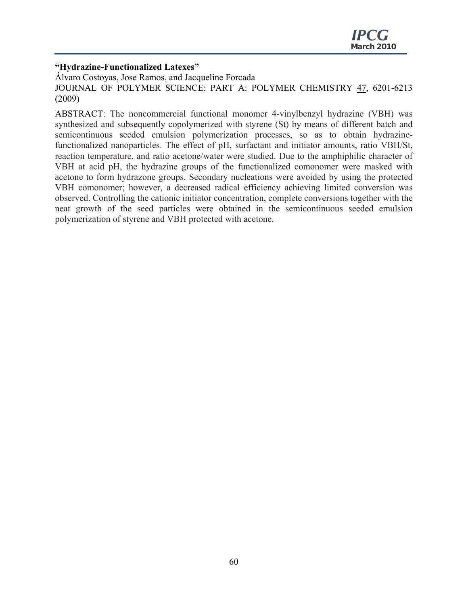## **"Hydrazine-Functionalized Latexes"**

Álvaro Costoyas, Jose Ramos, and Jacqueline Forcada JOURNAL OF POLYMER SCIENCE: PART A: POLYMER CHEMISTRY 47, 6201-6213 (2009)

ABSTRACT: The noncommercial functional monomer 4-vinylbenzyl hydrazine (VBH) was synthesized and subsequently copolymerized with styrene (St) by means of different batch and semicontinuous seeded emulsion polymerization processes, so as to obtain hydrazinefunctionalized nanoparticles. The effect of pH, surfactant and initiator amounts, ratio VBH/St, reaction temperature, and ratio acetone/water were studied. Due to the amphiphilic character of VBH at acid pH, the hydrazine groups of the functionalized comonomer were masked with acetone to form hydrazone groups. Secondary nucleations were avoided by using the protected VBH comonomer; however, a decreased radical efficiency achieving limited conversion was observed. Controlling the cationic initiator concentration, complete conversions together with the neat growth of the seed particles were obtained in the semicontinuous seeded emulsion polymerization of styrene and VBH protected with acetone.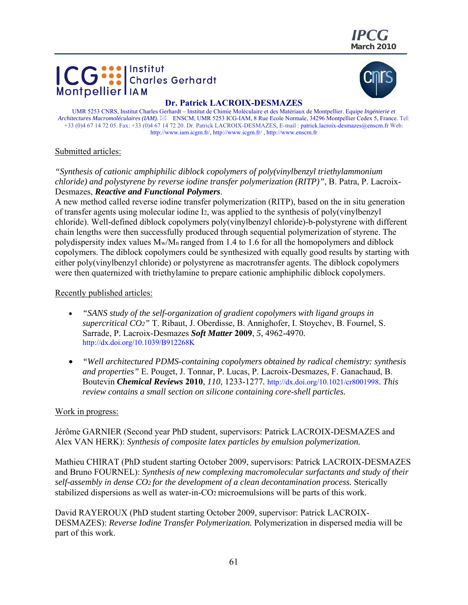





#### **Dr. Patrick LACROIX-DESMAZES**

UMR 5253 CNRS, Institut Charles Gerhardt – Institut de Chimie Moléculaire et des Matériaux de Montpellier. Equipe *Ingénierie et Architectures Macromoléculaires (IAM).*  ENSCM, UMR 5253 ICG-IAM, 8 Rue Ecole Normale, 34296 Montpellier Cedex 5, France. Tel: +33 (0)4 67 14 72 05. Fax: +33 (0)4 67 14 72 20. Dr. Patrick LACROIX-DESMAZES, E-mail : patrick.lacroix-desmazes@enscm.fr Web: http://www.iam.icgm.fr/, http://www.icgm.fr/ , http://www.enscm.fr

#### Submitted articles:

*"Synthesis of cationic amphiphilic diblock copolymers of poly(vinylbenzyl triethylammonium chloride) and polystyrene by reverse iodine transfer polymerization (RITP)"*, B. Patra, P. Lacroix-Desmazes, *Reactive and Functional Polymers*.

A new method called reverse iodine transfer polymerization (RITP), based on the in situ generation of transfer agents using molecular iodine I2, was applied to the synthesis of poly(vinylbenzyl chloride). Well-defined diblock copolymers poly(vinylbenzyl chloride)-b-polystyrene with different chain lengths were then successfully produced through sequential polymerization of styrene. The polydispersity index values  $M_w/M_n$  ranged from 1.4 to 1.6 for all the homopolymers and diblock copolymers. The diblock copolymers could be synthesized with equally good results by starting with either poly(vinylbenzyl chloride) or polystyrene as macrotransfer agents. The diblock copolymers were then quaternized with triethylamine to prepare cationic amphiphilic diblock copolymers.

#### Recently published articles:

- *"SANS study of the self-organization of gradient copolymers with ligand groups in supercritical CO2"* T. Ribaut, J. Oberdisse, B. Annighofer, I. Stoychev, B. Fournel, S. Sarrade, P. Lacroix-Desmazes *Soft Matter* **2009**, *5*, 4962-4970*.*  http://dx.doi.org/10.1039/B912268K
- *"Well architectured PDMS-containing copolymers obtained by radical chemistry: synthesis and properties"* E. Pouget, J. Tonnar, P. Lucas, P. Lacroix-Desmazes, F. Ganachaud, B. Boutevin *Chemical Reviews* **2010**, *110*, 1233-1277*.* http://dx.doi.org/10.1021/cr8001998. *This review contains a small section on silicone containing core-shell particles.*

#### Work in progress:

Jérôme GARNIER (Second year PhD student, supervisors: Patrick LACROIX-DESMAZES and Alex VAN HERK): *Synthesis of composite latex particles by emulsion polymerization.* 

Mathieu CHIRAT (PhD student starting October 2009, supervisors: Patrick LACROIX-DESMAZES and Bruno FOURNEL): *Synthesis of new complexing macromolecular surfactants and study of their self-assembly in dense CO2 for the development of a clean decontamination process.* Sterically stabilized dispersions as well as water-in-CO2 microemulsions will be parts of this work.

David RAYEROUX (PhD student starting October 2009, supervisor: Patrick LACROIX-DESMAZES): *Reverse Iodine Transfer Polymerization.* Polymerization in dispersed media will be part of this work.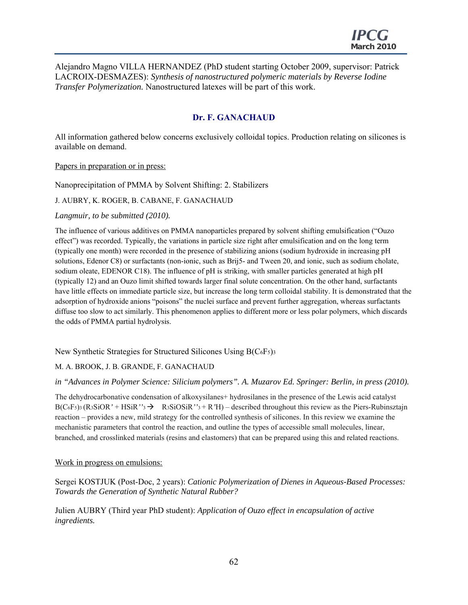Alejandro Magno VILLA HERNANDEZ (PhD student starting October 2009, supervisor: Patrick LACROIX-DESMAZES): *Synthesis of nanostructured polymeric materials by Reverse Iodine Transfer Polymerization.* Nanostructured latexes will be part of this work.

## **Dr. F. GANACHAUD**

All information gathered below concerns exclusively colloidal topics. Production relating on silicones is available on demand.

Papers in preparation or in press:

Nanoprecipitation of PMMA by Solvent Shifting: 2. Stabilizers

J. AUBRY, K. ROGER, B. CABANE, F. GANACHAUD

*Langmuir, to be submitted (2010).* 

The influence of various additives on PMMA nanoparticles prepared by solvent shifting emulsification ("Ouzo effect") was recorded. Typically, the variations in particle size right after emulsification and on the long term (typically one month) were recorded in the presence of stabilizing anions (sodium hydroxide in increasing pH solutions, Edenor C8) or surfactants (non-ionic, such as Brij5- and Tween 20, and ionic, such as sodium cholate, sodium oleate, EDENOR C18). The influence of pH is striking, with smaller particles generated at high pH (typically 12) and an Ouzo limit shifted towards larger final solute concentration. On the other hand, surfactants have little effects on immediate particle size, but increase the long term colloidal stability. It is demonstrated that the adsorption of hydroxide anions "poisons" the nuclei surface and prevent further aggregation, whereas surfactants diffuse too slow to act similarly. This phenomenon applies to different more or less polar polymers, which discards the odds of PMMA partial hydrolysis.

New Synthetic Strategies for Structured Silicones Using B(C6F5)3

#### M. A. BROOK, J. B. GRANDE, F. GANACHAUD

#### *in "Advances in Polymer Science: Silicium polymers". A. Muzarov Ed. Springer: Berlin, in press (2010).*

The dehydrocarbonative condensation of alkoxysilanes+ hydrosilanes in the presence of the Lewis acid catalyst  $B(C_6F_5)$ <sup>3</sup> (R<sub>3</sub>SiOR<sup>'</sup> + HSiR<sup>''</sup><sup>3</sup>  $\rightarrow$  R<sub>3</sub>SiOSiR<sup>''</sup><sup>3</sup> + R'H) – described throughout this review as the Piers-Rubinsztajn reaction – provides a new, mild strategy for the controlled synthesis of silicones. In this review we examine the mechanistic parameters that control the reaction, and outline the types of accessible small molecules, linear, branched, and crosslinked materials (resins and elastomers) that can be prepared using this and related reactions.

#### Work in progress on emulsions:

Sergei KOSTJUK (Post-Doc, 2 years): *Cationic Polymerization of Dienes in Aqueous-Based Processes: Towards the Generation of Synthetic Natural Rubber?* 

Julien AUBRY (Third year PhD student): *Application of Ouzo effect in encapsulation of active ingredients.*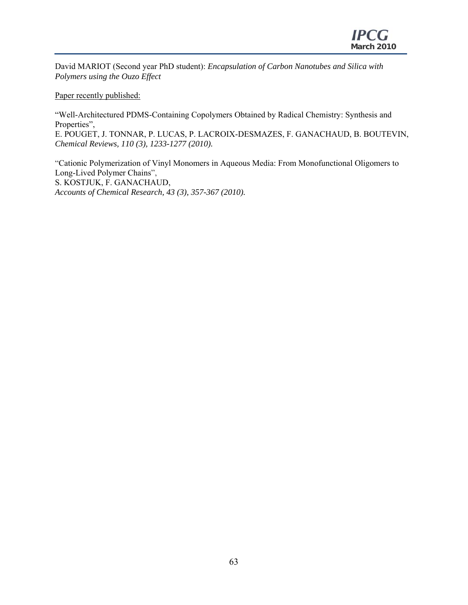David MARIOT (Second year PhD student): *Encapsulation of Carbon Nanotubes and Silica with Polymers using the Ouzo Effect* 

Paper recently published:

"Well-Architectured PDMS-Containing Copolymers Obtained by Radical Chemistry: Synthesis and Properties", E. POUGET, J. TONNAR, P. LUCAS, P. LACROIX-DESMAZES, F. GANACHAUD, B. BOUTEVIN, *Chemical Reviews, 110 (3), 1233-1277 (2010).* 

"Cationic Polymerization of Vinyl Monomers in Aqueous Media: From Monofunctional Oligomers to Long-Lived Polymer Chains", S. KOSTJUK, F. GANACHAUD, *Accounts of Chemical Research, 43 (3), 357-367 (2010).*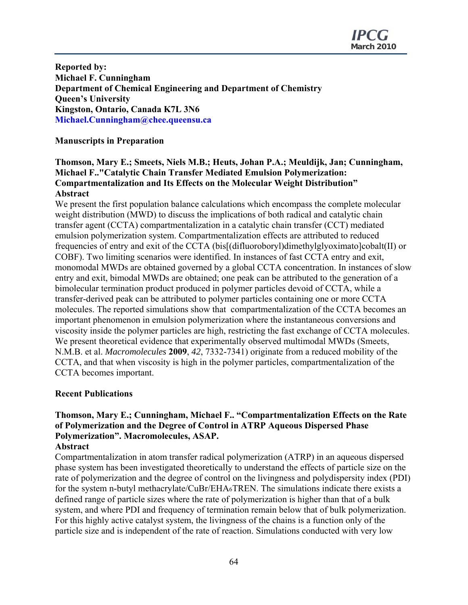**Reported by: Michael F. Cunningham Department of Chemical Engineering and Department of Chemistry Queen's University Kingston, Ontario, Canada K7L 3N6 Michael.Cunningham@chee.queensu.ca** 

## **Manuscripts in Preparation**

## **Thomson, Mary E.; Smeets, Niels M.B.; Heuts, Johan P.A.; Meuldijk, Jan; Cunningham, Michael F.."Catalytic Chain Transfer Mediated Emulsion Polymerization: Compartmentalization and Its Effects on the Molecular Weight Distribution" Abstract**

We present the first population balance calculations which encompass the complete molecular weight distribution (MWD) to discuss the implications of both radical and catalytic chain transfer agent (CCTA) compartmentalization in a catalytic chain transfer (CCT) mediated emulsion polymerization system. Compartmentalization effects are attributed to reduced frequencies of entry and exit of the CCTA (bis[(difluoroboryl)dimethylglyoximato]cobalt(II) or COBF). Two limiting scenarios were identified. In instances of fast CCTA entry and exit, monomodal MWDs are obtained governed by a global CCTA concentration. In instances of slow entry and exit, bimodal MWDs are obtained; one peak can be attributed to the generation of a bimolecular termination product produced in polymer particles devoid of CCTA, while a transfer-derived peak can be attributed to polymer particles containing one or more CCTA molecules. The reported simulations show that compartmentalization of the CCTA becomes an important phenomenon in emulsion polymerization where the instantaneous conversions and viscosity inside the polymer particles are high, restricting the fast exchange of CCTA molecules. We present theoretical evidence that experimentally observed multimodal MWDs (Smeets, N.M.B. et al. *Macromolecules* **2009**, *42*, 7332-7341) originate from a reduced mobility of the CCTA, and that when viscosity is high in the polymer particles, compartmentalization of the CCTA becomes important.

#### **Recent Publications**

## **Thomson, Mary E.; Cunningham, Michael F.. "Compartmentalization Effects on the Rate of Polymerization and the Degree of Control in ATRP Aqueous Dispersed Phase Polymerization". Macromolecules, ASAP.**

#### **Abstract**

Compartmentalization in atom transfer radical polymerization (ATRP) in an aqueous dispersed phase system has been investigated theoretically to understand the effects of particle size on the rate of polymerization and the degree of control on the livingness and polydispersity index (PDI) for the system n-butyl methacrylate/CuBr/EHA6TREN. The simulations indicate there exists a defined range of particle sizes where the rate of polymerization is higher than that of a bulk system, and where PDI and frequency of termination remain below that of bulk polymerization. For this highly active catalyst system, the livingness of the chains is a function only of the particle size and is independent of the rate of reaction. Simulations conducted with very low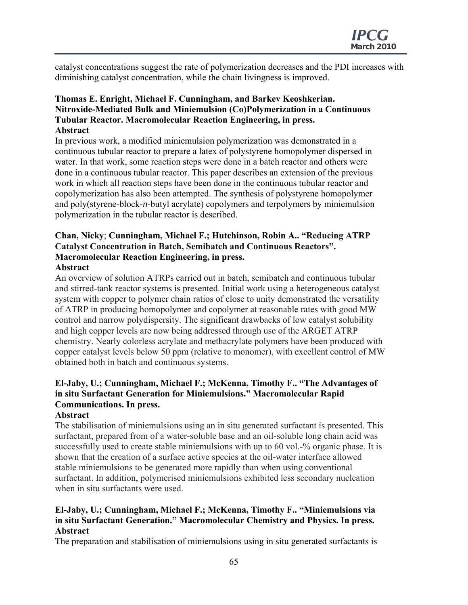catalyst concentrations suggest the rate of polymerization decreases and the PDI increases with diminishing catalyst concentration, while the chain livingness is improved.

#### **Thomas E. Enright, Michael F. Cunningham, and Barkev Keoshkerian. Nitroxide-Mediated Bulk and Miniemulsion (Co)Polymerization in a Continuous Tubular Reactor. Macromolecular Reaction Engineering, in press. Abstract**

In previous work, a modified miniemulsion polymerization was demonstrated in a continuous tubular reactor to prepare a latex of polystyrene homopolymer dispersed in water. In that work, some reaction steps were done in a batch reactor and others were done in a continuous tubular reactor. This paper describes an extension of the previous work in which all reaction steps have been done in the continuous tubular reactor and copolymerization has also been attempted. The synthesis of polystyrene homopolymer and poly(styrene-block-*n*-butyl acrylate) copolymers and terpolymers by miniemulsion polymerization in the tubular reactor is described.

#### **Chan, Nicky**; **Cunningham, Michael F.; Hutchinson, Robin A.. "Reducing ATRP Catalyst Concentration in Batch, Semibatch and Continuous Reactors". Macromolecular Reaction Engineering, in press. Abstract**

An overview of solution ATRPs carried out in batch, semibatch and continuous tubular and stirred-tank reactor systems is presented. Initial work using a heterogeneous catalyst system with copper to polymer chain ratios of close to unity demonstrated the versatility of ATRP in producing homopolymer and copolymer at reasonable rates with good MW control and narrow polydispersity. The significant drawbacks of low catalyst solubility and high copper levels are now being addressed through use of the ARGET ATRP chemistry. Nearly colorless acrylate and methacrylate polymers have been produced with copper catalyst levels below 50 ppm (relative to monomer), with excellent control of MW obtained both in batch and continuous systems.

## **El-Jaby, U.; Cunningham, Michael F.; McKenna, Timothy F.. "The Advantages of in situ Surfactant Generation for Miniemulsions." Macromolecular Rapid Communications. In press.**

#### **Abstract**

The stabilisation of miniemulsions using an in situ generated surfactant is presented. This surfactant, prepared from of a water-soluble base and an oil-soluble long chain acid was successfully used to create stable miniemulsions with up to 60 vol.<sup>-9</sup>% organic phase. It is shown that the creation of a surface active species at the oil-water interface allowed stable miniemulsions to be generated more rapidly than when using conventional surfactant. In addition, polymerised miniemulsions exhibited less secondary nucleation when in situ surfactants were used.

## **El-Jaby, U.; Cunningham, Michael F.; McKenna, Timothy F.. "Miniemulsions via in situ Surfactant Generation." Macromolecular Chemistry and Physics. In press. Abstract**

The preparation and stabilisation of miniemulsions using in situ generated surfactants is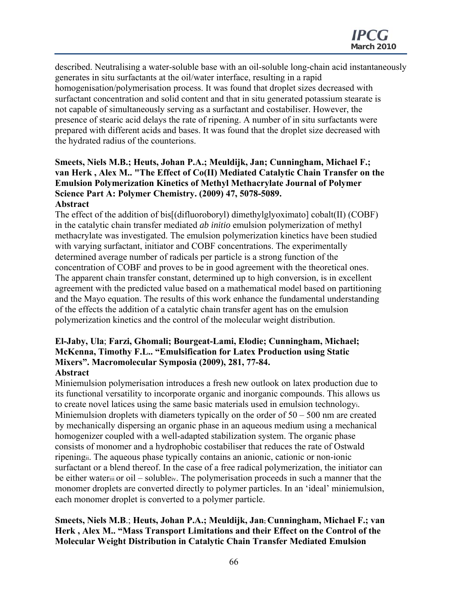described. Neutralising a water-soluble base with an oil-soluble long-chain acid instantaneously generates in situ surfactants at the oil/water interface, resulting in a rapid homogenisation/polymerisation process. It was found that droplet sizes decreased with surfactant concentration and solid content and that in situ generated potassium stearate is not capable of simultaneously serving as a surfactant and costabiliser. However, the presence of stearic acid delays the rate of ripening. A number of in situ surfactants were prepared with different acids and bases. It was found that the droplet size decreased with the hydrated radius of the counterions.

### **Smeets, Niels M.B.; Heuts, Johan P.A.; Meuldijk, Jan; Cunningham, Michael F.; van Herk , Alex M.. "The Effect of Co(II) Mediated Catalytic Chain Transfer on the Emulsion Polymerization Kinetics of Methyl Methacrylate Journal of Polymer Science Part A: Polymer Chemistry. (2009) 47, 5078-5089. Abstract**

The effect of the addition of bis[(difluoroboryl) dimethylglyoximato] cobalt(II) (COBF) in the catalytic chain transfer mediated *ab initio* emulsion polymerization of methyl methacrylate was investigated. The emulsion polymerization kinetics have been studied with varying surfactant, initiator and COBF concentrations. The experimentally determined average number of radicals per particle is a strong function of the concentration of COBF and proves to be in good agreement with the theoretical ones. The apparent chain transfer constant, determined up to high conversion, is in excellent agreement with the predicted value based on a mathematical model based on partitioning and the Mayo equation. The results of this work enhance the fundamental understanding of the effects the addition of a catalytic chain transfer agent has on the emulsion polymerization kinetics and the control of the molecular weight distribution.

#### **El-Jaby, Ula**; **Farzi, Ghomali; Bourgeat-Lami, Elodie; Cunningham, Michael; McKenna, Timothy F.L.. "Emulsification for Latex Production using Static Mixers". Macromolecular Symposia (2009), 281, 77-84. Abstract**

Miniemulsion polymerisation introduces a fresh new outlook on latex production due to its functional versatility to incorporate organic and inorganic compounds. This allows us to create novel latices using the same basic materials used in emulsion technologyi. Miniemulsion droplets with diameters typically on the order of 50 – 500 nm are created by mechanically dispersing an organic phase in an aqueous medium using a mechanical homogenizer coupled with a well-adapted stabilization system. The organic phase consists of monomer and a hydrophobic costabiliser that reduces the rate of Ostwald ripeningii. The aqueous phase typically contains an anionic, cationic or non-ionic surfactant or a blend thereof. In the case of a free radical polymerization, the initiator can be either wateriii or oil – solubleiv. The polymerisation proceeds in such a manner that the monomer droplets are converted directly to polymer particles. In an 'ideal' miniemulsion, each monomer droplet is converted to a polymer particle.

## **Smeets, Niels M.B**.; **Heuts, Johan P.A.; Meuldijk, Jan; Cunningham, Michael F.; van Herk , Alex M.. "Mass Transport Limitations and their Effect on the Control of the Molecular Weight Distribution in Catalytic Chain Transfer Mediated Emulsion**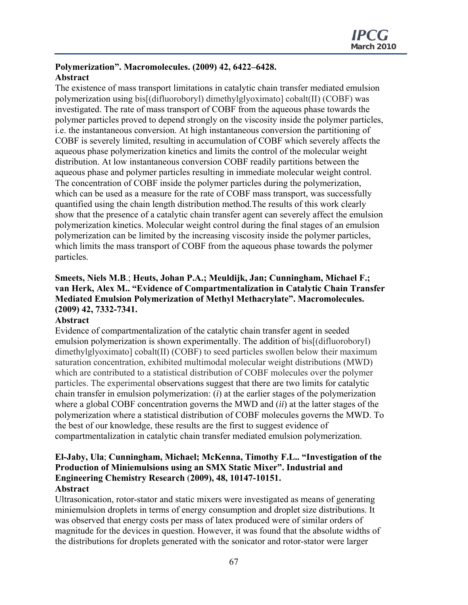#### **Polymerization". Macromolecules. (2009) 42, 6422–6428. Abstract**

The existence of mass transport limitations in catalytic chain transfer mediated emulsion polymerization using bis[(difluoroboryl) dimethylglyoximato] cobalt(II) (COBF) was investigated. The rate of mass transport of COBF from the aqueous phase towards the polymer particles proved to depend strongly on the viscosity inside the polymer particles, i.e. the instantaneous conversion. At high instantaneous conversion the partitioning of COBF is severely limited, resulting in accumulation of COBF which severely affects the aqueous phase polymerization kinetics and limits the control of the molecular weight distribution. At low instantaneous conversion COBF readily partitions between the aqueous phase and polymer particles resulting in immediate molecular weight control. The concentration of COBF inside the polymer particles during the polymerization, which can be used as a measure for the rate of COBF mass transport, was successfully quantified using the chain length distribution method.The results of this work clearly show that the presence of a catalytic chain transfer agent can severely affect the emulsion polymerization kinetics. Molecular weight control during the final stages of an emulsion polymerization can be limited by the increasing viscosity inside the polymer particles, which limits the mass transport of COBF from the aqueous phase towards the polymer particles.

## **Smeets, Niels M.B**.; **Heuts, Johan P.A.; Meuldijk, Jan; Cunningham, Michael F.; van Herk, Alex M.. "Evidence of Compartmentalization in Catalytic Chain Transfer Mediated Emulsion Polymerization of Methyl Methacrylate". Macromolecules. (2009) 42, 7332-7341.**

#### **Abstract**

Evidence of compartmentalization of the catalytic chain transfer agent in seeded emulsion polymerization is shown experimentally. The addition of bis[(difluoroboryl) dimethylglyoximato] cobalt(II) (COBF) to seed particles swollen below their maximum saturation concentration, exhibited multimodal molecular weight distributions (MWD) which are contributed to a statistical distribution of COBF molecules over the polymer particles. The experimental observations suggest that there are two limits for catalytic chain transfer in emulsion polymerization: (*i*) at the earlier stages of the polymerization where a global COBF concentration governs the MWD and (*ii*) at the latter stages of the polymerization where a statistical distribution of COBF molecules governs the MWD. To the best of our knowledge, these results are the first to suggest evidence of compartmentalization in catalytic chain transfer mediated emulsion polymerization.

#### **El-Jaby, Ula**; **Cunningham, Michael; McKenna, Timothy F.L.. "Investigation of the Production of Miniemulsions using an SMX Static Mixer". Industrial and Engineering Chemistry Research** (**2009), 48, 10147-10151. Abstract**

Ultrasonication, rotor-stator and static mixers were investigated as means of generating miniemulsion droplets in terms of energy consumption and droplet size distributions. It was observed that energy costs per mass of latex produced were of similar orders of magnitude for the devices in question. However, it was found that the absolute widths of the distributions for droplets generated with the sonicator and rotor-stator were larger